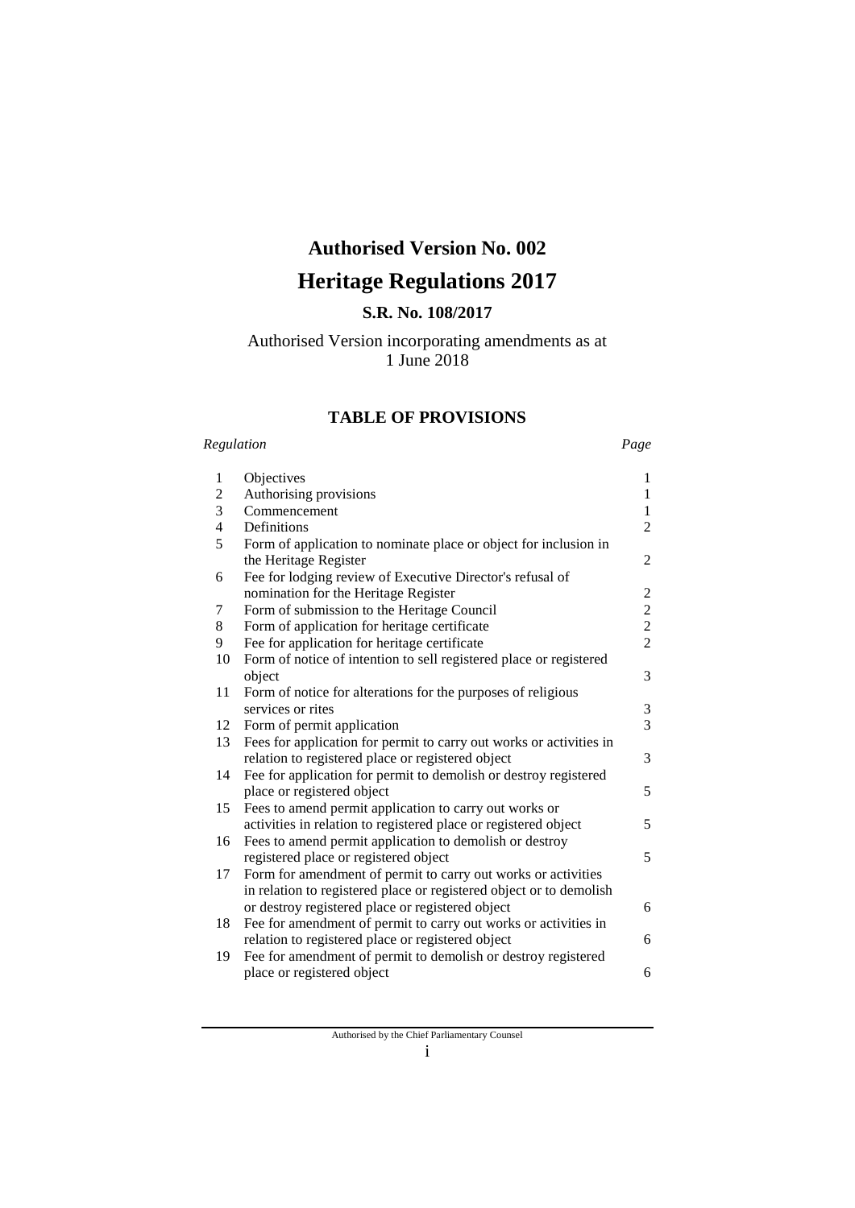# **Authorised Version No. 002**

# **Heritage Regulations 2017**

# **S.R. No. 108/2017**

# Authorised Version incorporating amendments as at 1 June 2018

# **TABLE OF PROVISIONS**

#### *Regulation Page*

| $\mathbf{1}$   | Objectives                                                          | 1              |
|----------------|---------------------------------------------------------------------|----------------|
| $\overline{c}$ | Authorising provisions                                              | $\mathbf{1}$   |
| 3              | Commencement                                                        | $\mathbf{1}$   |
| 4              | Definitions                                                         | $\overline{2}$ |
| 5              | Form of application to nominate place or object for inclusion in    |                |
|                | the Heritage Register                                               | 2              |
| 6              | Fee for lodging review of Executive Director's refusal of           |                |
|                | nomination for the Heritage Register                                | 2              |
| 7              | Form of submission to the Heritage Council                          | $\overline{c}$ |
| 8              | Form of application for heritage certificate                        | $\overline{c}$ |
| 9              | Fee for application for heritage certificate                        | $\overline{2}$ |
| 10             | Form of notice of intention to sell registered place or registered  |                |
|                | object                                                              | 3              |
| 11             | Form of notice for alterations for the purposes of religious        |                |
|                | services or rites                                                   | $\mathfrak 3$  |
| 12             | Form of permit application                                          | $\overline{3}$ |
| 13             | Fees for application for permit to carry out works or activities in |                |
|                | relation to registered place or registered object                   | 3              |
| 14             | Fee for application for permit to demolish or destroy registered    |                |
|                | place or registered object                                          | 5              |
| 15             | Fees to amend permit application to carry out works or              |                |
|                | activities in relation to registered place or registered object     | 5              |
| 16             | Fees to amend permit application to demolish or destroy             |                |
|                | registered place or registered object                               | 5              |
| 17             | Form for amendment of permit to carry out works or activities       |                |
|                | in relation to registered place or registered object or to demolish |                |
|                | or destroy registered place or registered object                    | 6              |
| 18             | Fee for amendment of permit to carry out works or activities in     |                |
|                | relation to registered place or registered object                   | 6              |
| 19             | Fee for amendment of permit to demolish or destroy registered       |                |
|                | place or registered object                                          | 6              |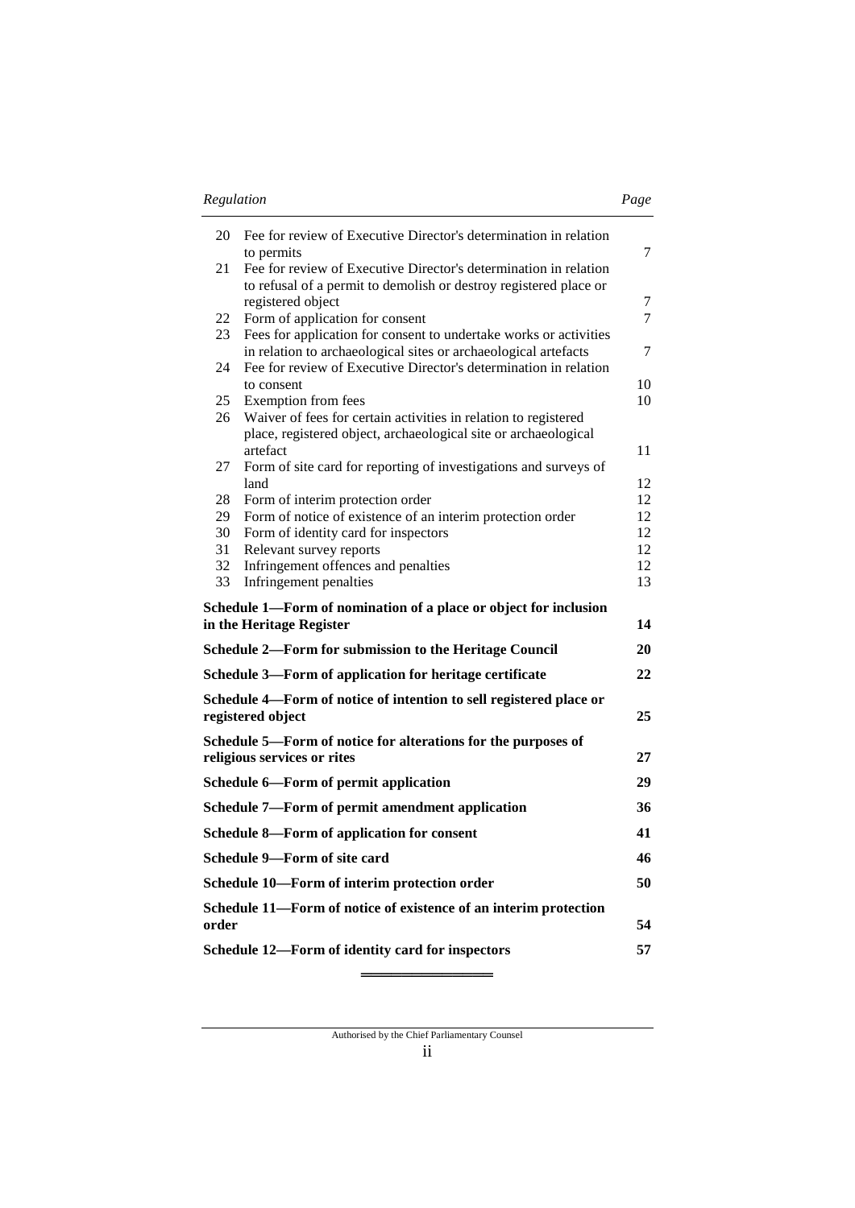| I<br>I |  |
|--------|--|
|        |  |

| 20                                               | Fee for review of Executive Director's determination in relation                                                                    | 7        |
|--------------------------------------------------|-------------------------------------------------------------------------------------------------------------------------------------|----------|
| 21                                               | to permits<br>Fee for review of Executive Director's determination in relation                                                      |          |
|                                                  | to refusal of a permit to demolish or destroy registered place or<br>registered object                                              | 7        |
| 22                                               | Form of application for consent                                                                                                     | 7        |
| 23                                               | Fees for application for consent to undertake works or activities                                                                   |          |
| 24                                               | in relation to archaeological sites or archaeological artefacts<br>Fee for review of Executive Director's determination in relation | $\tau$   |
|                                                  | to consent                                                                                                                          | 10       |
| 25                                               | Exemption from fees                                                                                                                 | 10       |
| 26                                               | Waiver of fees for certain activities in relation to registered<br>place, registered object, archaeological site or archaeological  |          |
|                                                  | artefact                                                                                                                            | 11       |
| 27                                               | Form of site card for reporting of investigations and surveys of                                                                    |          |
|                                                  | land<br>Form of interim protection order                                                                                            | 12<br>12 |
| 28<br>29                                         | Form of notice of existence of an interim protection order                                                                          | 12       |
| 30                                               | Form of identity card for inspectors                                                                                                | 12       |
| 31                                               | Relevant survey reports                                                                                                             | 12       |
| 32                                               | Infringement offences and penalties                                                                                                 | 12       |
| 33                                               | Infringement penalties                                                                                                              | 13       |
|                                                  | Schedule 1—Form of nomination of a place or object for inclusion                                                                    |          |
|                                                  | in the Heritage Register                                                                                                            | 14       |
|                                                  | <b>Schedule 2—Form for submission to the Heritage Council</b>                                                                       | 20       |
|                                                  | Schedule 3-Form of application for heritage certificate                                                                             | 22       |
|                                                  | Schedule 4-Form of notice of intention to sell registered place or                                                                  |          |
|                                                  | registered object                                                                                                                   | 25       |
|                                                  | Schedule 5—Form of notice for alterations for the purposes of                                                                       |          |
|                                                  | religious services or rites                                                                                                         | 27       |
|                                                  | Schedule 6-Form of permit application                                                                                               | 29       |
|                                                  | Schedule 7-Form of permit amendment application                                                                                     | 36       |
|                                                  | Schedule 8-Form of application for consent                                                                                          | 41       |
|                                                  | Schedule 9—Form of site card                                                                                                        | 46       |
|                                                  | Schedule 10-Form of interim protection order                                                                                        | 50       |
|                                                  | Schedule 11—Form of notice of existence of an interim protection                                                                    |          |
| order                                            |                                                                                                                                     | 54       |
| Schedule 12-Form of identity card for inspectors |                                                                                                                                     | 57       |

**═════════════**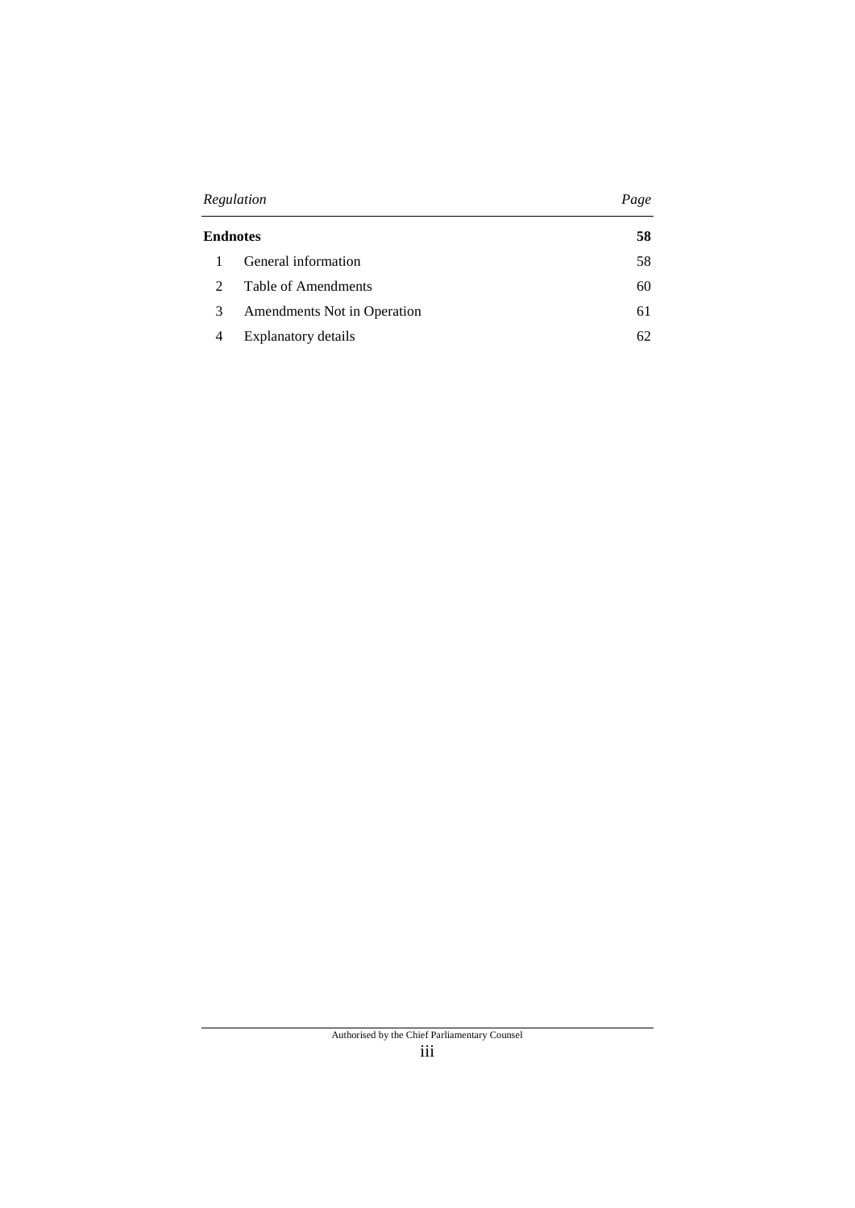| Regulation                  |                             | Page |
|-----------------------------|-----------------------------|------|
| <b>Endnotes</b>             |                             | 58   |
|                             | General information         | 58   |
| $\mathcal{D}_{\mathcal{L}}$ | Table of Amendments         | 60   |
| 3                           | Amendments Not in Operation | 61   |
| 4                           | Explanatory details         | 62.  |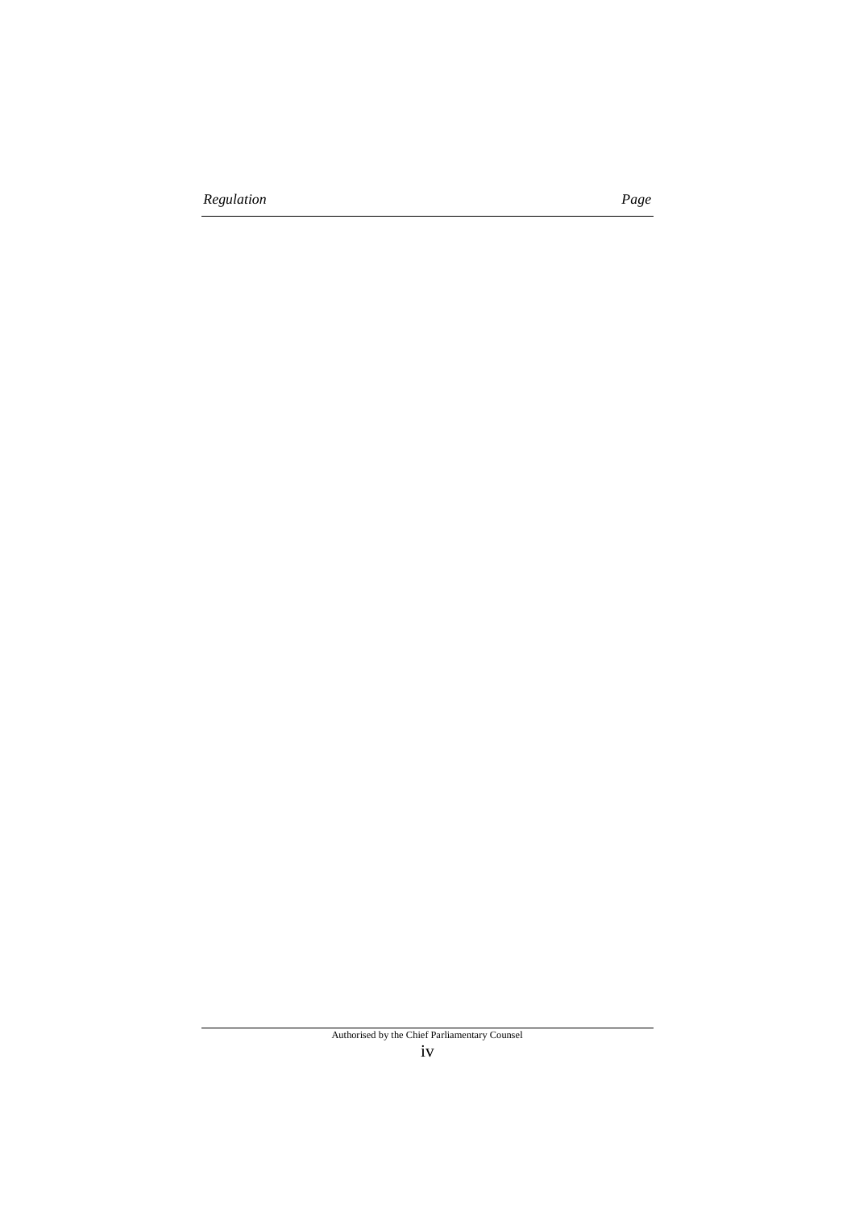*Regulation Page*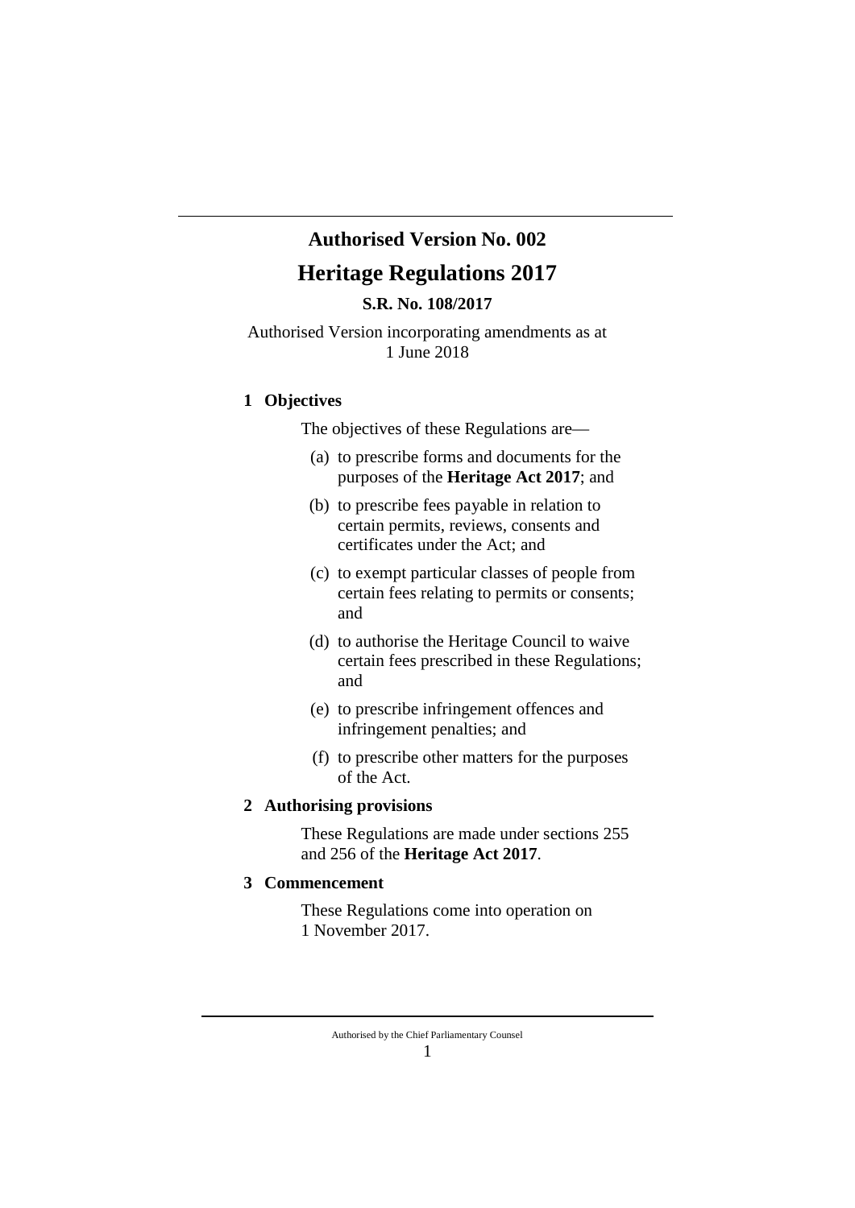# **Authorised Version No. 002 Heritage Regulations 2017**

**S.R. No. 108/2017**

Authorised Version incorporating amendments as at 1 June 2018

## **1 Objectives**

The objectives of these Regulations are—

- (a) to prescribe forms and documents for the purposes of the **Heritage Act 2017**; and
- (b) to prescribe fees payable in relation to certain permits, reviews, consents and certificates under the Act; and
- (c) to exempt particular classes of people from certain fees relating to permits or consents; and
- (d) to authorise the Heritage Council to waive certain fees prescribed in these Regulations; and
- (e) to prescribe infringement offences and infringement penalties; and
- (f) to prescribe other matters for the purposes of the Act.

### **2 Authorising provisions**

These Regulations are made under sections 255 and 256 of the **Heritage Act 2017**.

## **3 Commencement**

These Regulations come into operation on 1 November 2017.

Authorised by the Chief Parliamentary Counsel 1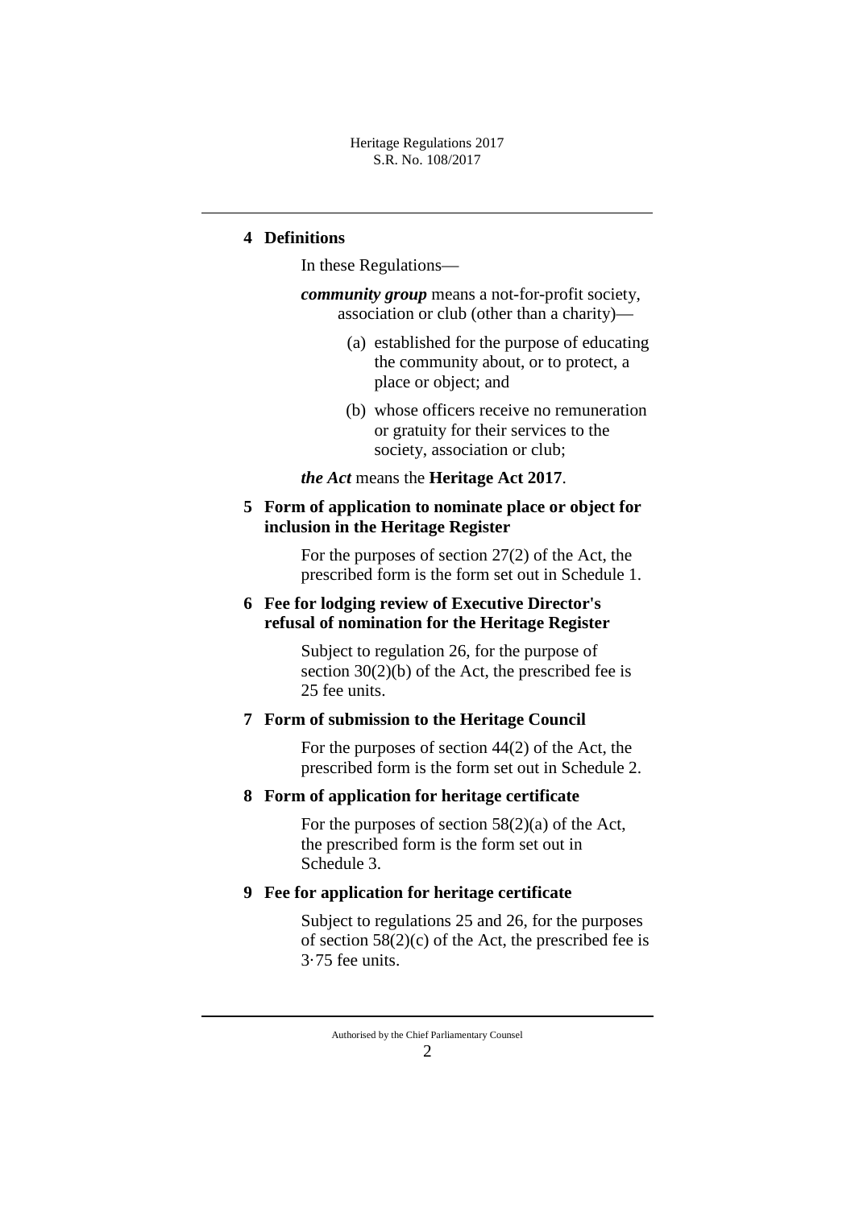Heritage Regulations 2017 S.R. No. 108/2017

## **4 Definitions**

In these Regulations—

*community group* means a not-for-profit society, association or club (other than a charity)—

- (a) established for the purpose of educating the community about, or to protect, a place or object; and
- (b) whose officers receive no remuneration or gratuity for their services to the society, association or club;

*the Act* means the **Heritage Act 2017**.

## **5 Form of application to nominate place or object for inclusion in the Heritage Register**

For the purposes of section 27(2) of the Act, the prescribed form is the form set out in Schedule 1.

# **6 Fee for lodging review of Executive Director's refusal of nomination for the Heritage Register**

Subject to regulation 26, for the purpose of section  $30(2)(b)$  of the Act, the prescribed fee is 25 fee units.

## **7 Form of submission to the Heritage Council**

For the purposes of section 44(2) of the Act, the prescribed form is the form set out in Schedule 2.

## **8 Form of application for heritage certificate**

For the purposes of section 58(2)(a) of the Act, the prescribed form is the form set out in Schedule 3.

## **9 Fee for application for heritage certificate**

Subject to regulations 25 and 26, for the purposes of section  $58(2)(c)$  of the Act, the prescribed fee is 3·75 fee units.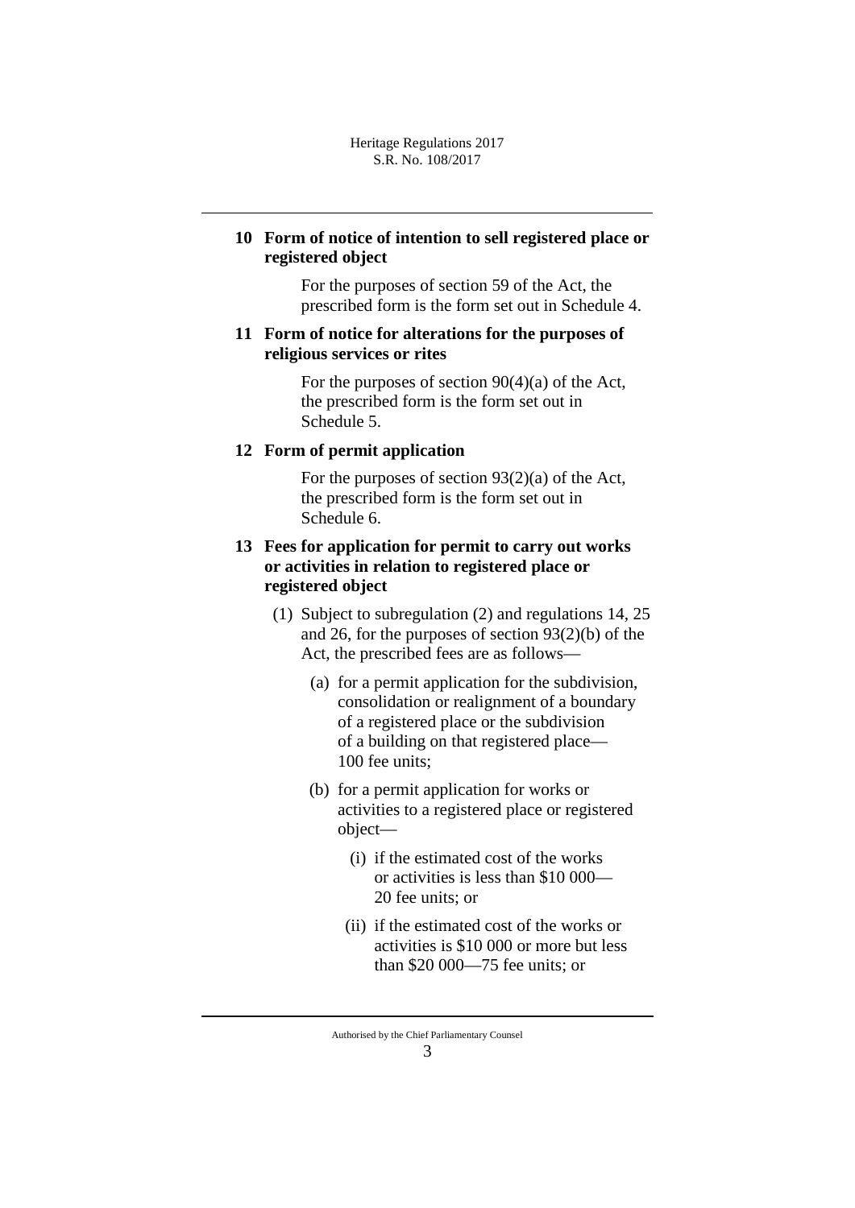# **10 Form of notice of intention to sell registered place or registered object**

For the purposes of section 59 of the Act, the prescribed form is the form set out in Schedule 4.

## **11 Form of notice for alterations for the purposes of religious services or rites**

For the purposes of section 90(4)(a) of the Act, the prescribed form is the form set out in Schedule 5.

## **12 Form of permit application**

For the purposes of section 93(2)(a) of the Act, the prescribed form is the form set out in Schedule 6.

# **13 Fees for application for permit to carry out works or activities in relation to registered place or registered object**

- (1) Subject to subregulation (2) and regulations 14, 25 and 26, for the purposes of section 93(2)(b) of the Act, the prescribed fees are as follows—
	- (a) for a permit application for the subdivision, consolidation or realignment of a boundary of a registered place or the subdivision of a building on that registered place— 100 fee units;
	- (b) for a permit application for works or activities to a registered place or registered object—
		- (i) if the estimated cost of the works or activities is less than \$10 000— 20 fee units; or
		- (ii) if the estimated cost of the works or activities is \$10 000 or more but less than \$20 000—75 fee units; or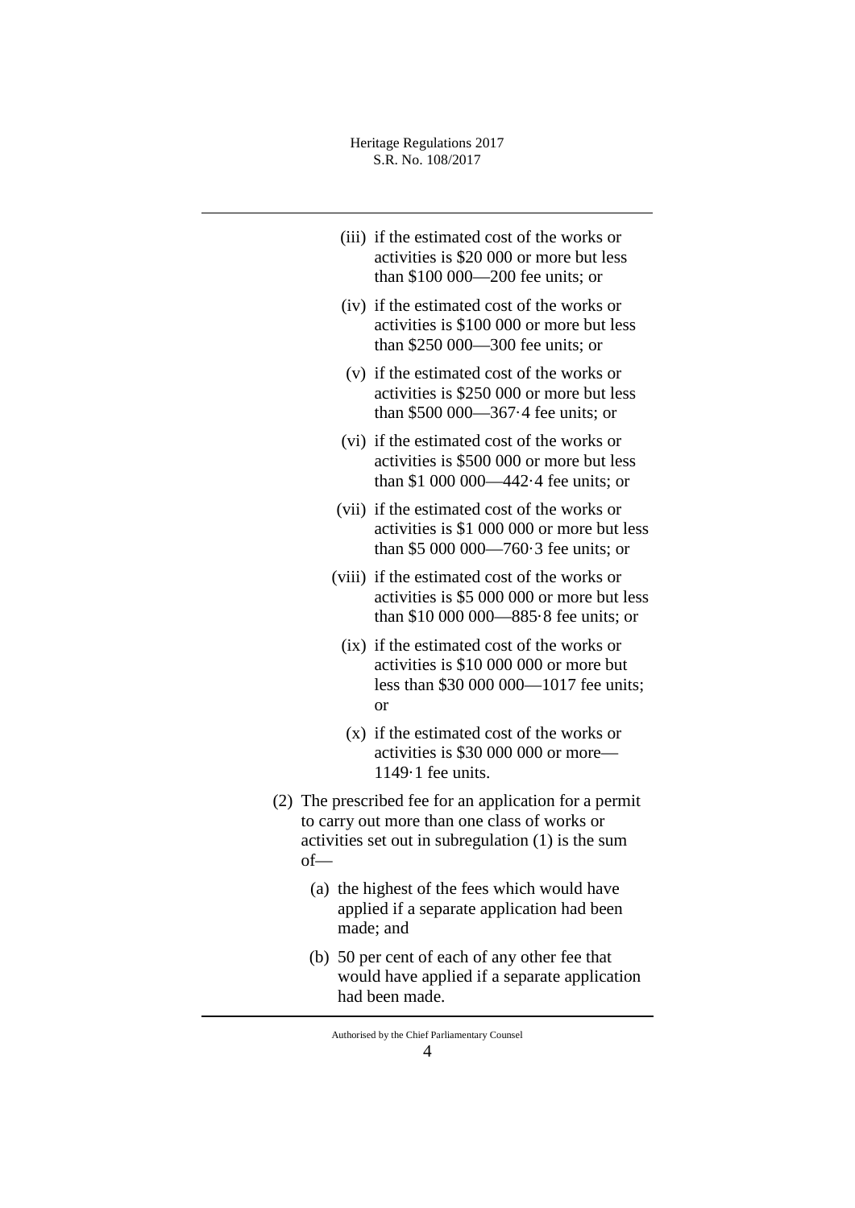- (iii) if the estimated cost of the works or activities is \$20 000 or more but less than \$100 000—200 fee units; or
- (iv) if the estimated cost of the works or activities is \$100 000 or more but less than \$250 000—300 fee units; or
- (v) if the estimated cost of the works or activities is \$250 000 or more but less than \$500 000—367·4 fee units; or
- (vi) if the estimated cost of the works or activities is \$500 000 or more but less than \$1 000 000—442·4 fee units; or
- (vii) if the estimated cost of the works or activities is \$1 000 000 or more but less than \$5 000 000—760·3 fee units; or
- (viii) if the estimated cost of the works or activities is \$5 000 000 or more but less than \$10 000 000—885·8 fee units; or
	- (ix) if the estimated cost of the works or activities is \$10 000 000 or more but less than \$30 000 000—1017 fee units; or
	- (x) if the estimated cost of the works or activities is \$30 000 000 or more— 1149·1 fee units.
- (2) The prescribed fee for an application for a permit to carry out more than one class of works or activities set out in subregulation (1) is the sum of—
	- (a) the highest of the fees which would have applied if a separate application had been made; and
	- (b) 50 per cent of each of any other fee that would have applied if a separate application had been made.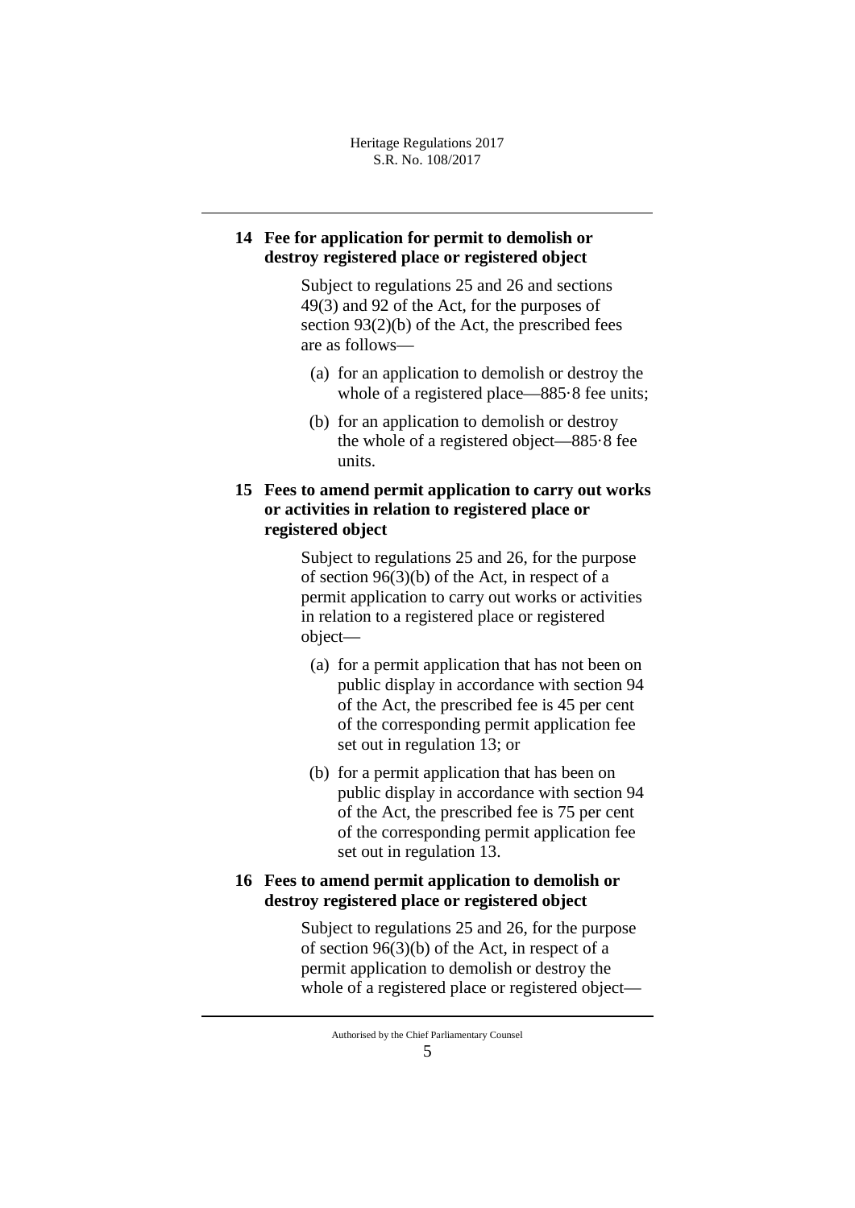# **14 Fee for application for permit to demolish or destroy registered place or registered object**

Subject to regulations 25 and 26 and sections 49(3) and 92 of the Act, for the purposes of section 93(2)(b) of the Act, the prescribed fees are as follows—

- (a) for an application to demolish or destroy the whole of a registered place—885 $\cdot$ 8 fee units;
- (b) for an application to demolish or destroy the whole of a registered object—885·8 fee units.

# **15 Fees to amend permit application to carry out works or activities in relation to registered place or registered object**

Subject to regulations 25 and 26, for the purpose of section 96(3)(b) of the Act, in respect of a permit application to carry out works or activities in relation to a registered place or registered object—

- (a) for a permit application that has not been on public display in accordance with section 94 of the Act, the prescribed fee is 45 per cent of the corresponding permit application fee set out in regulation 13; or
- (b) for a permit application that has been on public display in accordance with section 94 of the Act, the prescribed fee is 75 per cent of the corresponding permit application fee set out in regulation 13.

## **16 Fees to amend permit application to demolish or destroy registered place or registered object**

Subject to regulations 25 and 26, for the purpose of section 96(3)(b) of the Act, in respect of a permit application to demolish or destroy the whole of a registered place or registered object—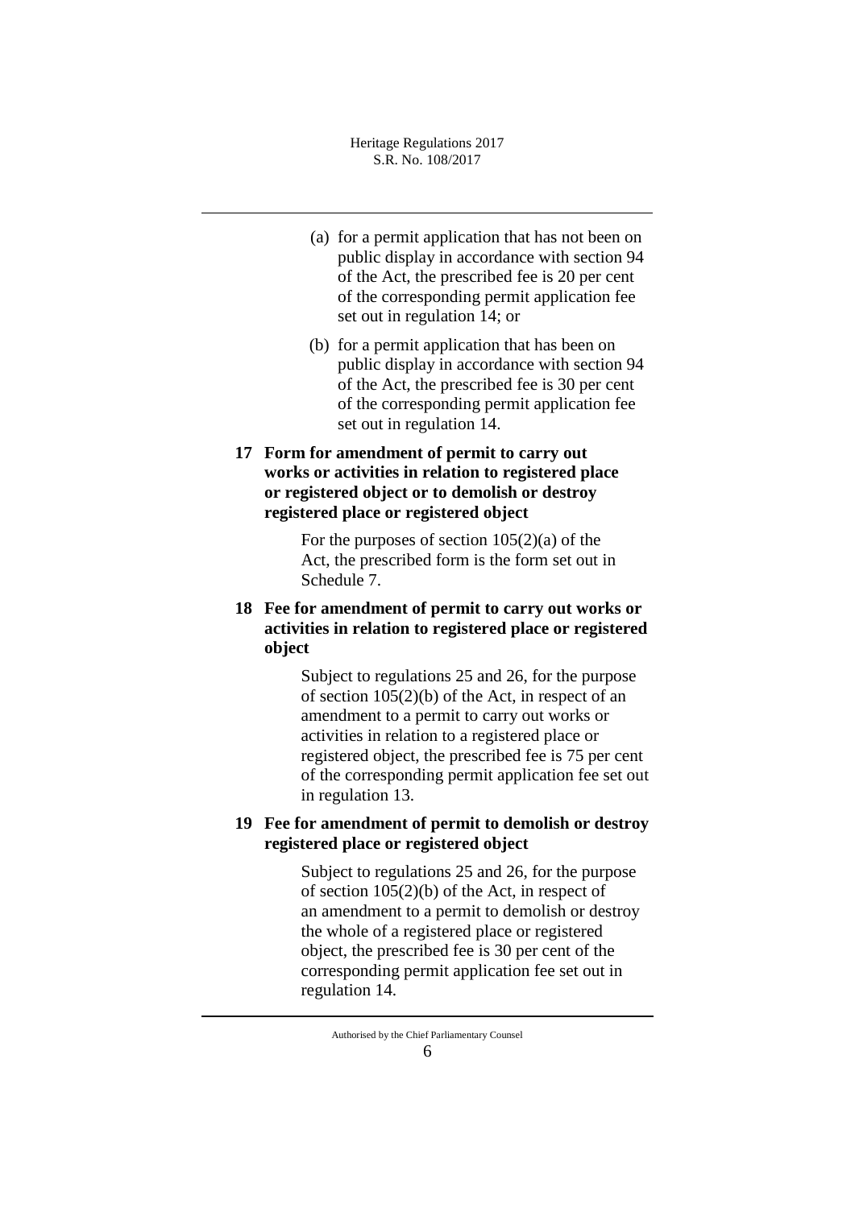- (a) for a permit application that has not been on public display in accordance with section 94 of the Act, the prescribed fee is 20 per cent of the corresponding permit application fee set out in regulation 14; or
- (b) for a permit application that has been on public display in accordance with section 94 of the Act, the prescribed fee is 30 per cent of the corresponding permit application fee set out in regulation 14.
- **17 Form for amendment of permit to carry out works or activities in relation to registered place or registered object or to demolish or destroy registered place or registered object**

For the purposes of section  $105(2)(a)$  of the Act, the prescribed form is the form set out in Schedule 7.

**18 Fee for amendment of permit to carry out works or activities in relation to registered place or registered object**

> Subject to regulations 25 and 26, for the purpose of section 105(2)(b) of the Act, in respect of an amendment to a permit to carry out works or activities in relation to a registered place or registered object, the prescribed fee is 75 per cent of the corresponding permit application fee set out in regulation 13.

# **19 Fee for amendment of permit to demolish or destroy registered place or registered object**

Subject to regulations 25 and 26, for the purpose of section 105(2)(b) of the Act, in respect of an amendment to a permit to demolish or destroy the whole of a registered place or registered object, the prescribed fee is 30 per cent of the corresponding permit application fee set out in regulation 14.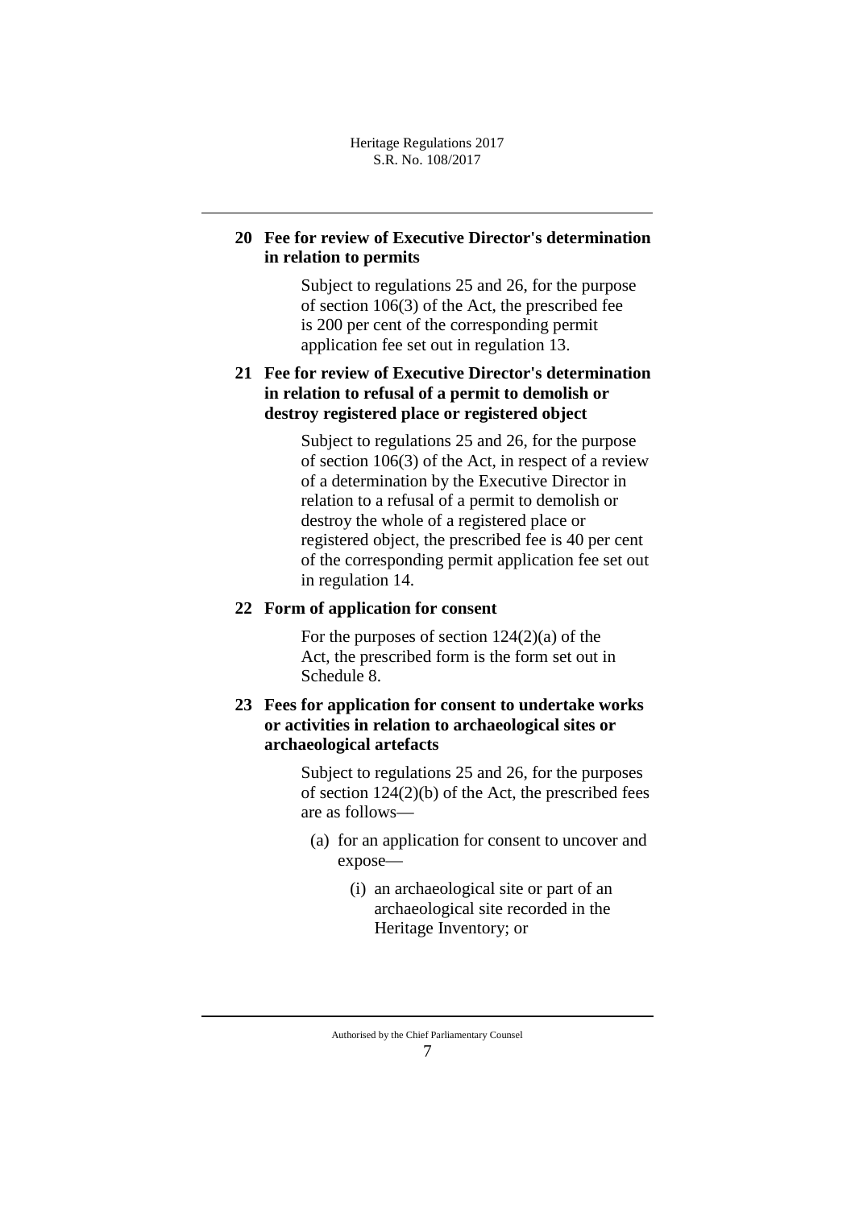# **20 Fee for review of Executive Director's determination in relation to permits**

Subject to regulations 25 and 26, for the purpose of section 106(3) of the Act, the prescribed fee is 200 per cent of the corresponding permit application fee set out in regulation 13.

# **21 Fee for review of Executive Director's determination in relation to refusal of a permit to demolish or destroy registered place or registered object**

Subject to regulations 25 and 26, for the purpose of section 106(3) of the Act, in respect of a review of a determination by the Executive Director in relation to a refusal of a permit to demolish or destroy the whole of a registered place or registered object, the prescribed fee is 40 per cent of the corresponding permit application fee set out in regulation 14.

## **22 Form of application for consent**

For the purposes of section 124(2)(a) of the Act, the prescribed form is the form set out in Schedule 8.

# **23 Fees for application for consent to undertake works or activities in relation to archaeological sites or archaeological artefacts**

Subject to regulations 25 and 26, for the purposes of section 124(2)(b) of the Act, the prescribed fees are as follows—

- (a) for an application for consent to uncover and expose—
	- (i) an archaeological site or part of an archaeological site recorded in the Heritage Inventory; or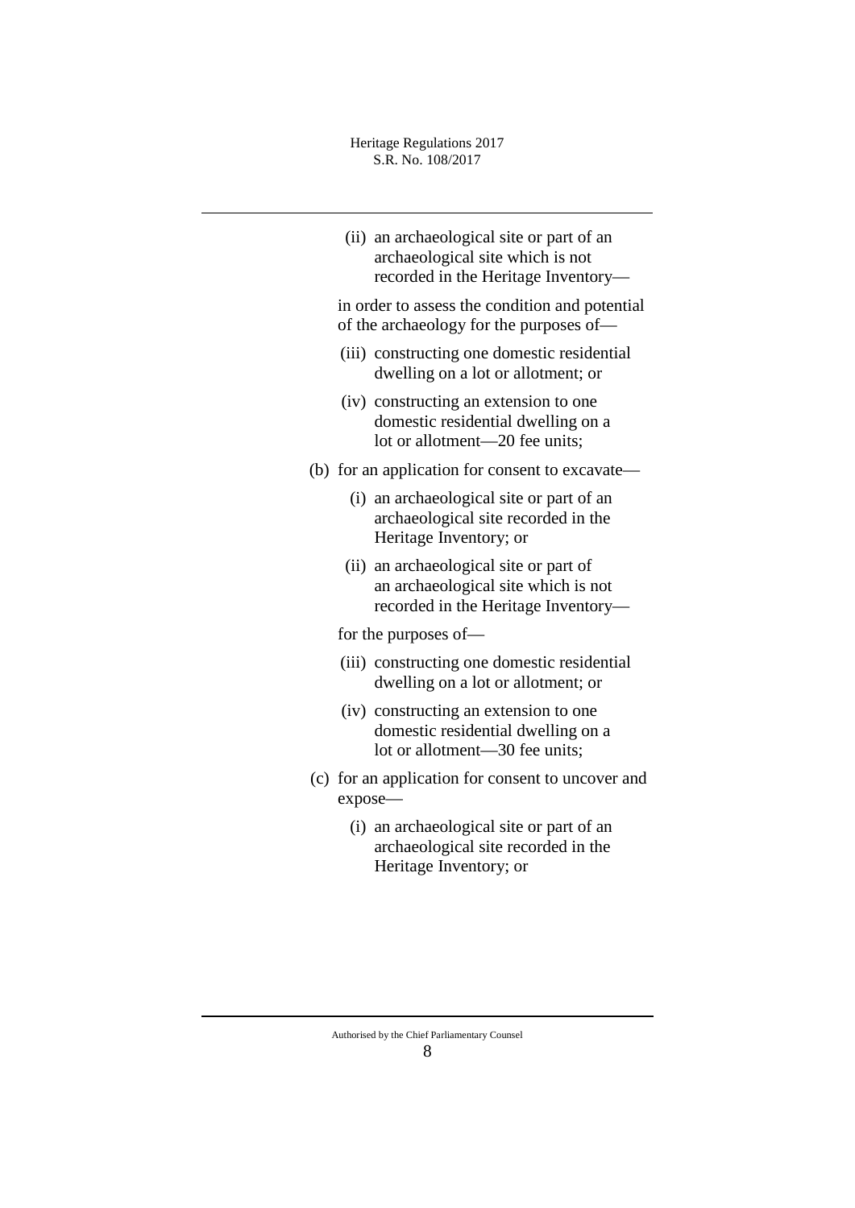| (ii) an archaeological site or part of an |
|-------------------------------------------|
| archaeological site which is not          |
| recorded in the Heritage Inventory—       |

in order to assess the condition and potential of the archaeology for the purposes of—

- (iii) constructing one domestic residential dwelling on a lot or allotment; or
- (iv) constructing an extension to one domestic residential dwelling on a lot or allotment—20 fee units;
- (b) for an application for consent to excavate—
	- (i) an archaeological site or part of an archaeological site recorded in the Heritage Inventory; or
	- (ii) an archaeological site or part of an archaeological site which is not recorded in the Heritage Inventory—

for the purposes of—

- (iii) constructing one domestic residential dwelling on a lot or allotment; or
- (iv) constructing an extension to one domestic residential dwelling on a lot or allotment—30 fee units;
- (c) for an application for consent to uncover and expose—
	- (i) an archaeological site or part of an archaeological site recorded in the Heritage Inventory; or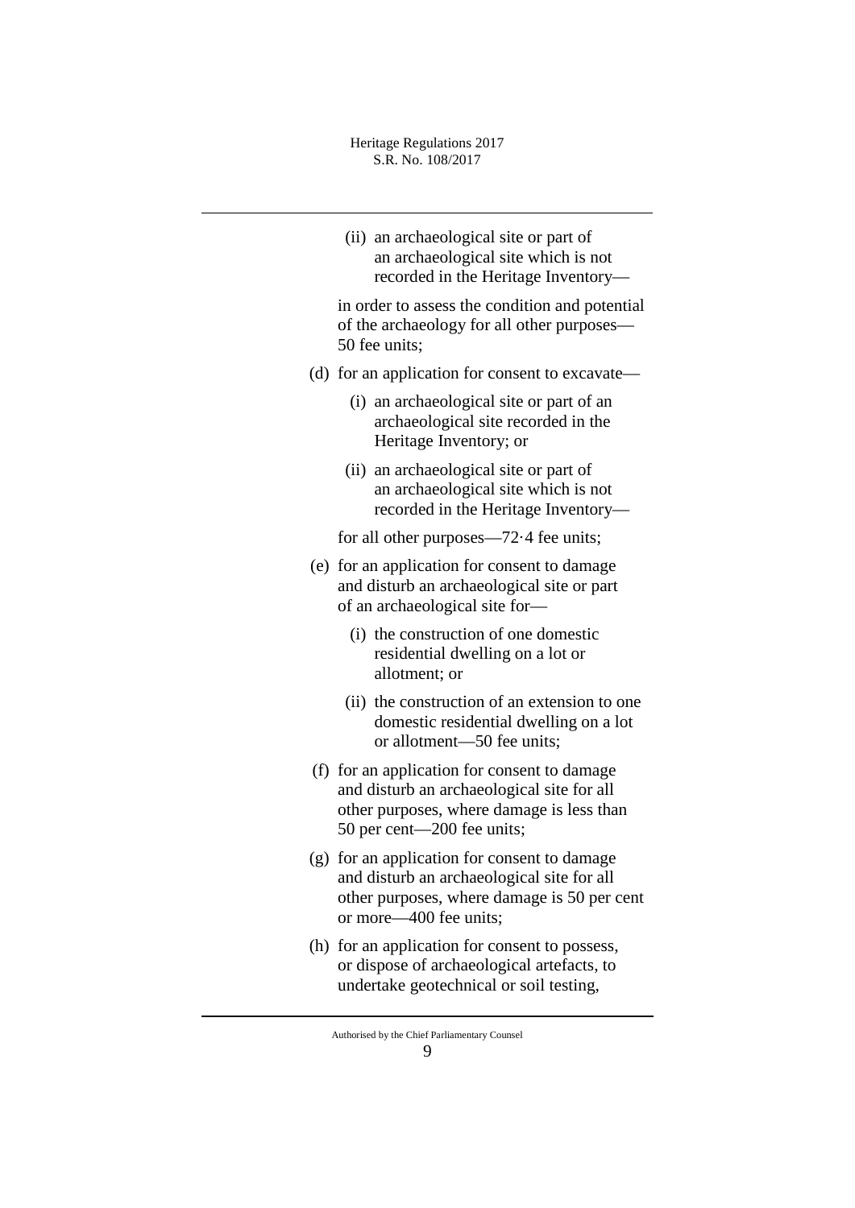(ii) an archaeological site or part of an archaeological site which is not recorded in the Heritage Inventory—

in order to assess the condition and potential of the archaeology for all other purposes— 50 fee units;

- (d) for an application for consent to excavate—
	- (i) an archaeological site or part of an archaeological site recorded in the Heritage Inventory; or
	- (ii) an archaeological site or part of an archaeological site which is not recorded in the Heritage Inventory—

for all other purposes—72·4 fee units;

- (e) for an application for consent to damage and disturb an archaeological site or part of an archaeological site for—
	- (i) the construction of one domestic residential dwelling on a lot or allotment; or
	- (ii) the construction of an extension to one domestic residential dwelling on a lot or allotment—50 fee units;
- (f) for an application for consent to damage and disturb an archaeological site for all other purposes, where damage is less than 50 per cent—200 fee units;
- (g) for an application for consent to damage and disturb an archaeological site for all other purposes, where damage is 50 per cent or more—400 fee units;
- (h) for an application for consent to possess, or dispose of archaeological artefacts, to undertake geotechnical or soil testing,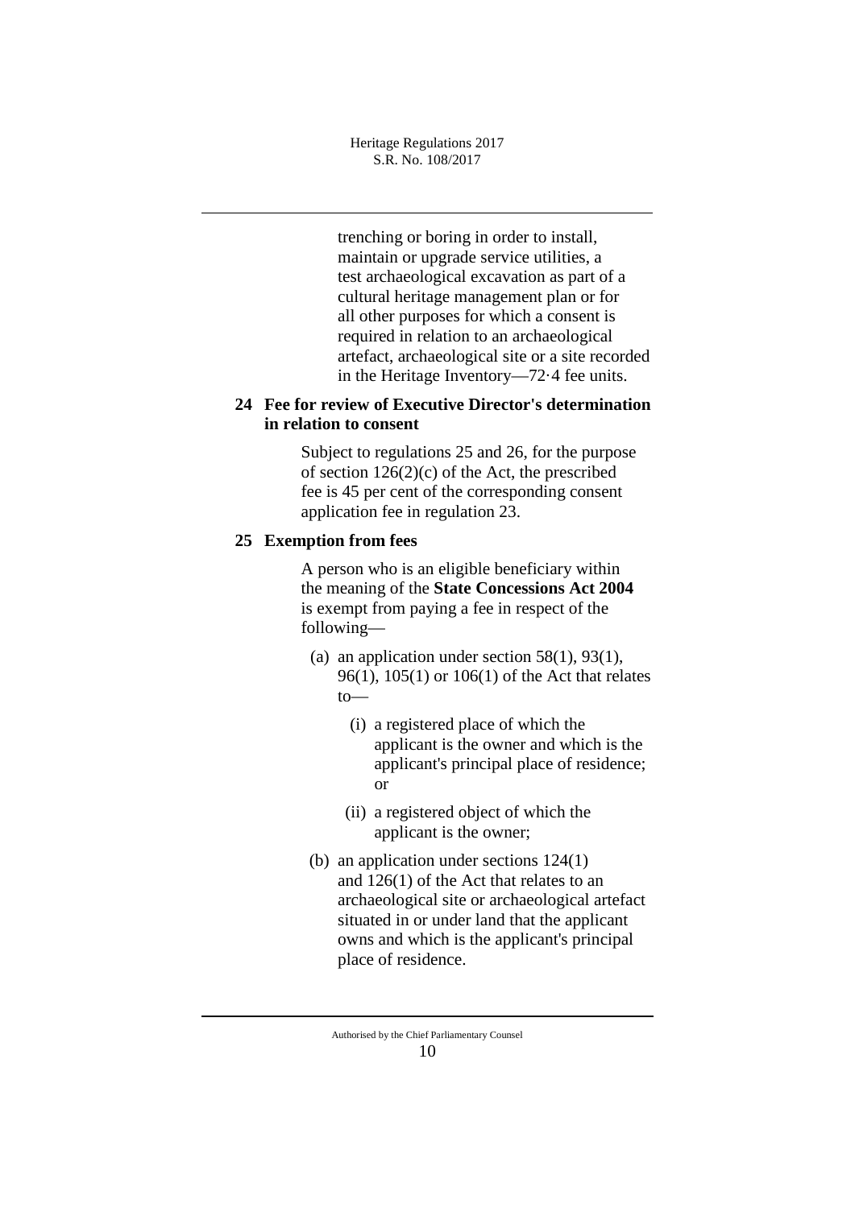trenching or boring in order to install, maintain or upgrade service utilities, a test archaeological excavation as part of a cultural heritage management plan or for all other purposes for which a consent is required in relation to an archaeological artefact, archaeological site or a site recorded in the Heritage Inventory—72·4 fee units.

# **24 Fee for review of Executive Director's determination in relation to consent**

Subject to regulations 25 and 26, for the purpose of section 126(2)(c) of the Act, the prescribed fee is 45 per cent of the corresponding consent application fee in regulation 23.

# **25 Exemption from fees**

A person who is an eligible beneficiary within the meaning of the **State Concessions Act 2004** is exempt from paying a fee in respect of the following—

- (a) an application under section  $58(1)$ ,  $93(1)$ , 96(1), 105(1) or 106(1) of the Act that relates to—
	- (i) a registered place of which the applicant is the owner and which is the applicant's principal place of residence; or
	- (ii) a registered object of which the applicant is the owner;
- (b) an application under sections 124(1) and 126(1) of the Act that relates to an archaeological site or archaeological artefact situated in or under land that the applicant owns and which is the applicant's principal place of residence.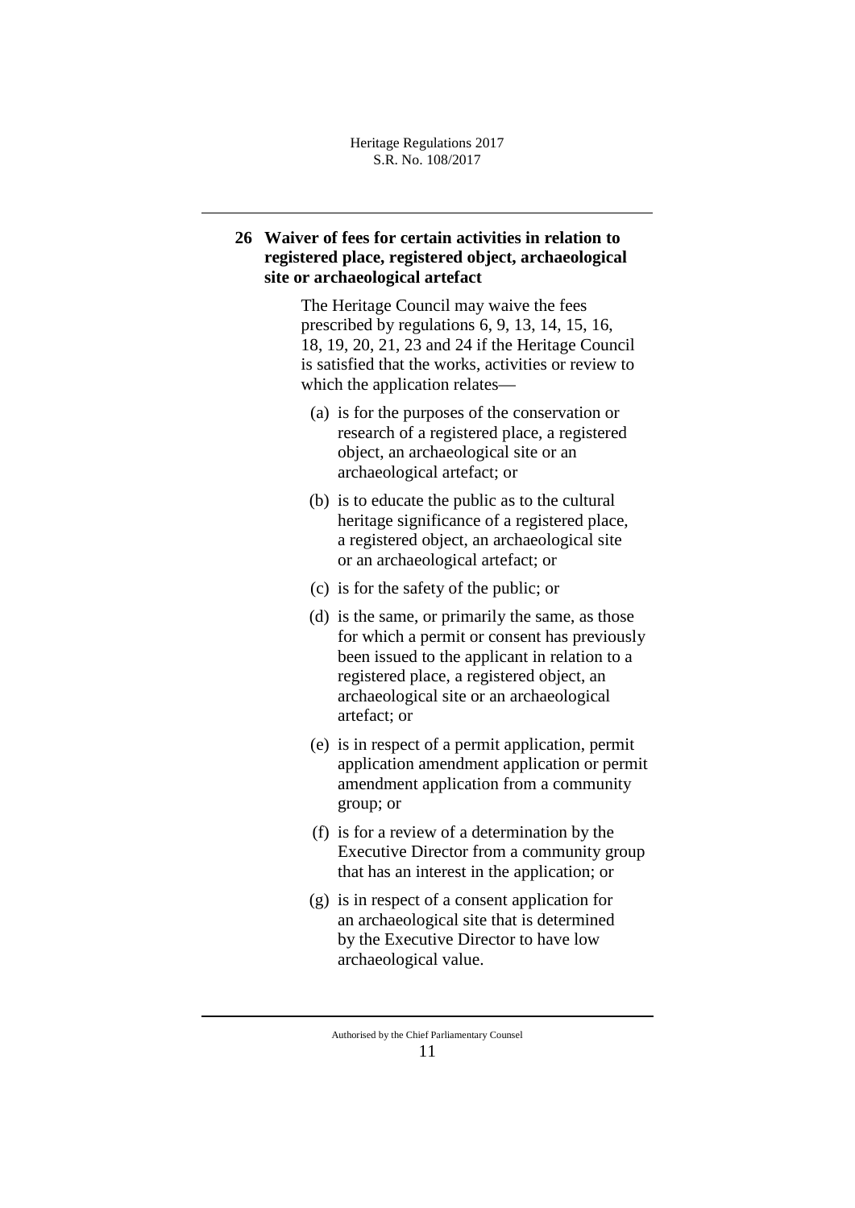# **26 Waiver of fees for certain activities in relation to registered place, registered object, archaeological site or archaeological artefact**

The Heritage Council may waive the fees prescribed by regulations 6, 9, 13, 14, 15, 16, 18, 19, 20, 21, 23 and 24 if the Heritage Council is satisfied that the works, activities or review to which the application relates—

- (a) is for the purposes of the conservation or research of a registered place, a registered object, an archaeological site or an archaeological artefact; or
- (b) is to educate the public as to the cultural heritage significance of a registered place, a registered object, an archaeological site or an archaeological artefact; or
- (c) is for the safety of the public; or
- (d) is the same, or primarily the same, as those for which a permit or consent has previously been issued to the applicant in relation to a registered place, a registered object, an archaeological site or an archaeological artefact; or
- (e) is in respect of a permit application, permit application amendment application or permit amendment application from a community group; or
- (f) is for a review of a determination by the Executive Director from a community group that has an interest in the application; or
- (g) is in respect of a consent application for an archaeological site that is determined by the Executive Director to have low archaeological value.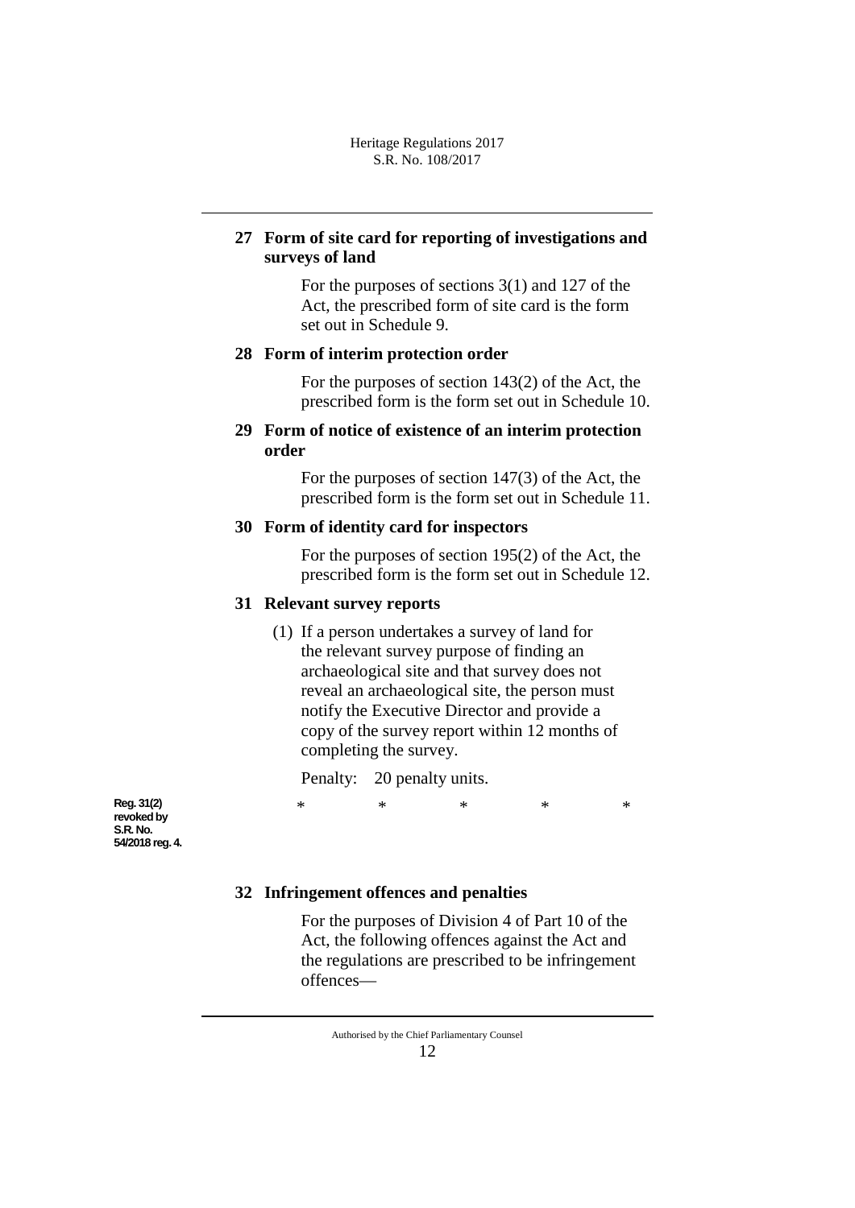# **27 Form of site card for reporting of investigations and surveys of land**

For the purposes of sections 3(1) and 127 of the Act, the prescribed form of site card is the form set out in Schedule 9.

## **28 Form of interim protection order**

For the purposes of section 143(2) of the Act, the prescribed form is the form set out in Schedule 10.

# **29 Form of notice of existence of an interim protection order**

For the purposes of section 147(3) of the Act, the prescribed form is the form set out in Schedule 11.

## **30 Form of identity card for inspectors**

For the purposes of section 195(2) of the Act, the prescribed form is the form set out in Schedule 12.

# **31 Relevant survey reports**

(1) If a person undertakes a survey of land for the relevant survey purpose of finding an archaeological site and that survey does not reveal an archaeological site, the person must notify the Executive Director and provide a copy of the survey report within 12 months of completing the survey.

Penalty: 20 penalty units.

\* \* \* \* \*

**Reg. 31(2) revoked by S.R. No. 54/2018 reg. 4.**

# **32 Infringement offences and penalties**

For the purposes of Division 4 of Part 10 of the Act, the following offences against the Act and the regulations are prescribed to be infringement offences—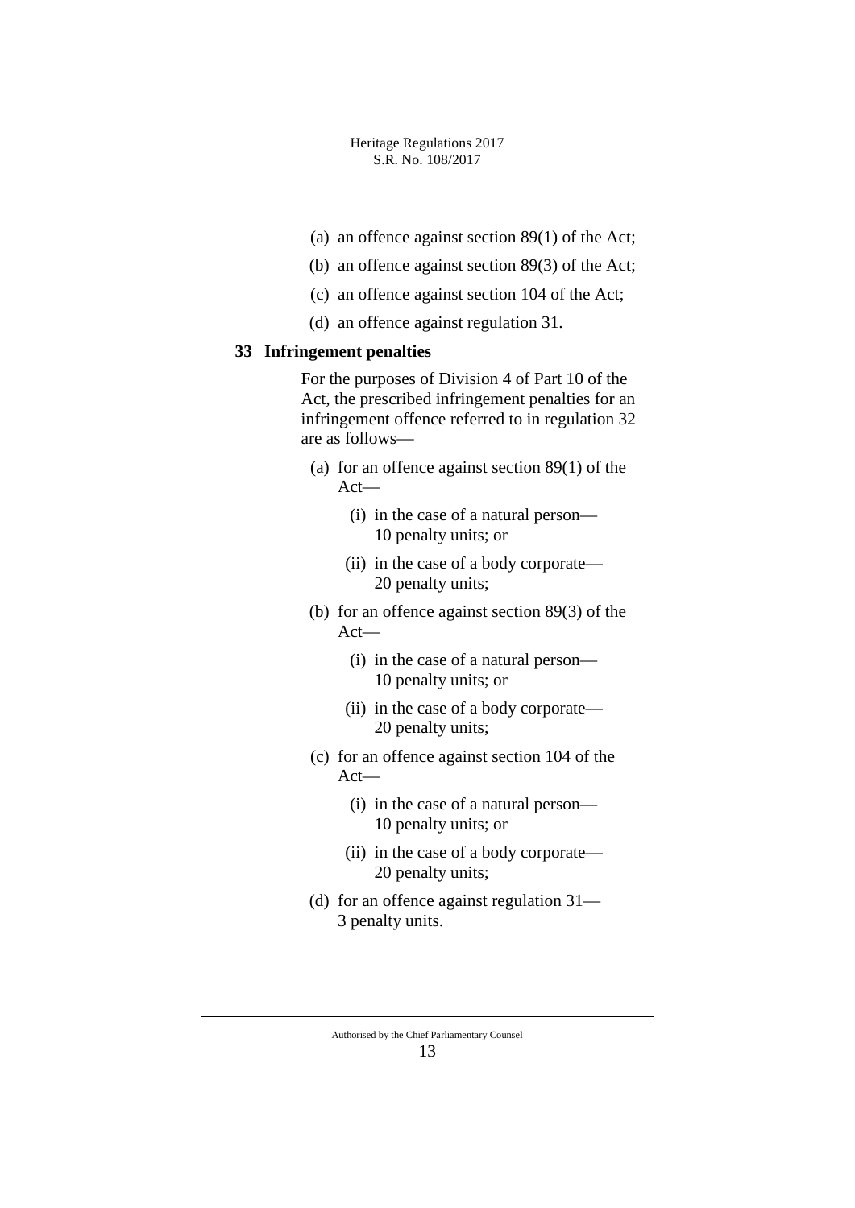- (a) an offence against section 89(1) of the Act;
- (b) an offence against section 89(3) of the Act;
- (c) an offence against section 104 of the Act;
- (d) an offence against regulation 31.

## **33 Infringement penalties**

For the purposes of Division 4 of Part 10 of the Act, the prescribed infringement penalties for an infringement offence referred to in regulation 32 are as follows—

- (a) for an offence against section 89(1) of the Act—
	- (i) in the case of a natural person— 10 penalty units; or
	- (ii) in the case of a body corporate— 20 penalty units;
- (b) for an offence against section 89(3) of the Act—
	- (i) in the case of a natural person— 10 penalty units; or
	- (ii) in the case of a body corporate— 20 penalty units;
- (c) for an offence against section 104 of the Act—
	- (i) in the case of a natural person— 10 penalty units; or
	- (ii) in the case of a body corporate— 20 penalty units;
- (d) for an offence against regulation 31— 3 penalty units.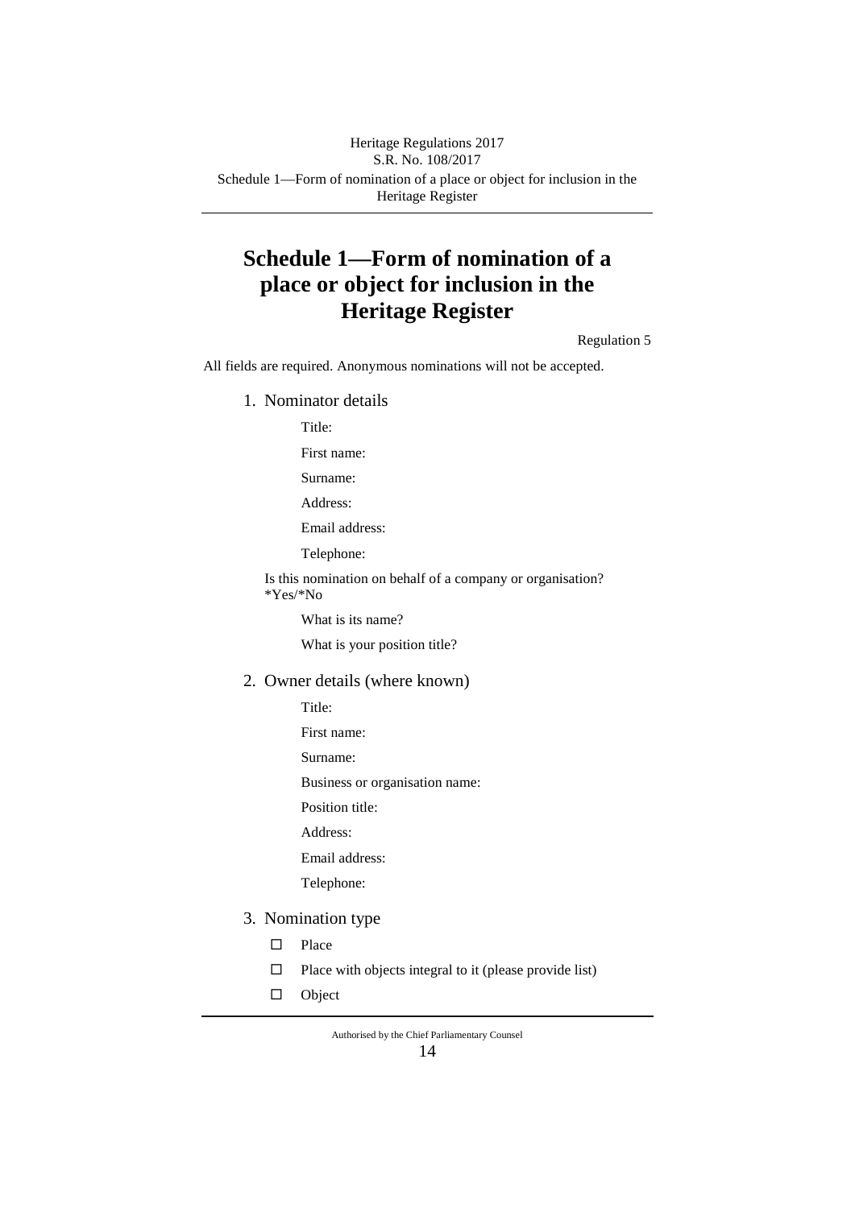### Schedule 1—Form of nomination of a place or object for inclusion in the Heritage Register Heritage Regulations 2017 S.R. No. 108/2017

# **Schedule 1—Form of nomination of a place or object for inclusion in the Heritage Register**

Regulation 5

All fields are required. Anonymous nominations will not be accepted.

1. Nominator details

Title:

First name:

Surname:

Address:

Email address:

Telephone:

Is this nomination on behalf of a company or organisation? \*Yes/\*No

What is its name?

What is your position title?

2. Owner details (where known)

Title:

First name:

Surname:

Business or organisation name:

Position title:

Address:

Email address:

Telephone:

- 3. Nomination type
	- □ Place
	- $\Box$  Place with objects integral to it (please provide list)
	- Object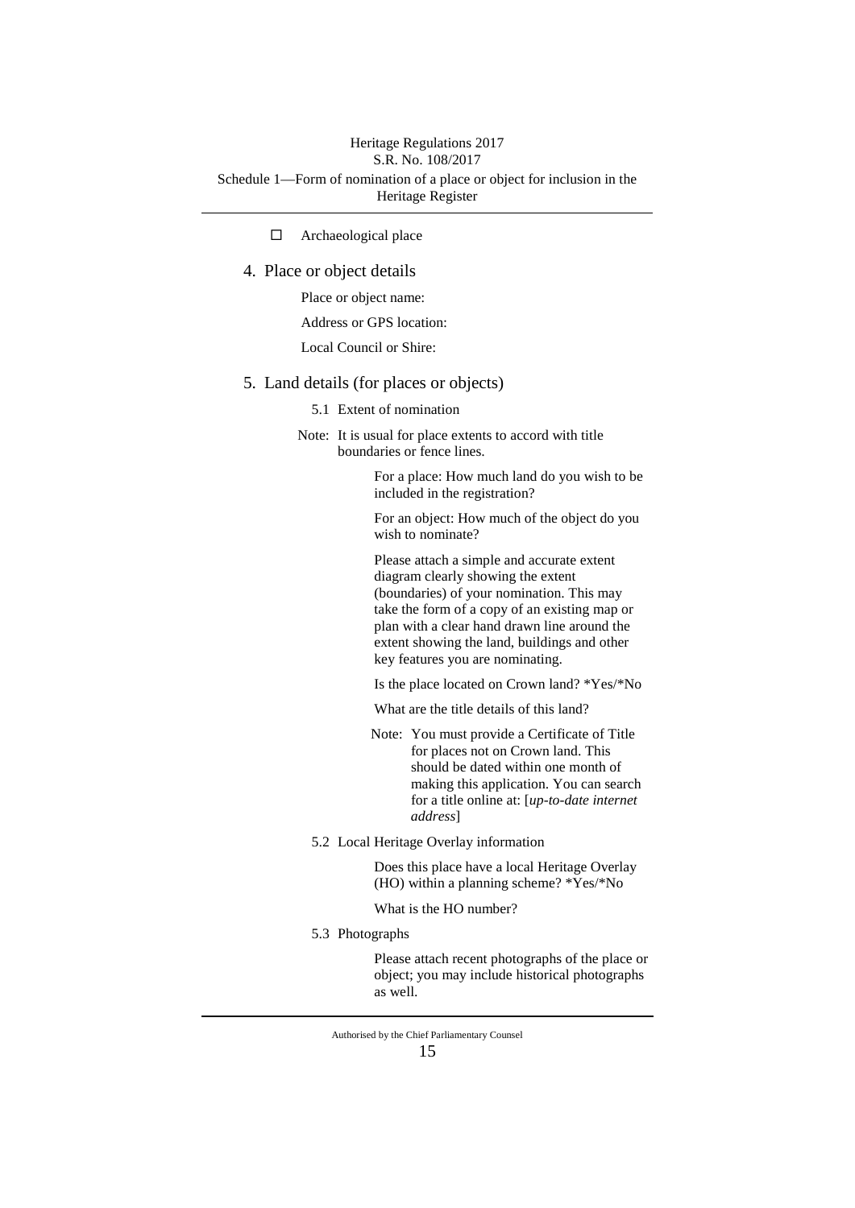## Schedule 1—Form of nomination of a place or object for inclusion in the Heritage Register Heritage Regulations 2017 S.R. No. 108/2017

□ Archaeological place

#### 4. Place or object details

Place or object name:

Address or GPS location:

Local Council or Shire:

#### 5. Land details (for places or objects)

5.1 Extent of nomination

Note: It is usual for place extents to accord with title boundaries or fence lines.

> For a place: How much land do you wish to be included in the registration?

> For an object: How much of the object do you wish to nominate?

Please attach a simple and accurate extent diagram clearly showing the extent (boundaries) of your nomination. This may take the form of a copy of an existing map or plan with a clear hand drawn line around the extent showing the land, buildings and other key features you are nominating.

Is the place located on Crown land? \*Yes/\*No

What are the title details of this land?

- Note: You must provide a Certificate of Title for places not on Crown land. This should be dated within one month of making this application. You can search for a title online at: [*up-to-date internet address*]
- 5.2 Local Heritage Overlay information

Does this place have a local Heritage Overlay (HO) within a planning scheme? \*Yes/\*No

What is the HO number?

5.3 Photographs

Please attach recent photographs of the place or object; you may include historical photographs as well.

Authorised by the Chief Parliamentary Counsel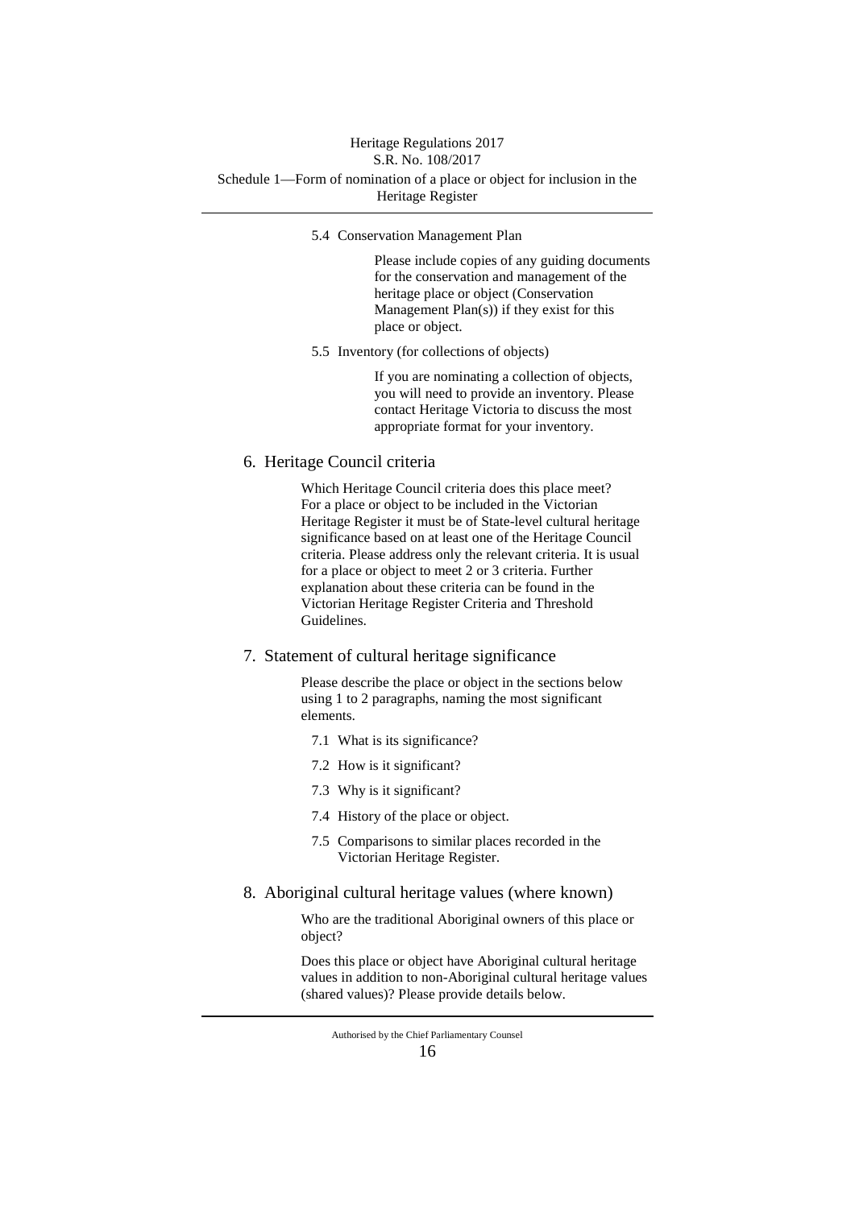# Heritage Regulations 2017

# S.R. No. 108/2017

#### Schedule 1—Form of nomination of a place or object for inclusion in the Heritage Register

5.4 Conservation Management Plan

Please include copies of any guiding documents for the conservation and management of the heritage place or object (Conservation Management Plan(s)) if they exist for this place or object.

5.5 Inventory (for collections of objects)

If you are nominating a collection of objects, you will need to provide an inventory. Please contact Heritage Victoria to discuss the most appropriate format for your inventory.

## 6. Heritage Council criteria

Which Heritage Council criteria does this place meet? For a place or object to be included in the Victorian Heritage Register it must be of State-level cultural heritage significance based on at least one of the Heritage Council criteria. Please address only the relevant criteria. It is usual for a place or object to meet 2 or 3 criteria. Further explanation about these criteria can be found in the Victorian Heritage Register Criteria and Threshold Guidelines.

#### 7. Statement of cultural heritage significance

Please describe the place or object in the sections below using 1 to 2 paragraphs, naming the most significant elements.

- 7.1 What is its significance?
- 7.2 How is it significant?
- 7.3 Why is it significant?
- 7.4 History of the place or object.
- 7.5 Comparisons to similar places recorded in the Victorian Heritage Register.

### 8. Aboriginal cultural heritage values (where known)

Who are the traditional Aboriginal owners of this place or object?

Does this place or object have Aboriginal cultural heritage values in addition to non-Aboriginal cultural heritage values (shared values)? Please provide details below.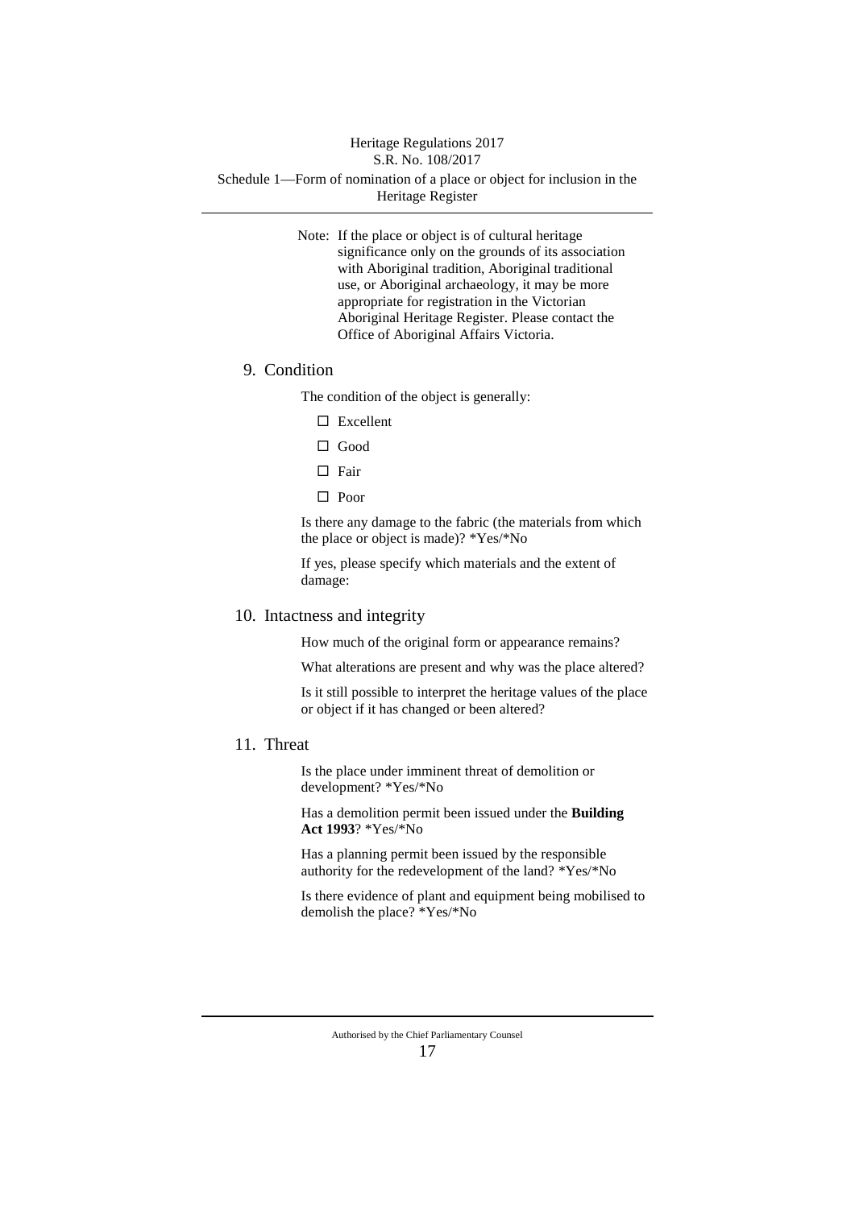#### Heritage Regulations 2017 S.R. No. 108/2017

#### Schedule 1—Form of nomination of a place or object for inclusion in the Heritage Register

Note: If the place or object is of cultural heritage significance only on the grounds of its association with Aboriginal tradition, Aboriginal traditional use, or Aboriginal archaeology, it may be more appropriate for registration in the Victorian Aboriginal Heritage Register. Please contact the Office of Aboriginal Affairs Victoria.

## 9. Condition

The condition of the object is generally:

- □ Excellent
- Good
- □ Fair
- □ Poor

Is there any damage to the fabric (the materials from which the place or object is made)? \*Yes/\*No

If yes, please specify which materials and the extent of damage:

#### 10. Intactness and integrity

How much of the original form or appearance remains?

What alterations are present and why was the place altered?

Is it still possible to interpret the heritage values of the place or object if it has changed or been altered?

#### 11. Threat

Is the place under imminent threat of demolition or development? \*Yes/\*No

Has a demolition permit been issued under the **Building Act 1993**? \*Yes/\*No

Has a planning permit been issued by the responsible authority for the redevelopment of the land? \*Yes/\*No

Is there evidence of plant and equipment being mobilised to demolish the place? \*Yes/\*No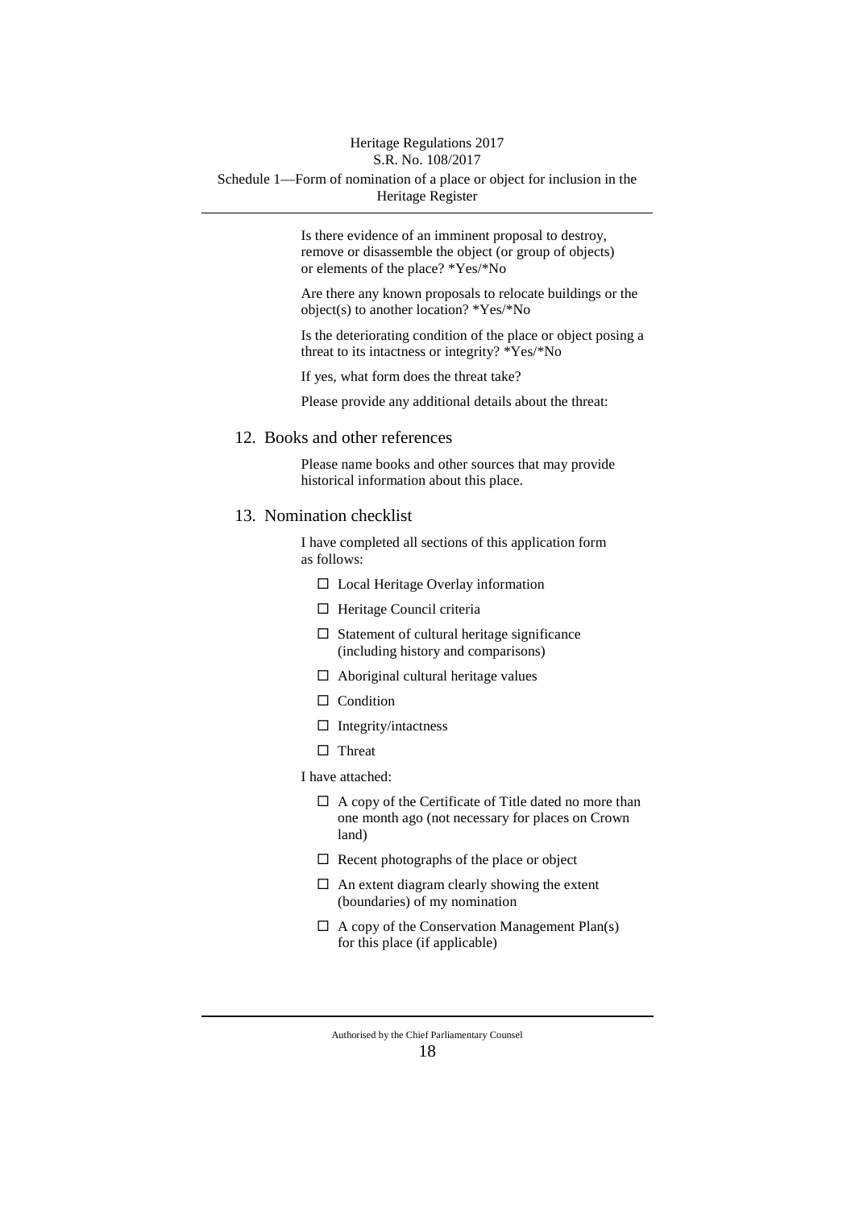#### Heritage Regulations 2017 S.R. No. 108/2017

#### Schedule 1—Form of nomination of a place or object for inclusion in the Heritage Register

Is there evidence of an imminent proposal to destroy, remove or disassemble the object (or group of objects) or elements of the place? \*Yes/\*No

Are there any known proposals to relocate buildings or the object(s) to another location? \*Yes/\*No

Is the deteriorating condition of the place or object posing a threat to its intactness or integrity? \*Yes/\*No

If yes, what form does the threat take?

Please provide any additional details about the threat:

#### 12. Books and other references

Please name books and other sources that may provide historical information about this place.

### 13. Nomination checklist

I have completed all sections of this application form as follows:

- Local Heritage Overlay information
- $\Box$  Heritage Council criteria
- $\square$  Statement of cultural heritage significance (including history and comparisons)
- $\Box$  Aboriginal cultural heritage values
- $\Box$  Condition
- $\Box$  Integrity/intactness
- □ Threat
- I have attached:
	- $\Box$  A copy of the Certificate of Title dated no more than one month ago (not necessary for places on Crown land)
	- $\Box$  Recent photographs of the place or object
	- $\Box$  An extent diagram clearly showing the extent (boundaries) of my nomination
	- $\Box$  A copy of the Conservation Management Plan(s) for this place (if applicable)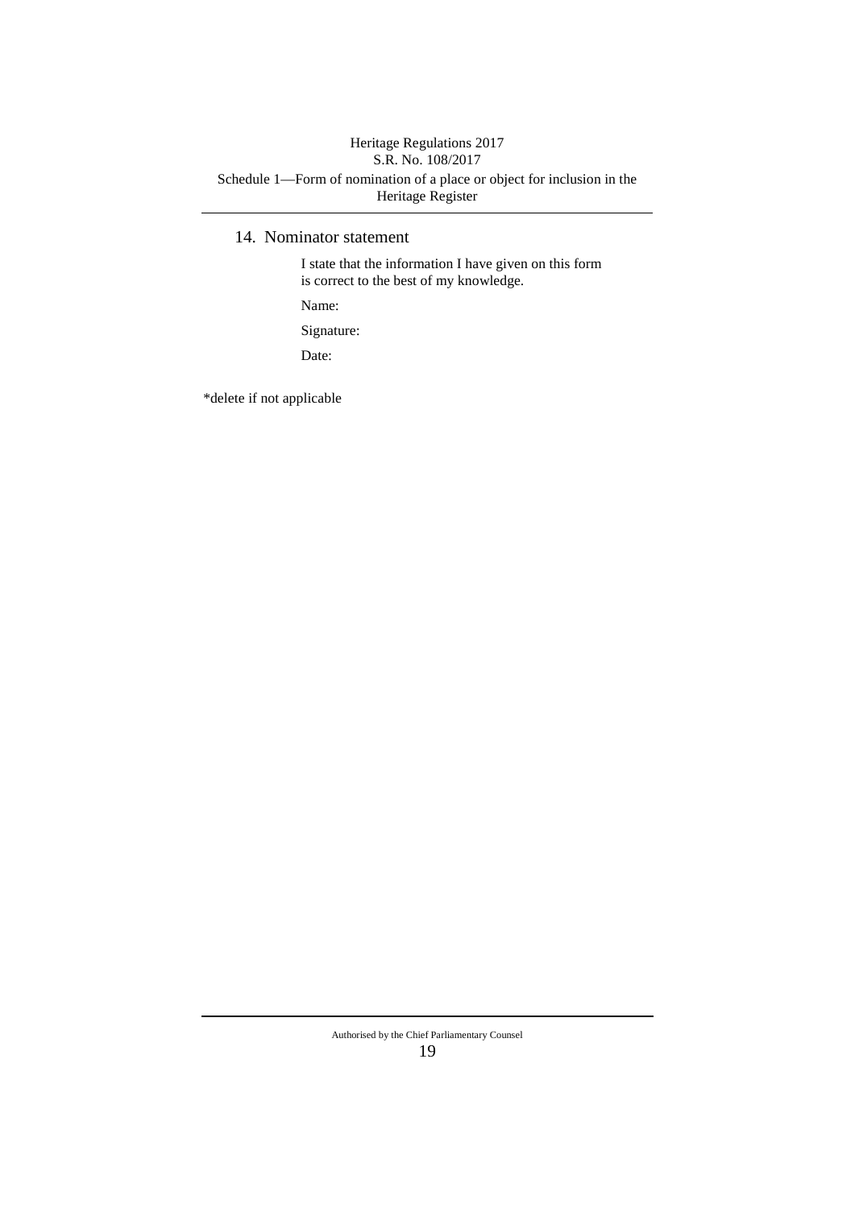## Schedule 1—Form of nomination of a place or object for inclusion in the Heritage Register Heritage Regulations 2017 S.R. No. 108/2017

## 14. Nominator statement

I state that the information I have given on this form is correct to the best of my knowledge.

Name:

Signature:

Date:

\*delete if not applicable

#### Authorised by the Chief Parliamentary Counsel 19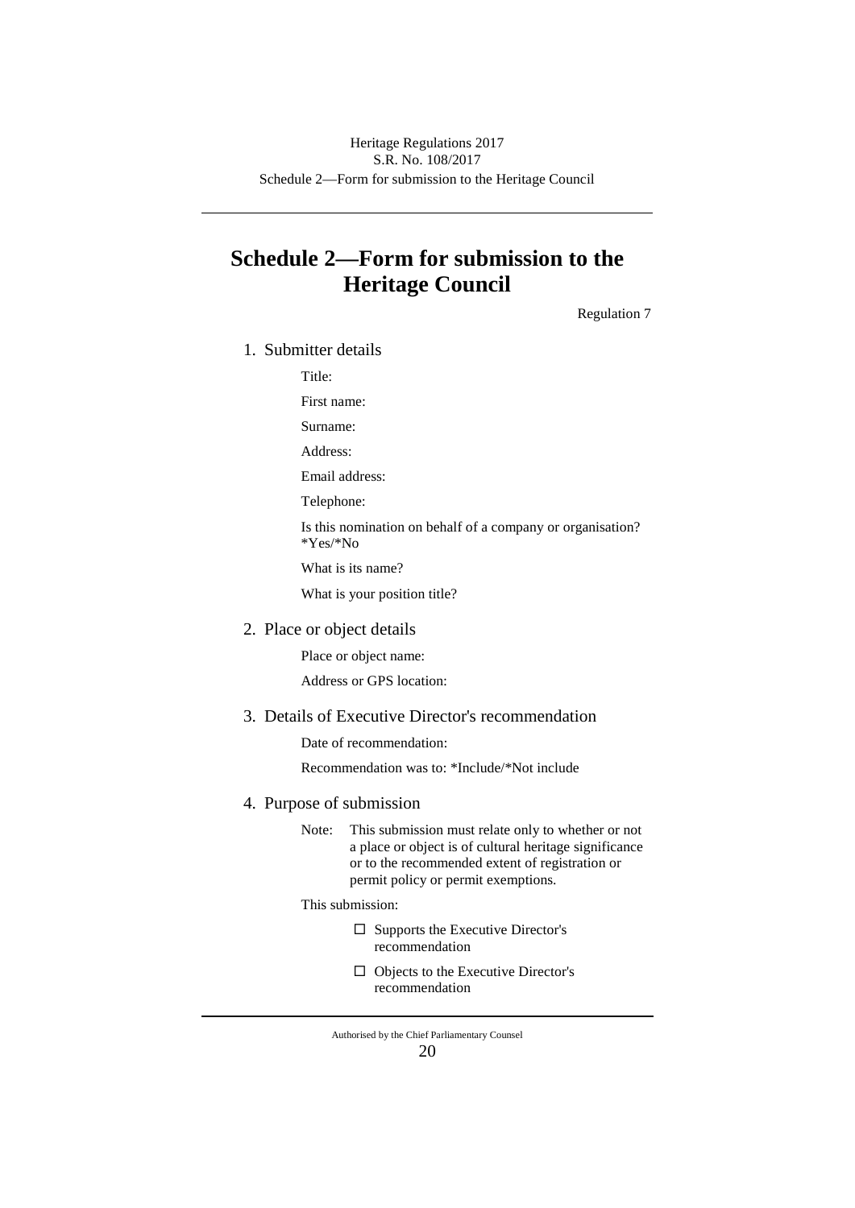# **Schedule 2—Form for submission to the Heritage Council**

Regulation 7

1. Submitter details

Title:

First name:

Surname:

Address:

Email address:

Telephone:

Is this nomination on behalf of a company or organisation? \*Yes/\*No

What is its name?

What is your position title?

2. Place or object details

Place or object name:

Address or GPS location:

3. Details of Executive Director's recommendation

Date of recommendation:

Recommendation was to: \*Include/\*Not include

#### 4. Purpose of submission

Note: This submission must relate only to whether or not a place or object is of cultural heritage significance or to the recommended extent of registration or permit policy or permit exemptions.

This submission:

- $\square$  Supports the Executive Director's recommendation
- $\Box$  Objects to the Executive Director's recommendation

Authorised by the Chief Parliamentary Counsel 20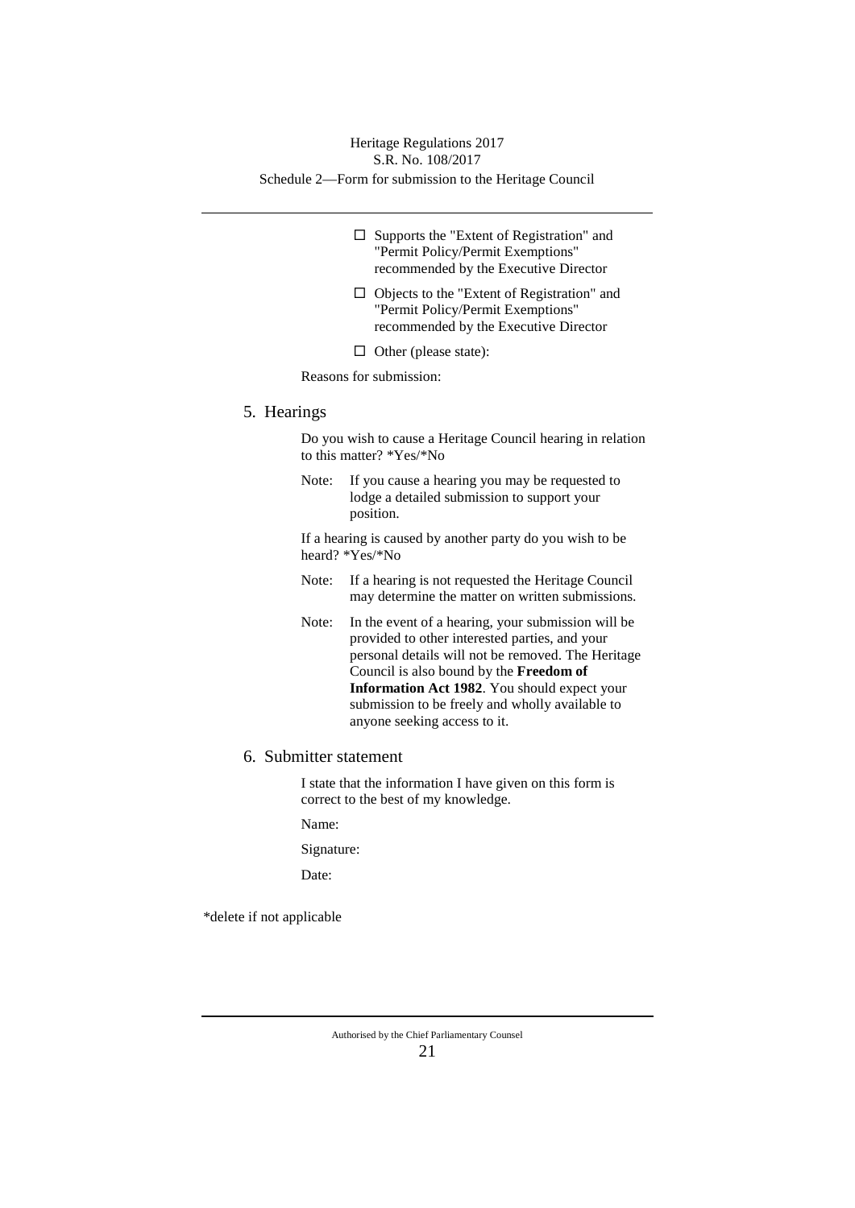### Schedule 2—Form for submission to the Heritage Council Heritage Regulations 2017 S.R. No. 108/2017

- $\square$  Supports the "Extent of Registration" and "Permit Policy/Permit Exemptions" recommended by the Executive Director
- $\Box$  Objects to the "Extent of Registration" and "Permit Policy/Permit Exemptions" recommended by the Executive Director
- $\Box$  Other (please state):

Reasons for submission:

#### 5. Hearings

Do you wish to cause a Heritage Council hearing in relation to this matter? \*Yes/\*No

Note: If you cause a hearing you may be requested to lodge a detailed submission to support your position.

If a hearing is caused by another party do you wish to be heard? \*Yes/\*No

- Note: If a hearing is not requested the Heritage Council may determine the matter on written submissions.
- Note: In the event of a hearing, your submission will be provided to other interested parties, and your personal details will not be removed. The Heritage Council is also bound by the **Freedom of Information Act 1982**. You should expect your submission to be freely and wholly available to anyone seeking access to it.
- 6. Submitter statement

I state that the information I have given on this form is correct to the best of my knowledge.

Name:

Signature:

Date:

\*delete if not applicable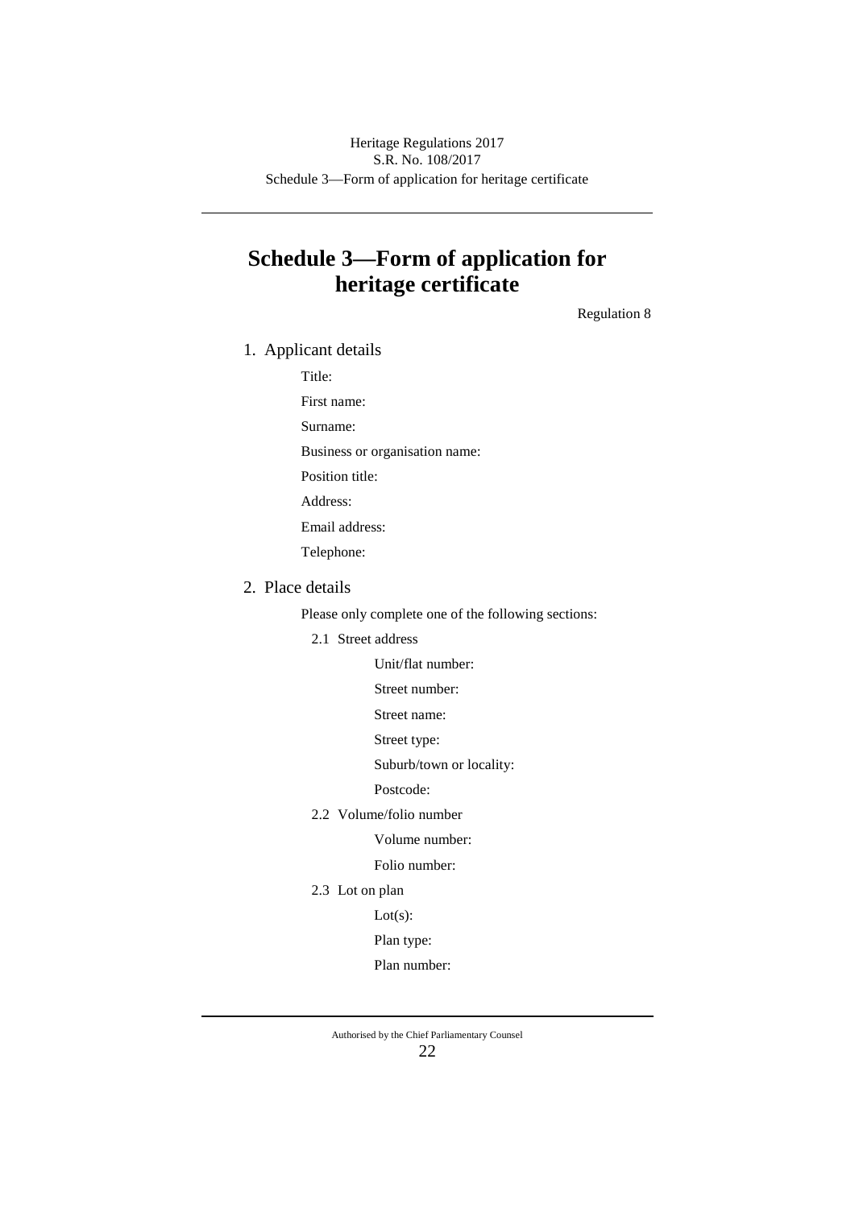Schedule 3—Form of application for heritage certificate Heritage Regulations 2017 S.R. No. 108/2017

# **Schedule 3—Form of application for heritage certificate**

Regulation 8

1. Applicant details

Title:

First name:

Surname:

Business or organisation name:

Position title:

Address:

Email address:

Telephone:

## 2. Place details

Please only complete one of the following sections:

2.1 Street address

Unit/flat number:

Street number:

Street name:

Street type:

Suburb/town or locality:

Postcode:

2.2 Volume/folio number

Volume number:

Folio number:

2.3 Lot on plan

Lot(s):

#### Plan type:

Plan number: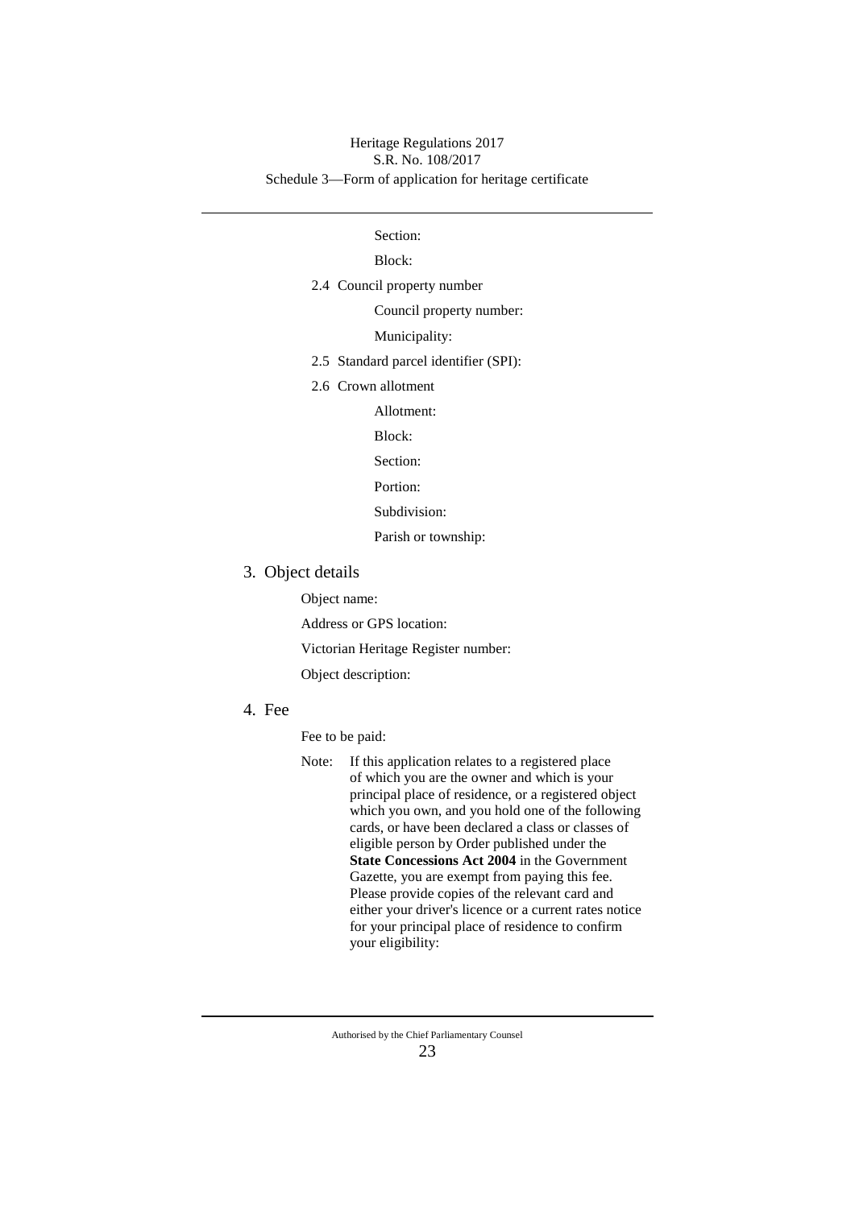### Schedule 3—Form of application for heritage certificate Heritage Regulations 2017 S.R. No. 108/2017

### Section:

#### Block:

- 2.4 Council property number
	- Council property number:
	- Municipality:
- 2.5 Standard parcel identifier (SPI):
- 2.6 Crown allotment

Allotment:

Block:

- Section:
- Portion:
- Subdivision:
- Parish or township:
- 3. Object details

Object name:

Address or GPS location:

Victorian Heritage Register number:

- Object description:
- 4. Fee

Fee to be paid:

Note: If this application relates to a registered place of which you are the owner and which is your principal place of residence, or a registered object which you own, and you hold one of the following cards, or have been declared a class or classes of eligible person by Order published under the **State Concessions Act 2004** in the Government Gazette, you are exempt from paying this fee. Please provide copies of the relevant card and either your driver's licence or a current rates notice for your principal place of residence to confirm your eligibility: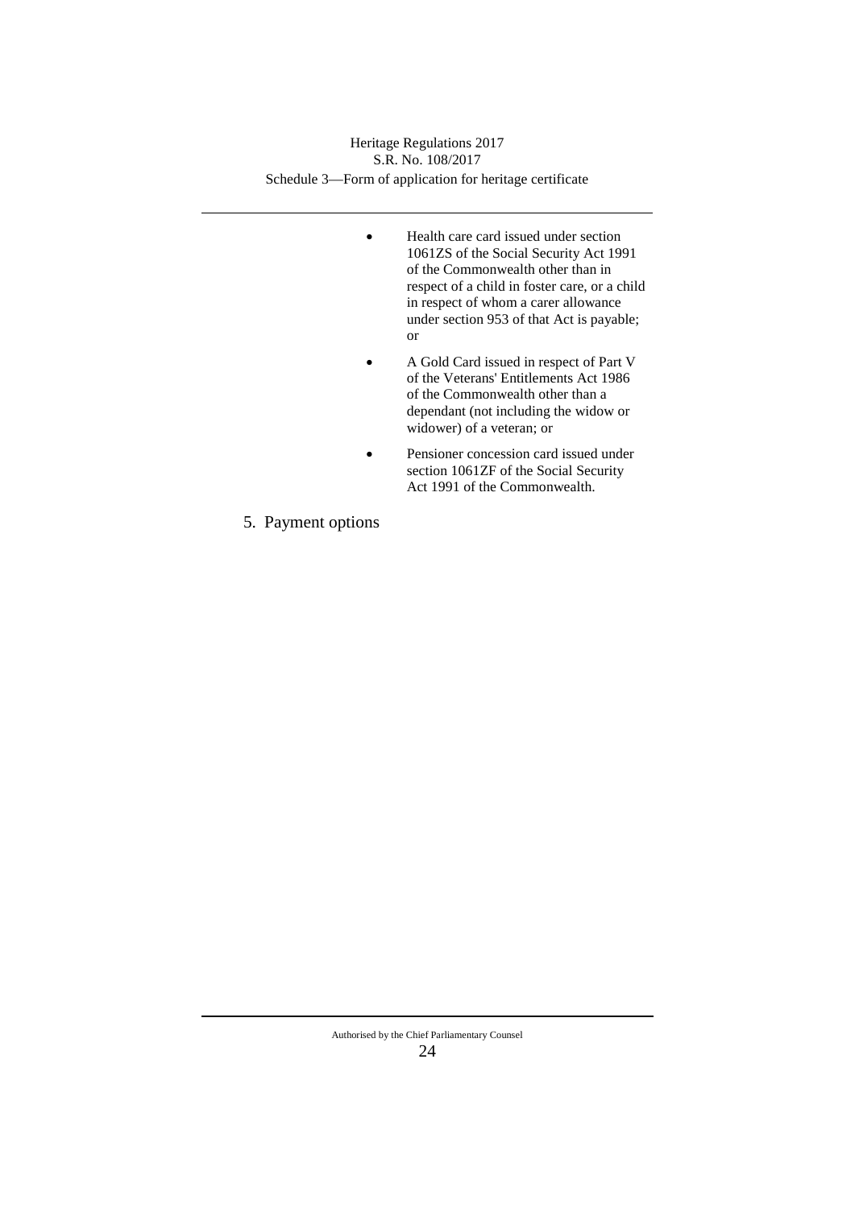Schedule 3—Form of application for heritage certificate Heritage Regulations 2017 S.R. No. 108/2017

- Health care card issued under section 1061ZS of the Social Security Act 1991 of the Commonwealth other than in respect of a child in foster care, or a child in respect of whom a carer allowance under section 953 of that Act is payable; or
- A Gold Card issued in respect of Part V of the Veterans' Entitlements Act 1986 of the Commonwealth other than a dependant (not including the widow or widower) of a veteran; or
- Pensioner concession card issued under section 1061ZF of the Social Security Act 1991 of the Commonwealth.
- 5. Payment options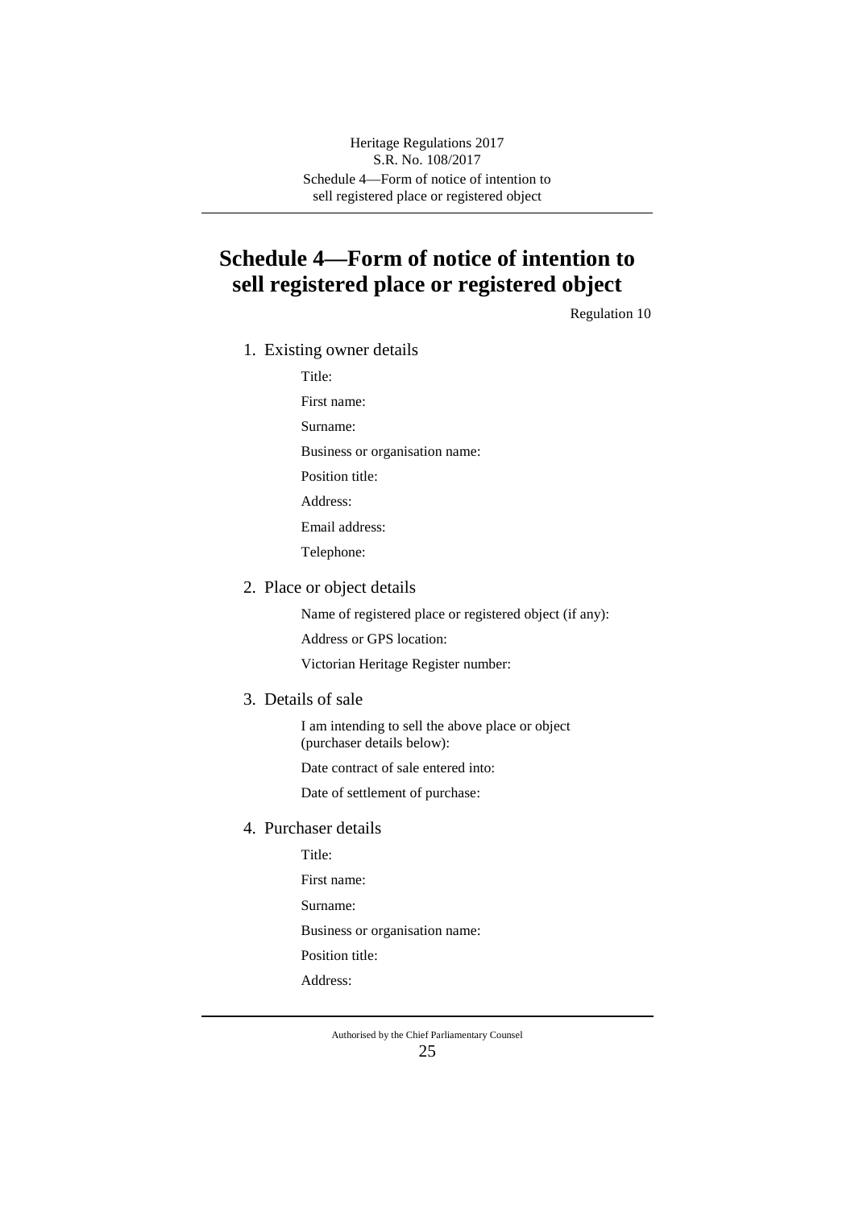Schedule 4—Form of notice of intention to sell registered place or registered object Heritage Regulations 2017 S.R. No. 108/2017

# **Schedule 4—Form of notice of intention to sell registered place or registered object**

Regulation 10

1. Existing owner details

Title:

First name: Surname: Business or organisation name: Position title: Address: Email address: Telephone:

2. Place or object details

Name of registered place or registered object (if any):

Address or GPS location:

Victorian Heritage Register number:

3. Details of sale

I am intending to sell the above place or object (purchaser details below):

Date contract of sale entered into:

Date of settlement of purchase:

4. Purchaser details

Title:

First name:

Surname:

Business or organisation name:

Position title:

Address: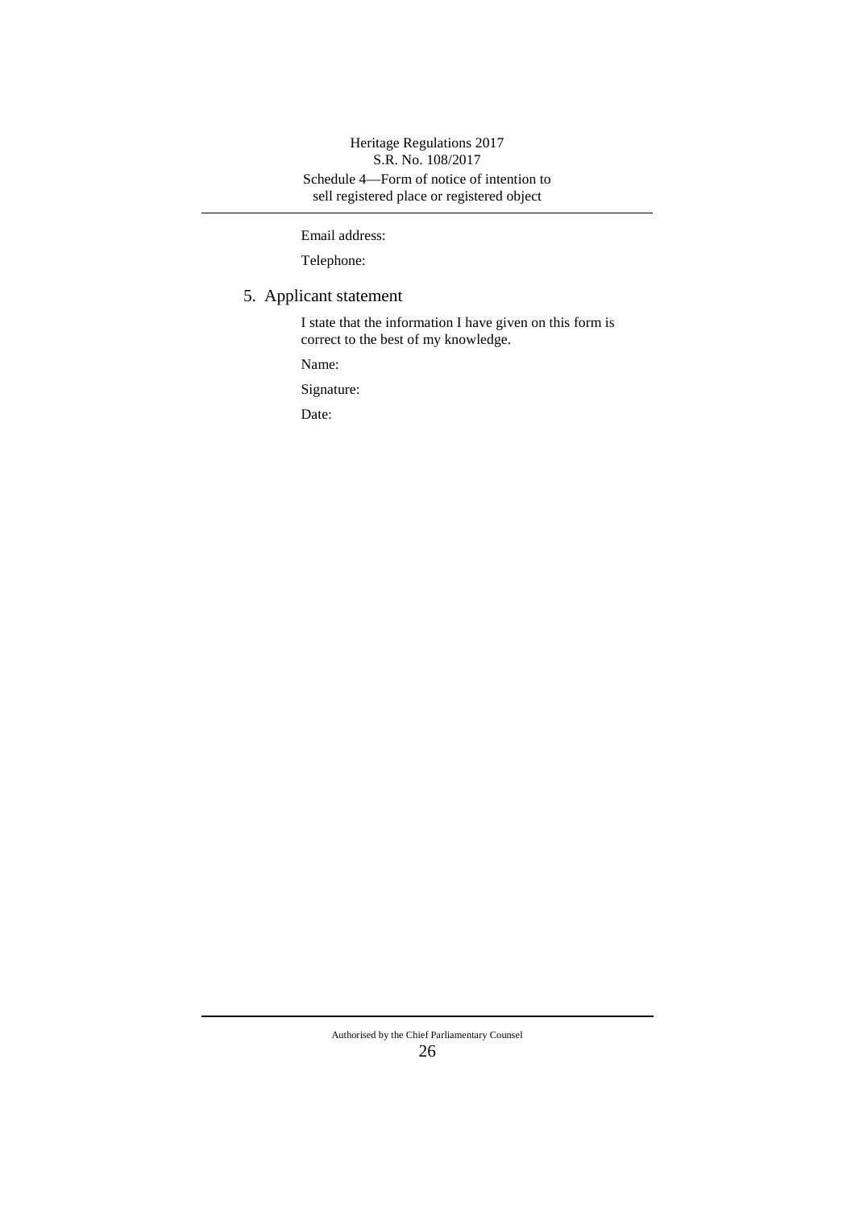Schedule 4—Form of notice of intention to sell registered place or registered object Heritage Regulations 2017 S.R. No. 108/2017

Email address:

Telephone:

# 5. Applicant statement

I state that the information I have given on this form is correct to the best of my knowledge.

Name:

Signature:

Date:

#### Authorised by the Chief Parliamentary Counsel 26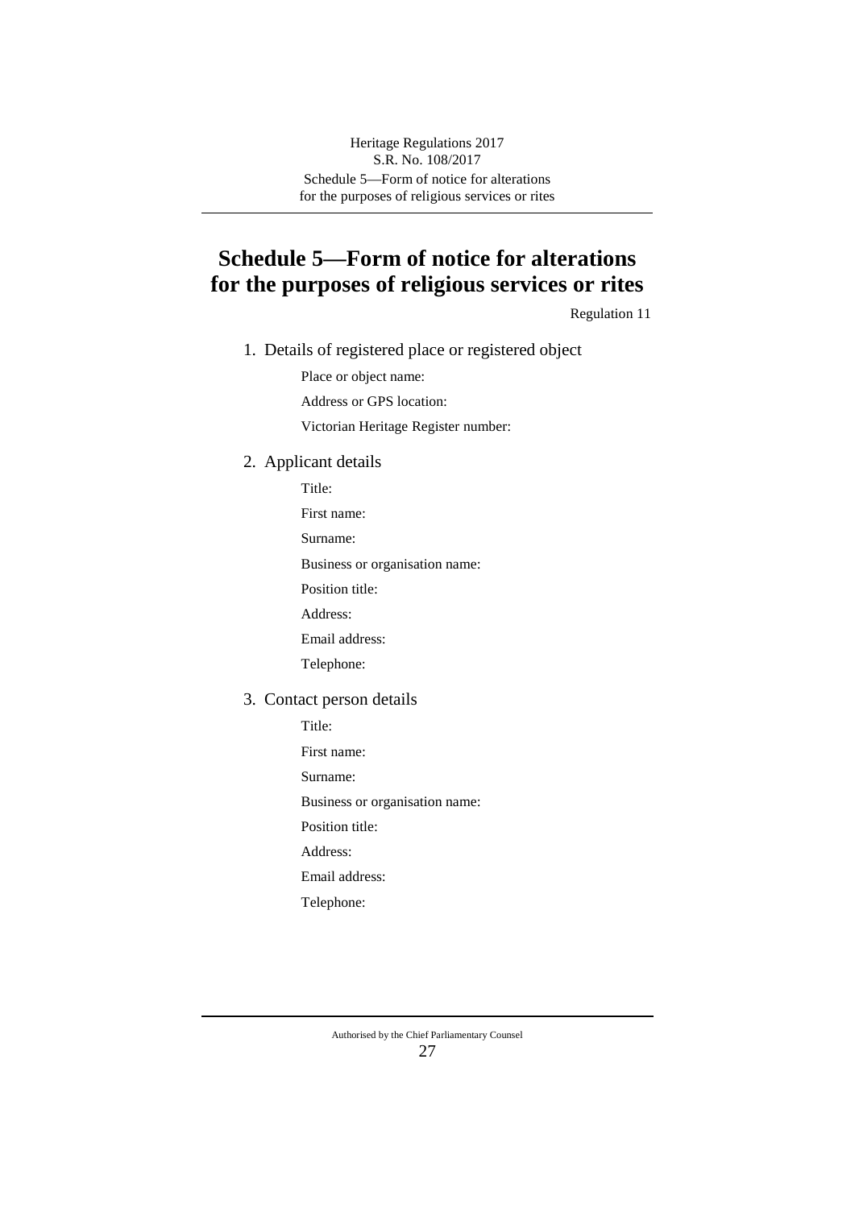# **Schedule 5—Form of notice for alterations for the purposes of religious services or rites**

Regulation 11

1. Details of registered place or registered object

Place or object name:

Address or GPS location:

Victorian Heritage Register number:

## 2. Applicant details

Title:

First name:

Surname:

Business or organisation name:

Position title:

Address:

Email address:

Telephone:

#### 3. Contact person details

Title:

First name:

Surname:

Business or organisation name:

Position title:

Address:

Email address:

Telephone: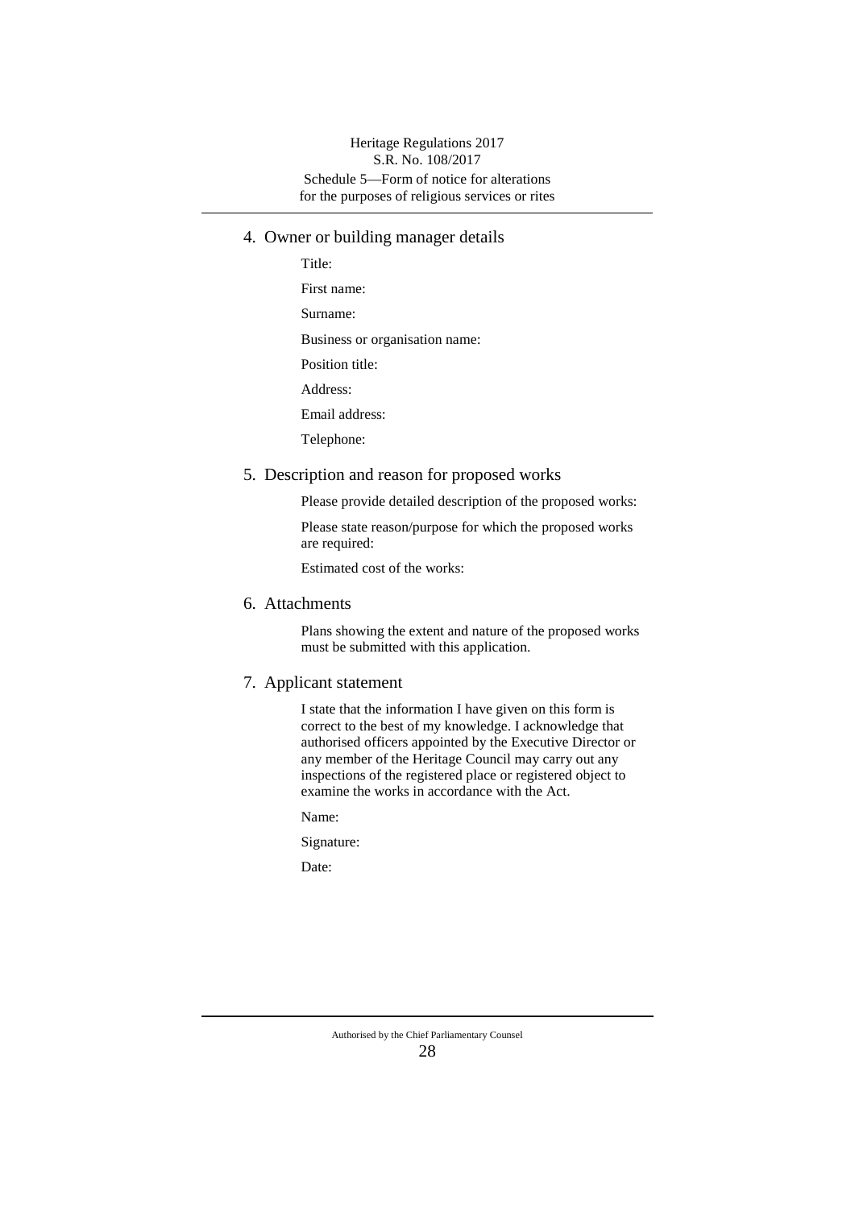### Schedule 5—Form of notice for alterations for the purposes of religious services or rites Heritage Regulations 2017 S.R. No. 108/2017

- 4. Owner or building manager details
	- Title: First name: Surname: Business or organisation name: Position title: Address: Email address: Telephone:
- 5. Description and reason for proposed works

Please provide detailed description of the proposed works:

Please state reason/purpose for which the proposed works are required:

Estimated cost of the works:

6. Attachments

Plans showing the extent and nature of the proposed works must be submitted with this application.

7. Applicant statement

I state that the information I have given on this form is correct to the best of my knowledge. I acknowledge that authorised officers appointed by the Executive Director or any member of the Heritage Council may carry out any inspections of the registered place or registered object to examine the works in accordance with the Act.

Name:

Signature:

Date: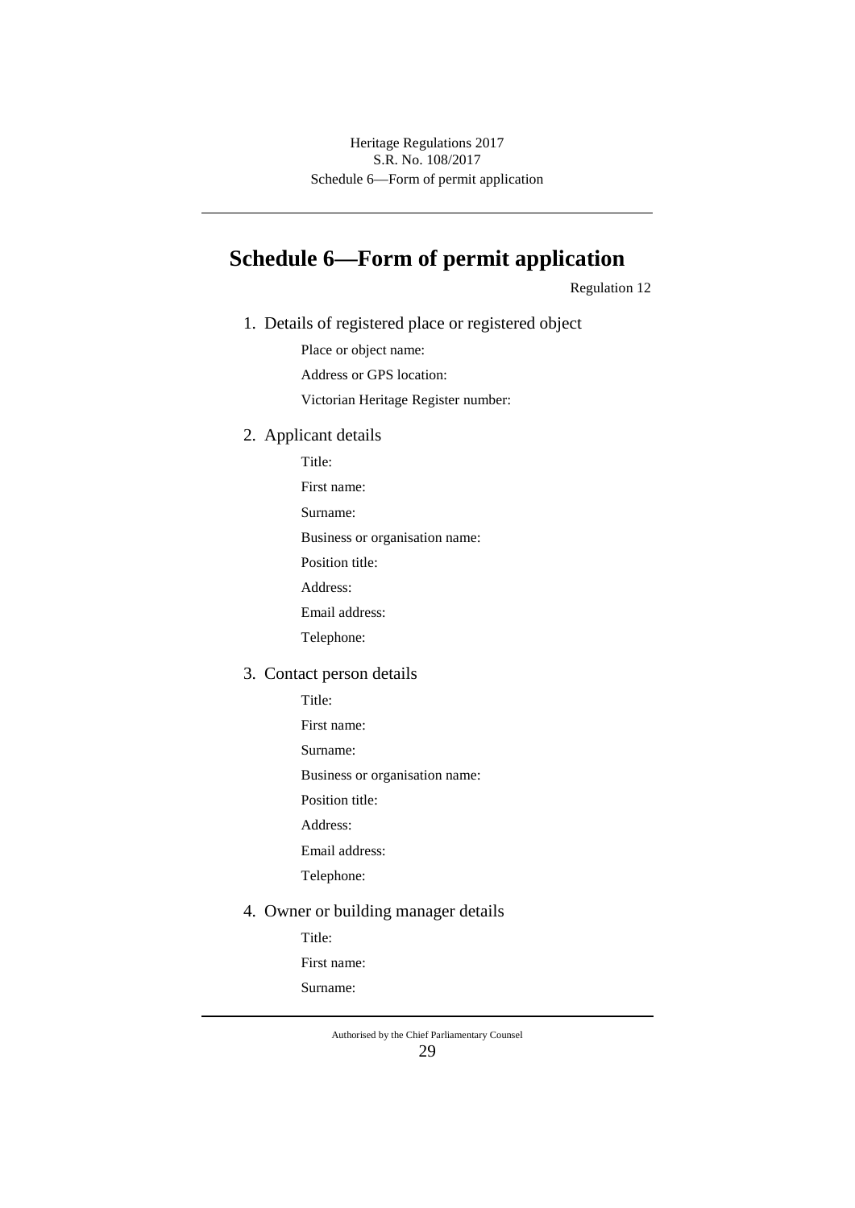# **Schedule 6—Form of permit application**

Regulation 12

1. Details of registered place or registered object

Place or object name:

Address or GPS location:

Victorian Heritage Register number:

2. Applicant details

Title:

First name:

Surname:

Business or organisation name:

Position title:

Address:

Email address:

Telephone:

#### 3. Contact person details

Title:

First name:

Surname:

Business or organisation name:

Position title:

Address:

Email address:

Telephone:

# 4. Owner or building manager details

Title:

First name:

Surname: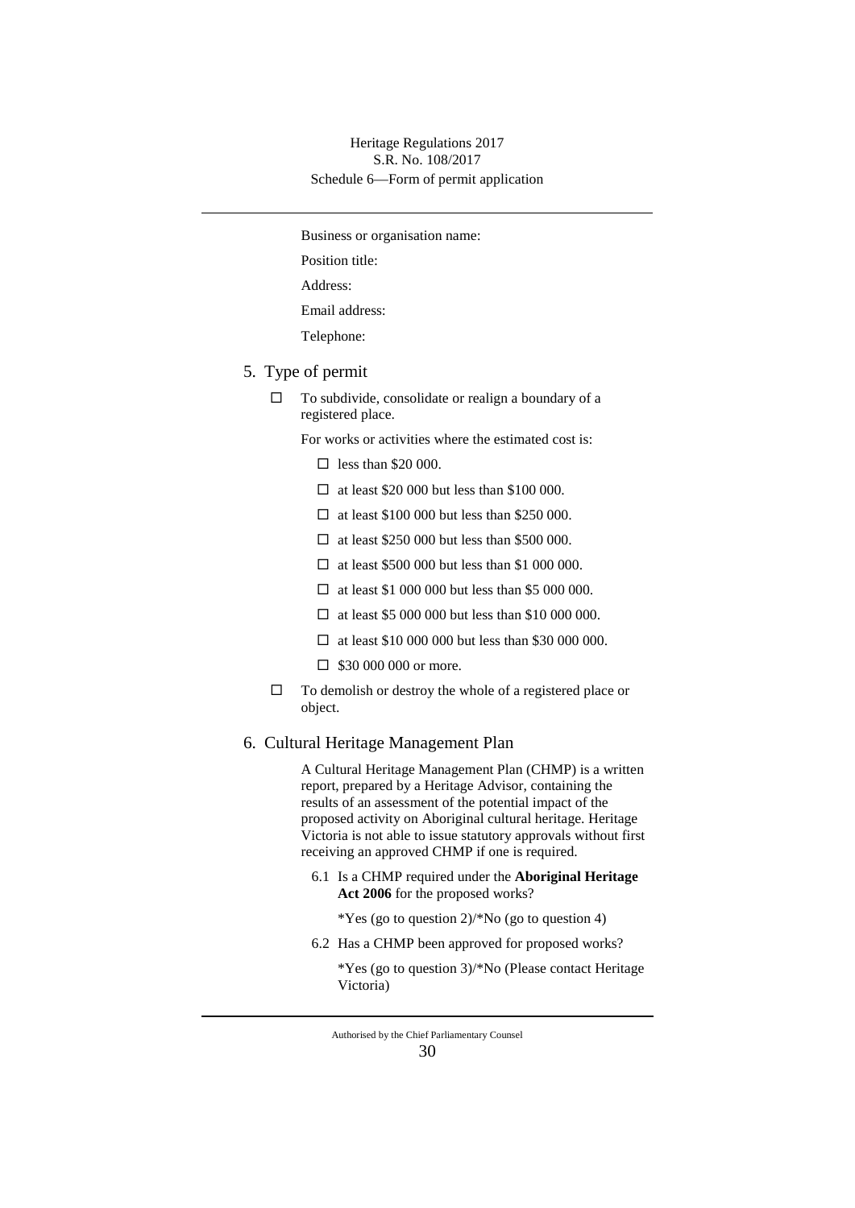Business or organisation name:

Position title:

Address:

Email address:

Telephone:

- 5. Type of permit
	- $\Box$  To subdivide, consolidate or realign a boundary of a registered place.

For works or activities where the estimated cost is:

- $\Box$  less than \$20 000.
- $\Box$  at least \$20 000 but less than \$100 000.
- $\Box$  at least \$100 000 but less than \$250 000.
- $\Box$  at least \$250 000 but less than \$500 000.
- $\Box$  at least \$500 000 but less than \$1 000 000.
- $\Box$  at least \$1 000 000 but less than \$5 000 000.
- $\Box$  at least \$5 000 000 but less than \$10 000 000.
- $\Box$  at least \$10 000 000 but less than \$30 000 000.
- $\Box$  \$30 000 000 or more.
- $\Box$  To demolish or destroy the whole of a registered place or object.

### 6. Cultural Heritage Management Plan

A Cultural Heritage Management Plan (CHMP) is a written report, prepared by a Heritage Advisor, containing the results of an assessment of the potential impact of the proposed activity on Aboriginal cultural heritage. Heritage Victoria is not able to issue statutory approvals without first receiving an approved CHMP if one is required.

6.1 Is a CHMP required under the **Aboriginal Heritage Act 2006** for the proposed works?

\*Yes (go to question 2)/\*No (go to question 4)

6.2 Has a CHMP been approved for proposed works?

\*Yes (go to question 3)/\*No (Please contact Heritage Victoria)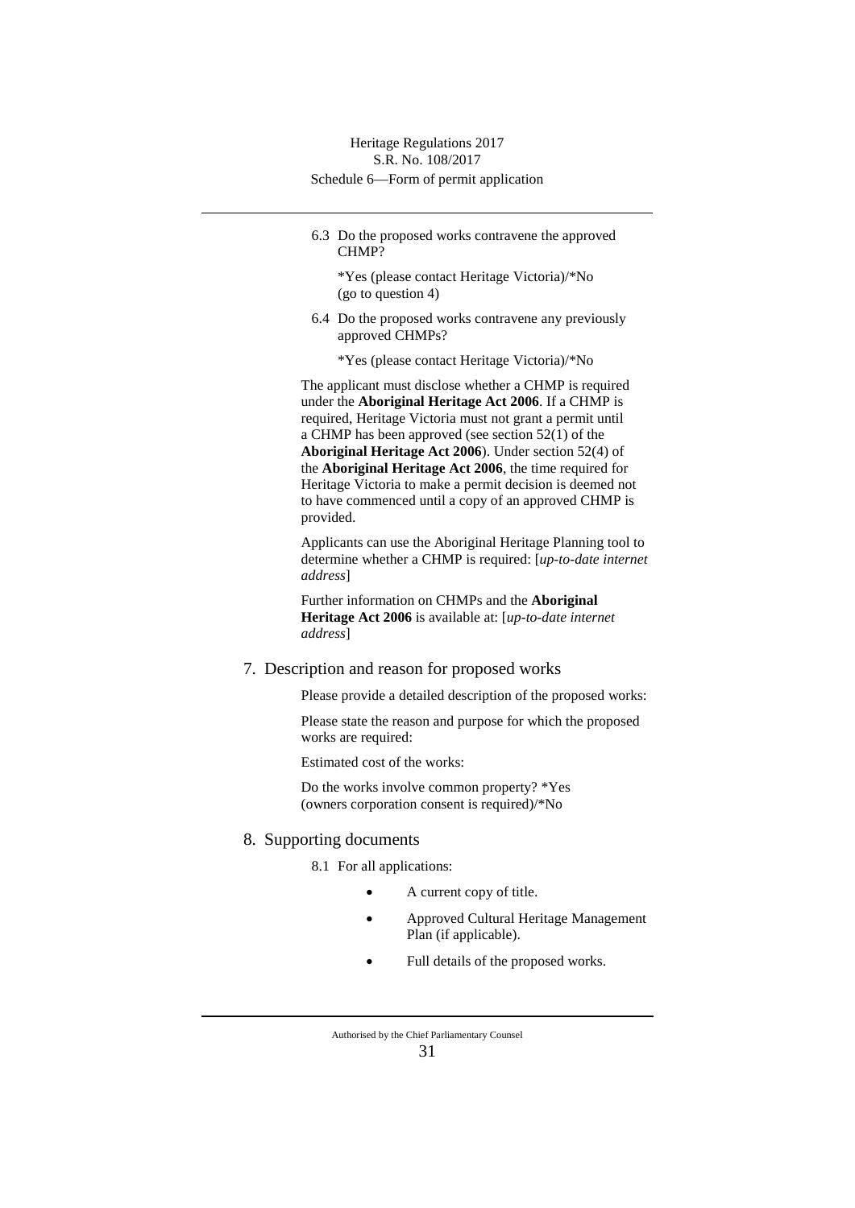6.3 Do the proposed works contravene the approved CHMP?

\*Yes (please contact Heritage Victoria)/\*No (go to question 4)

- 6.4 Do the proposed works contravene any previously approved CHMPs?
	- \*Yes (please contact Heritage Victoria)/\*No

The applicant must disclose whether a CHMP is required under the **Aboriginal Heritage Act 2006**. If a CHMP is required, Heritage Victoria must not grant a permit until a CHMP has been approved (see section 52(1) of the **Aboriginal Heritage Act 2006**). Under section 52(4) of the **Aboriginal Heritage Act 2006**, the time required for Heritage Victoria to make a permit decision is deemed not to have commenced until a copy of an approved CHMP is provided.

Applicants can use the Aboriginal Heritage Planning tool to determine whether a CHMP is required: [*up-to-date internet address*]

Further information on CHMPs and the **Aboriginal Heritage Act 2006** is available at: [*up-to-date internet address*]

#### 7. Description and reason for proposed works

Please provide a detailed description of the proposed works:

Please state the reason and purpose for which the proposed works are required:

Estimated cost of the works:

Do the works involve common property? \*Yes (owners corporation consent is required)/\*No

### 8. Supporting documents

8.1 For all applications:

- A current copy of title.
- Approved Cultural Heritage Management Plan (if applicable).
- Full details of the proposed works.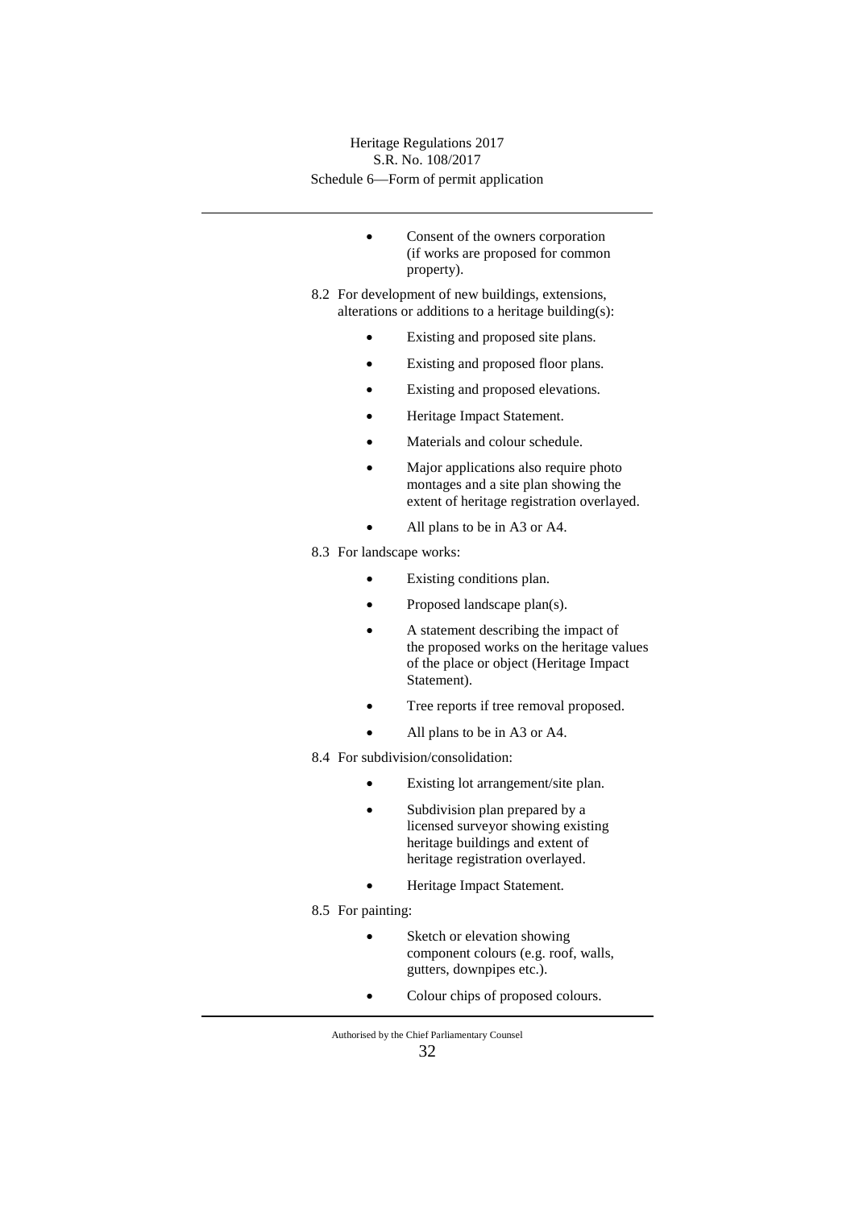- Consent of the owners corporation (if works are proposed for common property).
- 8.2 For development of new buildings, extensions, alterations or additions to a heritage building(s):
	- Existing and proposed site plans.
	- Existing and proposed floor plans.
	- Existing and proposed elevations.
	- Heritage Impact Statement.
	- Materials and colour schedule.
	- Major applications also require photo montages and a site plan showing the extent of heritage registration overlayed.
		- All plans to be in A3 or A4.
- 8.3 For landscape works:
	- Existing conditions plan.
	- Proposed landscape plan(s).
	- A statement describing the impact of the proposed works on the heritage values of the place or object (Heritage Impact Statement).
	- Tree reports if tree removal proposed.
	- All plans to be in A3 or A4.
- 8.4 For subdivision/consolidation:
	- Existing lot arrangement/site plan.
	- Subdivision plan prepared by a licensed surveyor showing existing heritage buildings and extent of heritage registration overlayed.
	- Heritage Impact Statement.
- 8.5 For painting:
	- Sketch or elevation showing component colours (e.g. roof, walls, gutters, downpipes etc.).
	- Colour chips of proposed colours.

Authorised by the Chief Parliamentary Counsel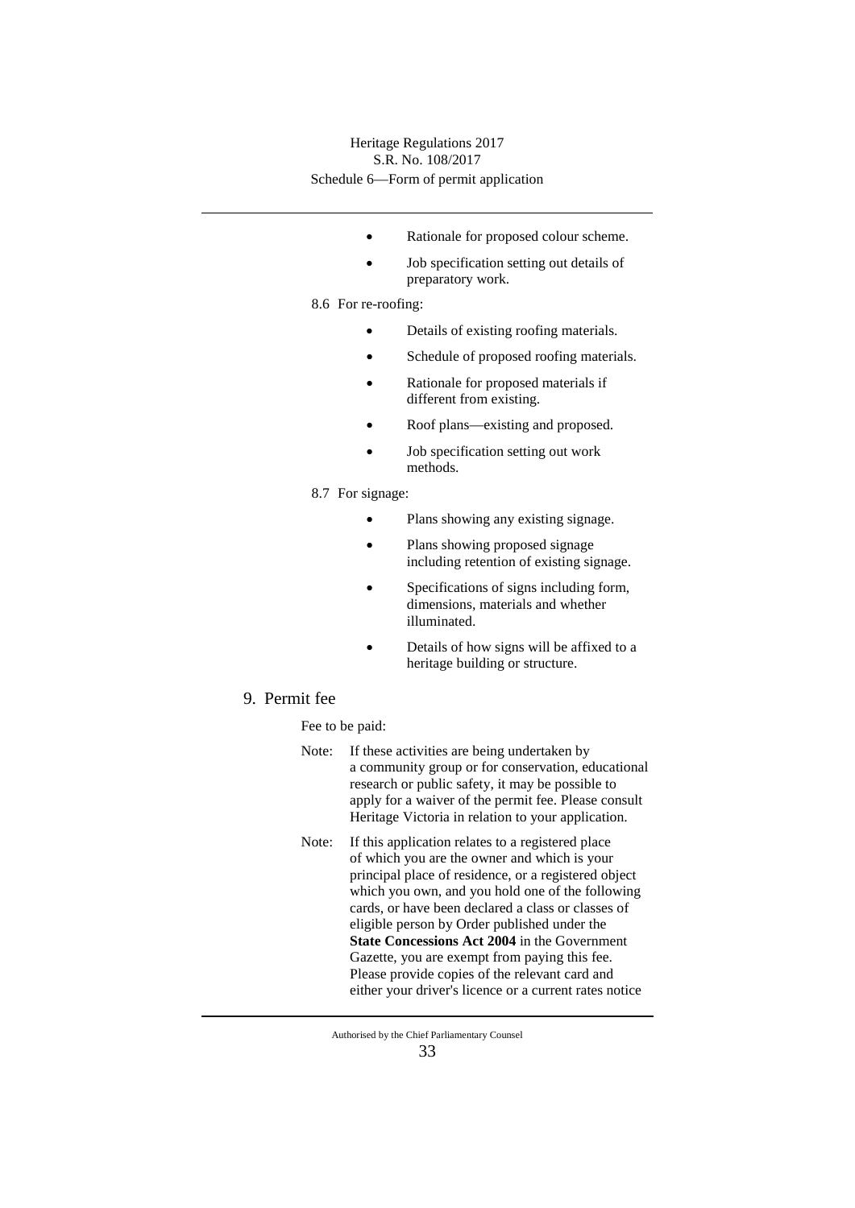- Rationale for proposed colour scheme.
- Job specification setting out details of preparatory work.

8.6 For re-roofing:

- Details of existing roofing materials.
- Schedule of proposed roofing materials.
- Rationale for proposed materials if different from existing.
- Roof plans—existing and proposed.
- Job specification setting out work methods.
- 8.7 For signage:
	- Plans showing any existing signage.
	- Plans showing proposed signage including retention of existing signage.
	- Specifications of signs including form, dimensions, materials and whether illuminated.
	- Details of how signs will be affixed to a heritage building or structure.
- 9. Permit fee

Fee to be paid:

- Note: If these activities are being undertaken by a community group or for conservation, educational research or public safety, it may be possible to apply for a waiver of the permit fee. Please consult Heritage Victoria in relation to your application.
- Note: If this application relates to a registered place of which you are the owner and which is your principal place of residence, or a registered object which you own, and you hold one of the following cards, or have been declared a class or classes of eligible person by Order published under the **State Concessions Act 2004** in the Government Gazette, you are exempt from paying this fee. Please provide copies of the relevant card and either your driver's licence or a current rates notice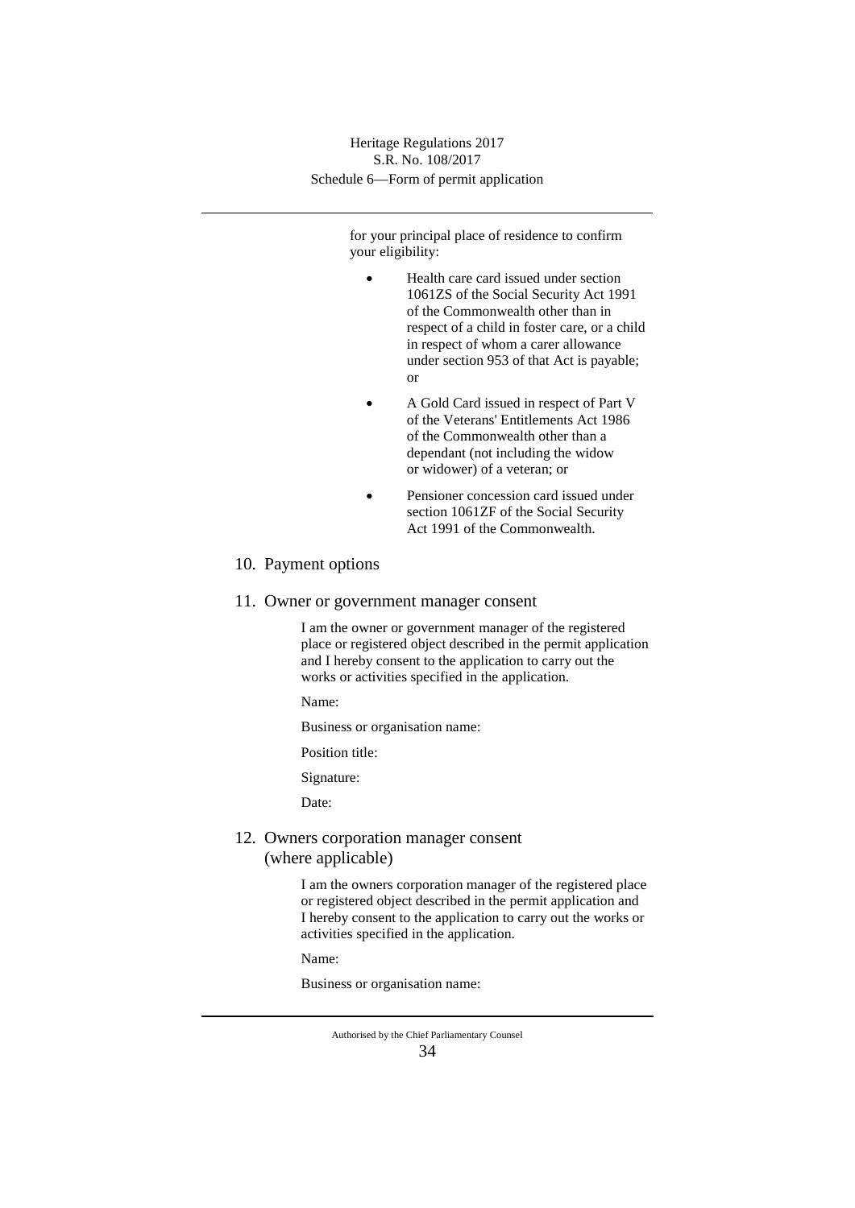> for your principal place of residence to confirm your eligibility:

- Health care card issued under section 1061ZS of the Social Security Act 1991 of the Commonwealth other than in respect of a child in foster care, or a child in respect of whom a carer allowance under section 953 of that Act is payable; or
- A Gold Card issued in respect of Part V of the Veterans' Entitlements Act 1986 of the Commonwealth other than a dependant (not including the widow or widower) of a veteran; or
- Pensioner concession card issued under section 1061ZF of the Social Security Act 1991 of the Commonwealth.

### 10. Payment options

11. Owner or government manager consent

I am the owner or government manager of the registered place or registered object described in the permit application and I hereby consent to the application to carry out the works or activities specified in the application.

Name:

Business or organisation name:

Position title:

Signature:

Date:

## 12. Owners corporation manager consent (where applicable)

I am the owners corporation manager of the registered place or registered object described in the permit application and I hereby consent to the application to carry out the works or activities specified in the application.

Name:

Business or organisation name: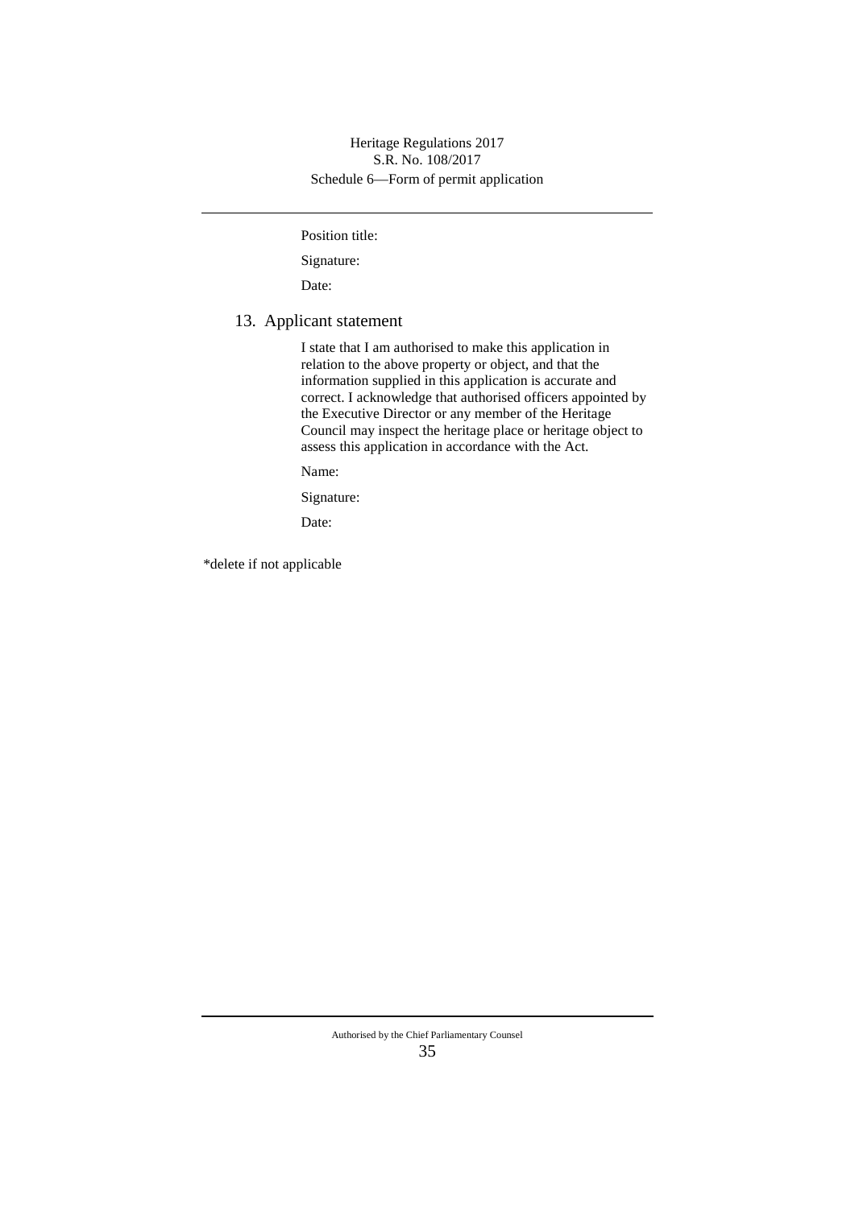Position title:

Signature:

Date:

## 13. Applicant statement

I state that I am authorised to make this application in relation to the above property or object, and that the information supplied in this application is accurate and correct. I acknowledge that authorised officers appointed by the Executive Director or any member of the Heritage Council may inspect the heritage place or heritage object to assess this application in accordance with the Act.

Name:

Signature:

Date:

\*delete if not applicable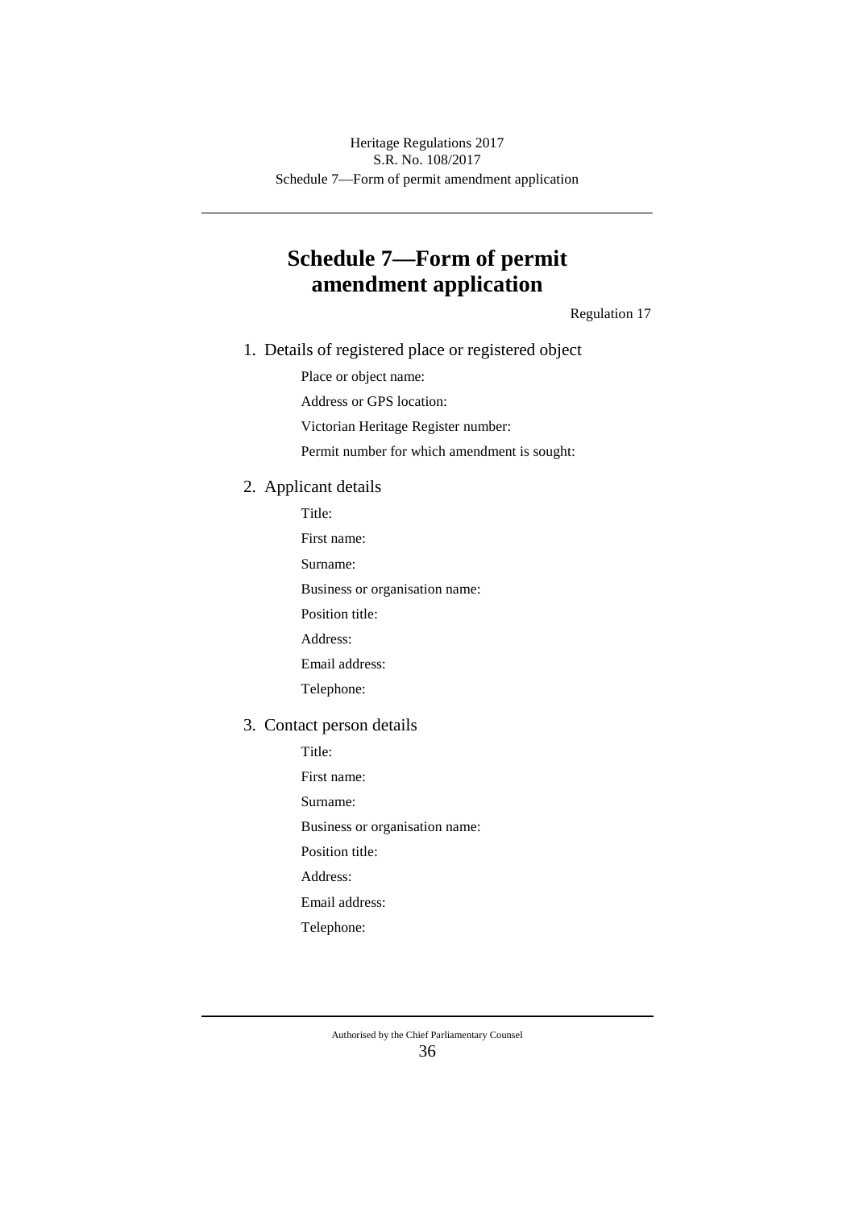# **Schedule 7—Form of permit amendment application**

Regulation 17

1. Details of registered place or registered object

Place or object name:

Address or GPS location:

Victorian Heritage Register number:

Permit number for which amendment is sought:

- 2. Applicant details
	- Title:
	- First name:
	- Surname:

Business or organisation name:

Position title:

Address:

Email address:

Telephone:

#### 3. Contact person details

Title:

First name:

Surname:

Business or organisation name:

Position title:

Address:

Email address:

Telephone: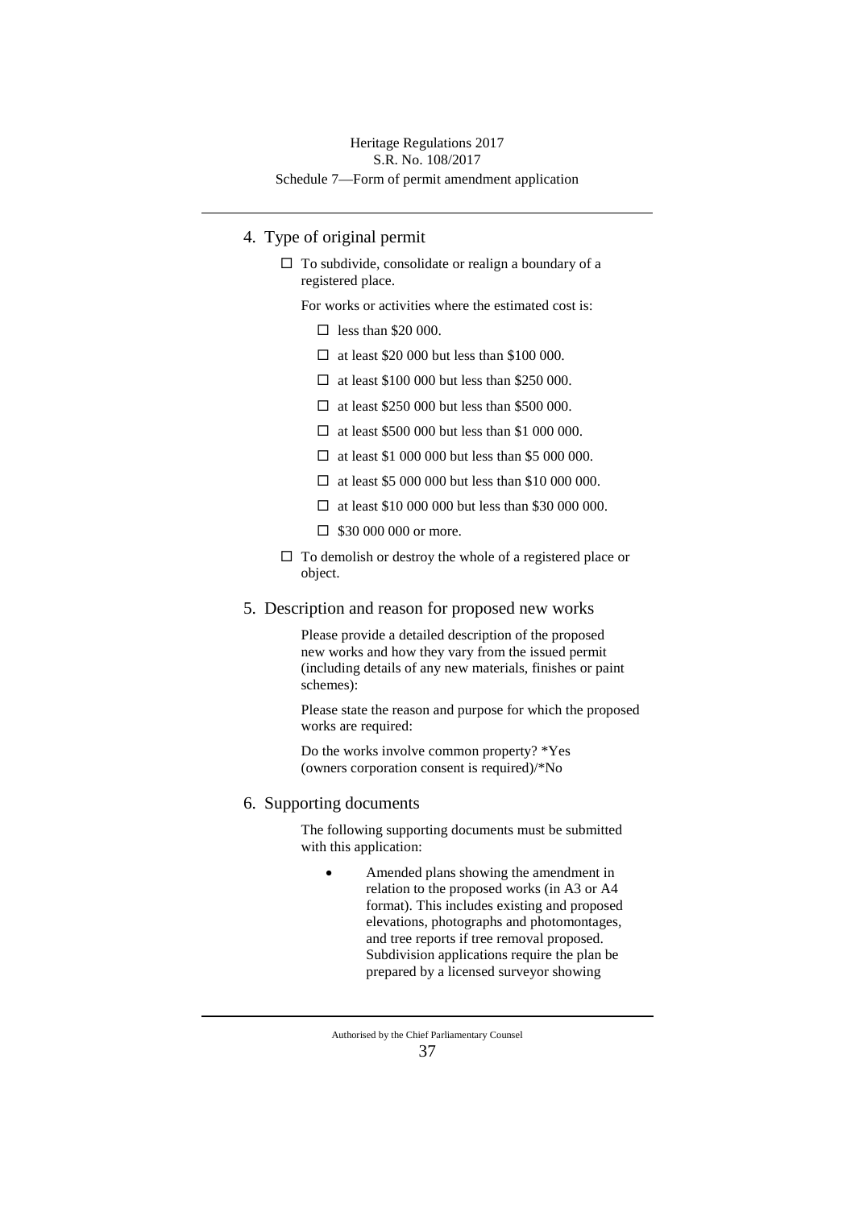## 4. Type of original permit

 $\Box$  To subdivide, consolidate or realign a boundary of a registered place.

For works or activities where the estimated cost is:

- $\Box$  less than \$20 000.
- $\Box$  at least \$20 000 but less than \$100 000.
- $\Box$  at least \$100 000 but less than \$250 000.
- $\Box$  at least \$250 000 but less than \$500 000.
- $\Box$  at least \$500 000 but less than \$1 000 000.
- $\Box$  at least \$1,000,000 but less than \$5,000,000.
- $\Box$  at least \$5 000 000 but less than \$10 000 000.
- $\Box$  at least \$10 000 000 but less than \$30 000 000.
- $\Box$  \$30 000 000 or more.
- To demolish or destroy the whole of a registered place or object.
- 5. Description and reason for proposed new works

Please provide a detailed description of the proposed new works and how they vary from the issued permit (including details of any new materials, finishes or paint schemes):

Please state the reason and purpose for which the proposed works are required:

Do the works involve common property? \*Yes (owners corporation consent is required)/\*No

#### 6. Supporting documents

The following supporting documents must be submitted with this application:

• Amended plans showing the amendment in relation to the proposed works (in A3 or A4 format). This includes existing and proposed elevations, photographs and photomontages, and tree reports if tree removal proposed. Subdivision applications require the plan be prepared by a licensed surveyor showing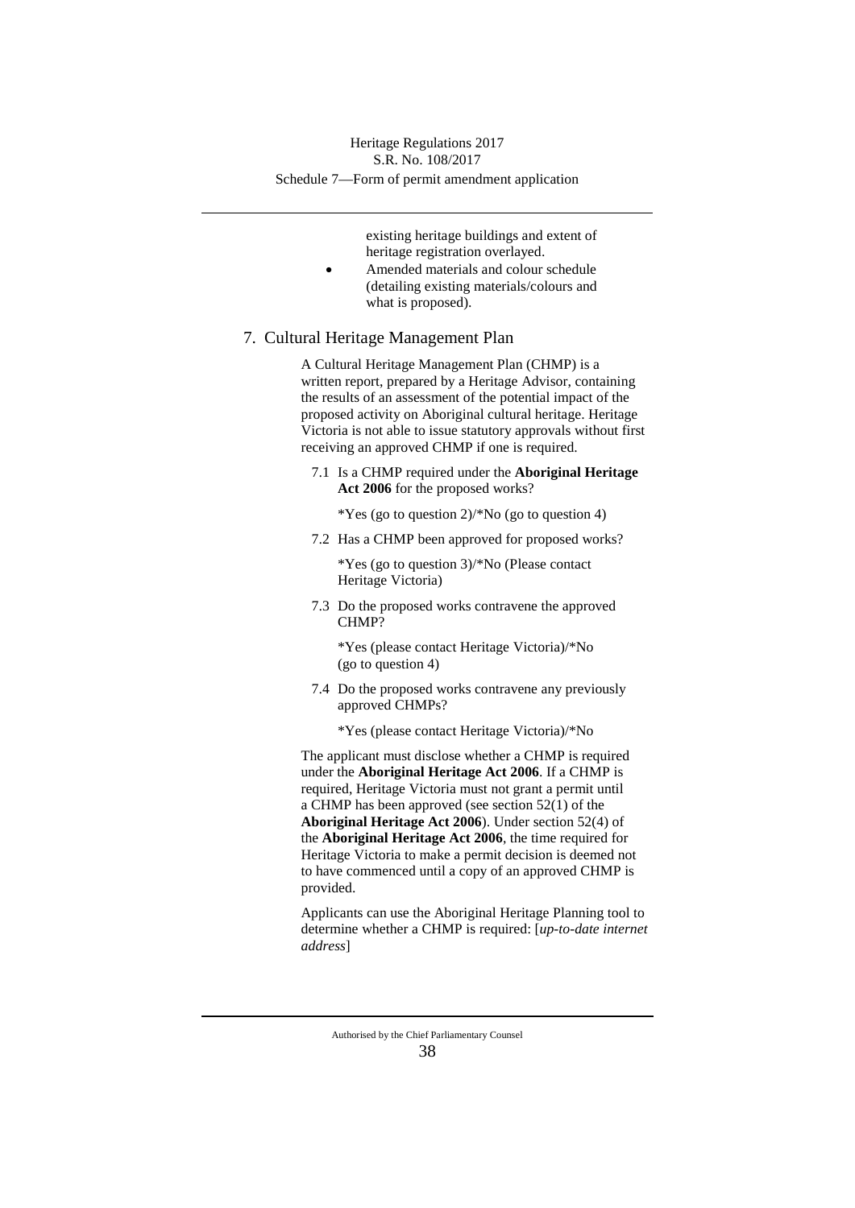existing heritage buildings and extent of heritage registration overlayed.

• Amended materials and colour schedule (detailing existing materials/colours and what is proposed).

#### 7. Cultural Heritage Management Plan

A Cultural Heritage Management Plan (CHMP) is a written report, prepared by a Heritage Advisor, containing the results of an assessment of the potential impact of the proposed activity on Aboriginal cultural heritage. Heritage Victoria is not able to issue statutory approvals without first receiving an approved CHMP if one is required.

7.1 Is a CHMP required under the **Aboriginal Heritage Act 2006** for the proposed works?

\*Yes (go to question 2)/\*No (go to question 4)

7.2 Has a CHMP been approved for proposed works?

\*Yes (go to question 3)/\*No (Please contact Heritage Victoria)

7.3 Do the proposed works contravene the approved CHMP?

\*Yes (please contact Heritage Victoria)/\*No (go to question 4)

7.4 Do the proposed works contravene any previously approved CHMPs?

\*Yes (please contact Heritage Victoria)/\*No

The applicant must disclose whether a CHMP is required under the **Aboriginal Heritage Act 2006**. If a CHMP is required, Heritage Victoria must not grant a permit until a CHMP has been approved (see section 52(1) of the **Aboriginal Heritage Act 2006**). Under section 52(4) of the **Aboriginal Heritage Act 2006**, the time required for Heritage Victoria to make a permit decision is deemed not to have commenced until a copy of an approved CHMP is provided.

Applicants can use the Aboriginal Heritage Planning tool to determine whether a CHMP is required: [*up-to-date internet address*]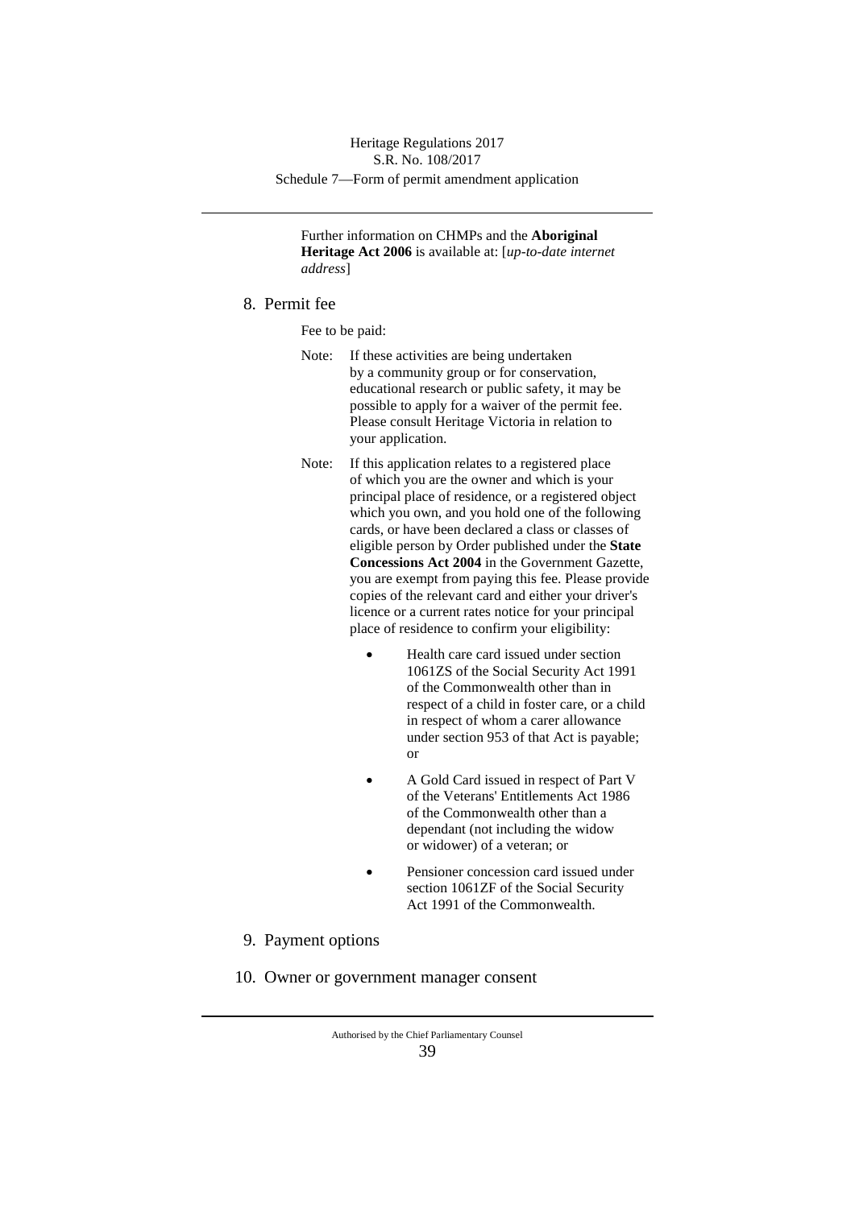Further information on CHMPs and the **Aboriginal Heritage Act 2006** is available at: [*up-to-date internet address*]

8. Permit fee

Fee to be paid:

- Note: If these activities are being undertaken by a community group or for conservation, educational research or public safety, it may be possible to apply for a waiver of the permit fee. Please consult Heritage Victoria in relation to your application.
- Note: If this application relates to a registered place of which you are the owner and which is your principal place of residence, or a registered object which you own, and you hold one of the following cards, or have been declared a class or classes of eligible person by Order published under the **State Concessions Act 2004** in the Government Gazette, you are exempt from paying this fee. Please provide copies of the relevant card and either your driver's licence or a current rates notice for your principal place of residence to confirm your eligibility:
	- Health care card issued under section 1061ZS of the Social Security Act 1991 of the Commonwealth other than in respect of a child in foster care, or a child in respect of whom a carer allowance under section 953 of that Act is payable; or
	- A Gold Card issued in respect of Part V of the Veterans' Entitlements Act 1986 of the Commonwealth other than a dependant (not including the widow or widower) of a veteran; or
	- Pensioner concession card issued under section 1061ZF of the Social Security Act 1991 of the Commonwealth.
- 9. Payment options
- 10. Owner or government manager consent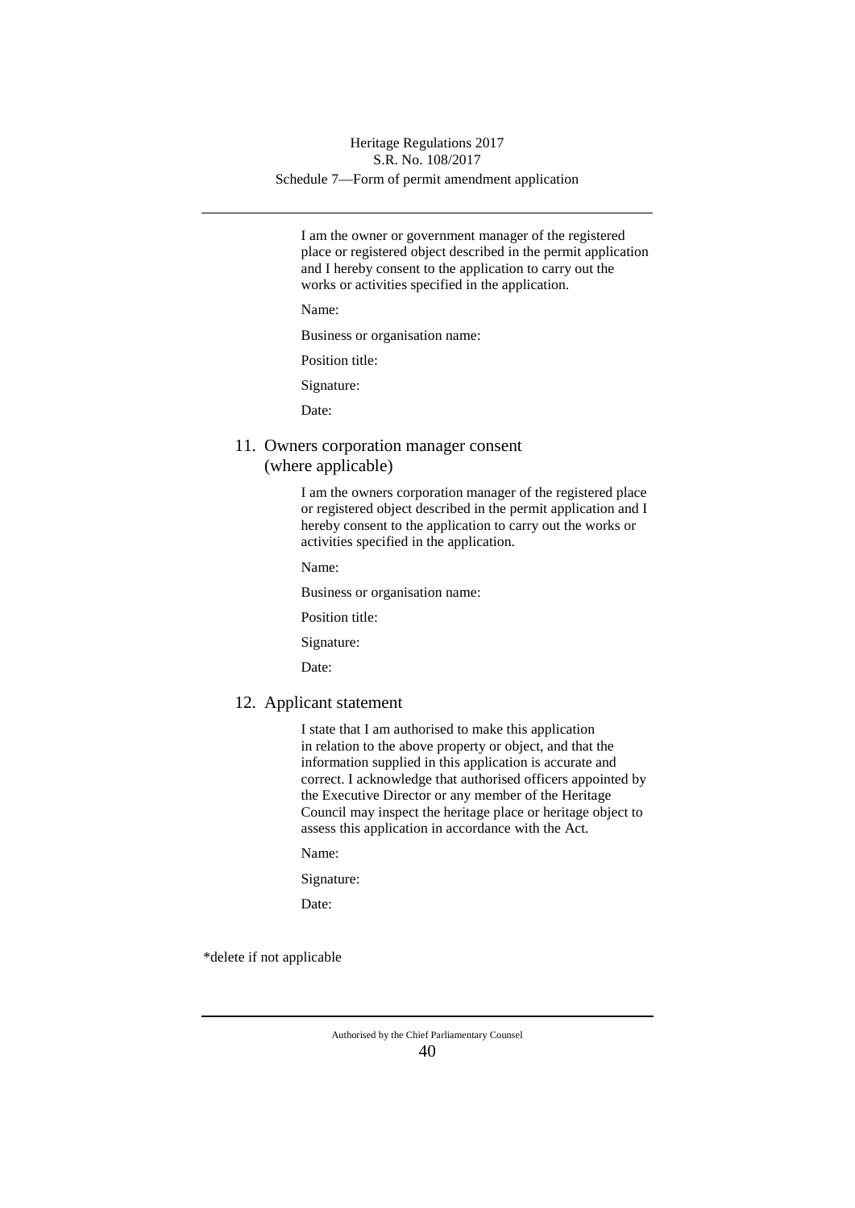I am the owner or government manager of the registered place or registered object described in the permit application and I hereby consent to the application to carry out the works or activities specified in the application.

Name:

Business or organisation name:

Position title:

Signature:

Date:

11. Owners corporation manager consent (where applicable)

> I am the owners corporation manager of the registered place or registered object described in the permit application and I hereby consent to the application to carry out the works or activities specified in the application.

Name:

Business or organisation name:

Position title:

Signature:

Date:

#### 12. Applicant statement

I state that I am authorised to make this application in relation to the above property or object, and that the information supplied in this application is accurate and correct. I acknowledge that authorised officers appointed by the Executive Director or any member of the Heritage Council may inspect the heritage place or heritage object to assess this application in accordance with the Act.

Name:

Signature:

Date:

\*delete if not applicable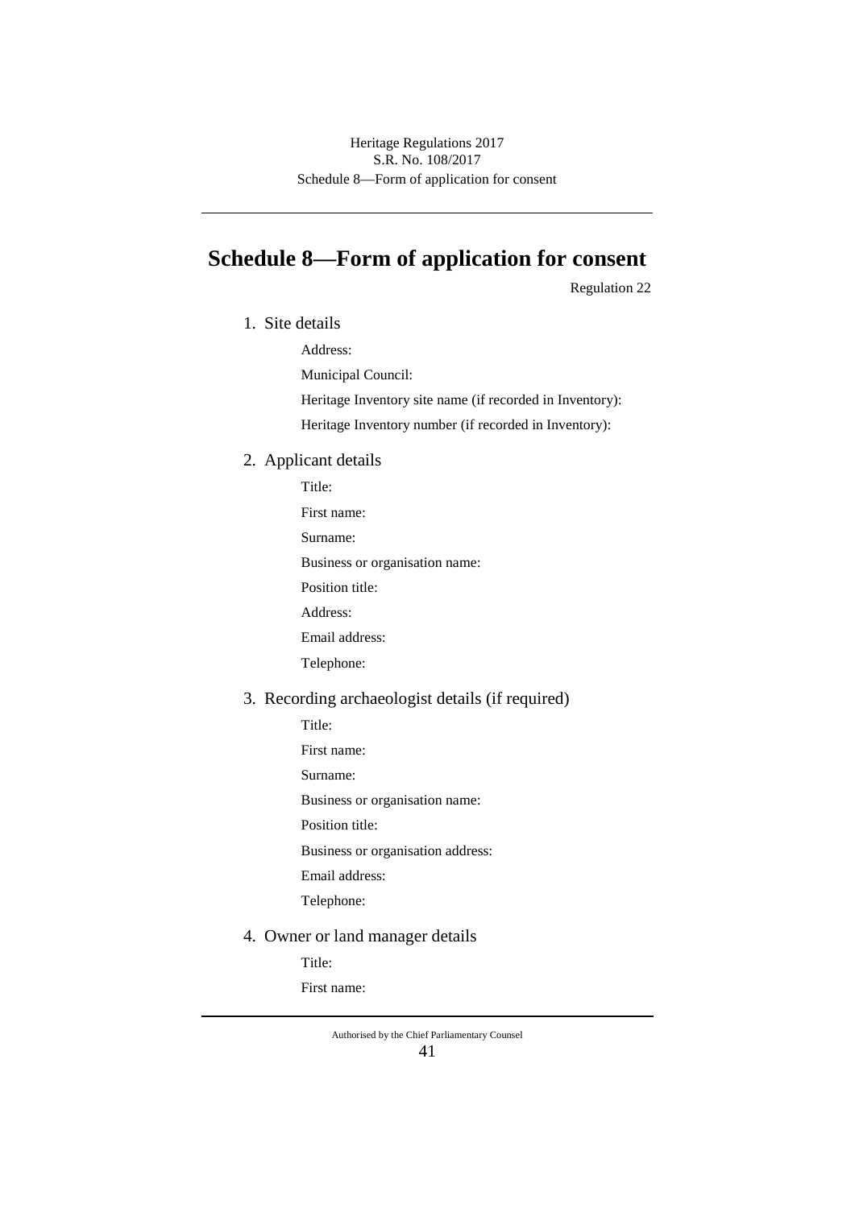# **Schedule 8—Form of application for consent**

Regulation 22

1. Site details

Address:

Municipal Council:

Heritage Inventory site name (if recorded in Inventory):

Heritage Inventory number (if recorded in Inventory):

### 2. Applicant details

Title: First name: Surname: Business or organisation name: Position title: Address: Email address: Telephone:

# 3. Recording archaeologist details (if required)

Title:

- First name:
- Surname:

Business or organisation name:

Position title:

Business or organisation address:

Email address:

Telephone:

4. Owner or land manager details

Title:

First name: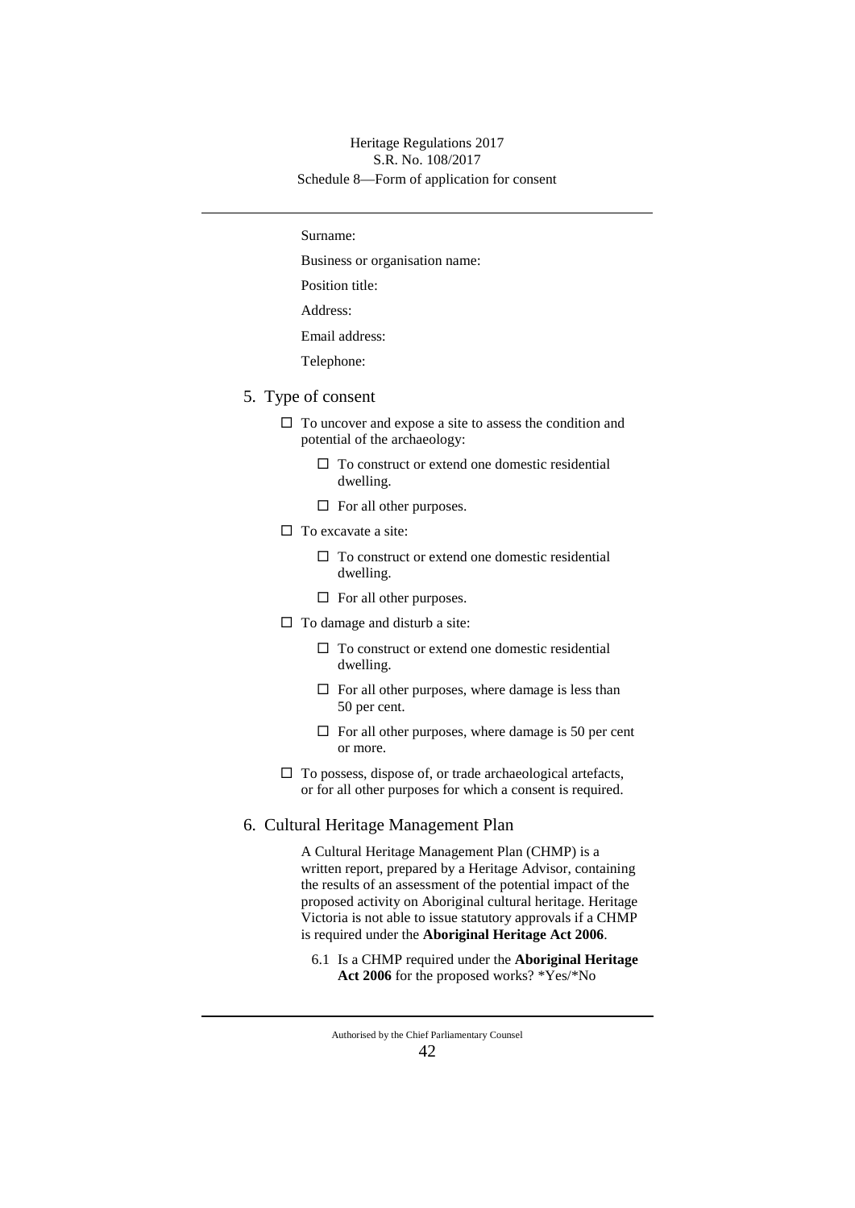#### Schedule 8—Form of application for consent Heritage Regulations 2017 S.R. No. 108/2017

Surname:

Business or organisation name:

Position title:

Address:

Email address:

Telephone:

- 5. Type of consent
	- $\Box$  To uncover and expose a site to assess the condition and potential of the archaeology:
		- $\square$  To construct or extend one domestic residential dwelling.
		- $\Box$  For all other purposes.
	- $\Box$  To excavate a site:
		- $\Box$  To construct or extend one domestic residential dwelling.
		- $\Box$  For all other purposes.
	- $\Box$  To damage and disturb a site:
		- $\Box$  To construct or extend one domestic residential dwelling.
		- $\Box$  For all other purposes, where damage is less than 50 per cent.
		- $\Box$  For all other purposes, where damage is 50 per cent or more.
	- $\Box$  To possess, dispose of, or trade archaeological artefacts, or for all other purposes for which a consent is required.

#### 6. Cultural Heritage Management Plan

A Cultural Heritage Management Plan (CHMP) is a written report, prepared by a Heritage Advisor, containing the results of an assessment of the potential impact of the proposed activity on Aboriginal cultural heritage. Heritage Victoria is not able to issue statutory approvals if a CHMP is required under the **Aboriginal Heritage Act 2006**.

6.1 Is a CHMP required under the **Aboriginal Heritage Act 2006** for the proposed works? \*Yes/\*No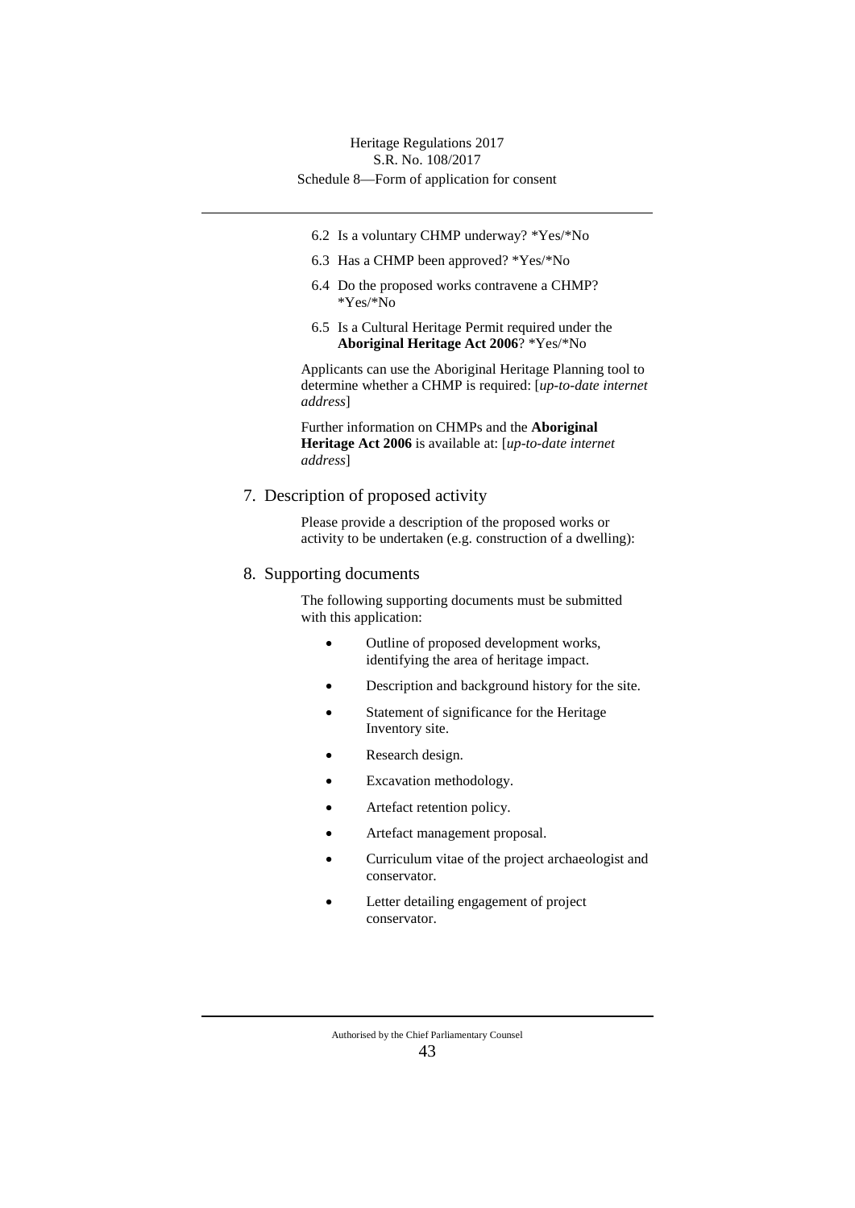- 6.2 Is a voluntary CHMP underway? \*Yes/\*No
- 6.3 Has a CHMP been approved? \*Yes/\*No
- 6.4 Do the proposed works contravene a CHMP? \*Yes/\*No
- 6.5 Is a Cultural Heritage Permit required under the **Aboriginal Heritage Act 2006**? \*Yes/\*No

Applicants can use the Aboriginal Heritage Planning tool to determine whether a CHMP is required: [*up-to-date internet address*]

Further information on CHMPs and the **Aboriginal Heritage Act 2006** is available at: [*up-to-date internet address*]

7. Description of proposed activity

Please provide a description of the proposed works or activity to be undertaken (e.g. construction of a dwelling):

#### 8. Supporting documents

The following supporting documents must be submitted with this application:

- Outline of proposed development works, identifying the area of heritage impact.
- Description and background history for the site.
- Statement of significance for the Heritage Inventory site.
- Research design.
- Excavation methodology.
- Artefact retention policy.
- Artefact management proposal.
- Curriculum vitae of the project archaeologist and conservator.
- Letter detailing engagement of project conservator.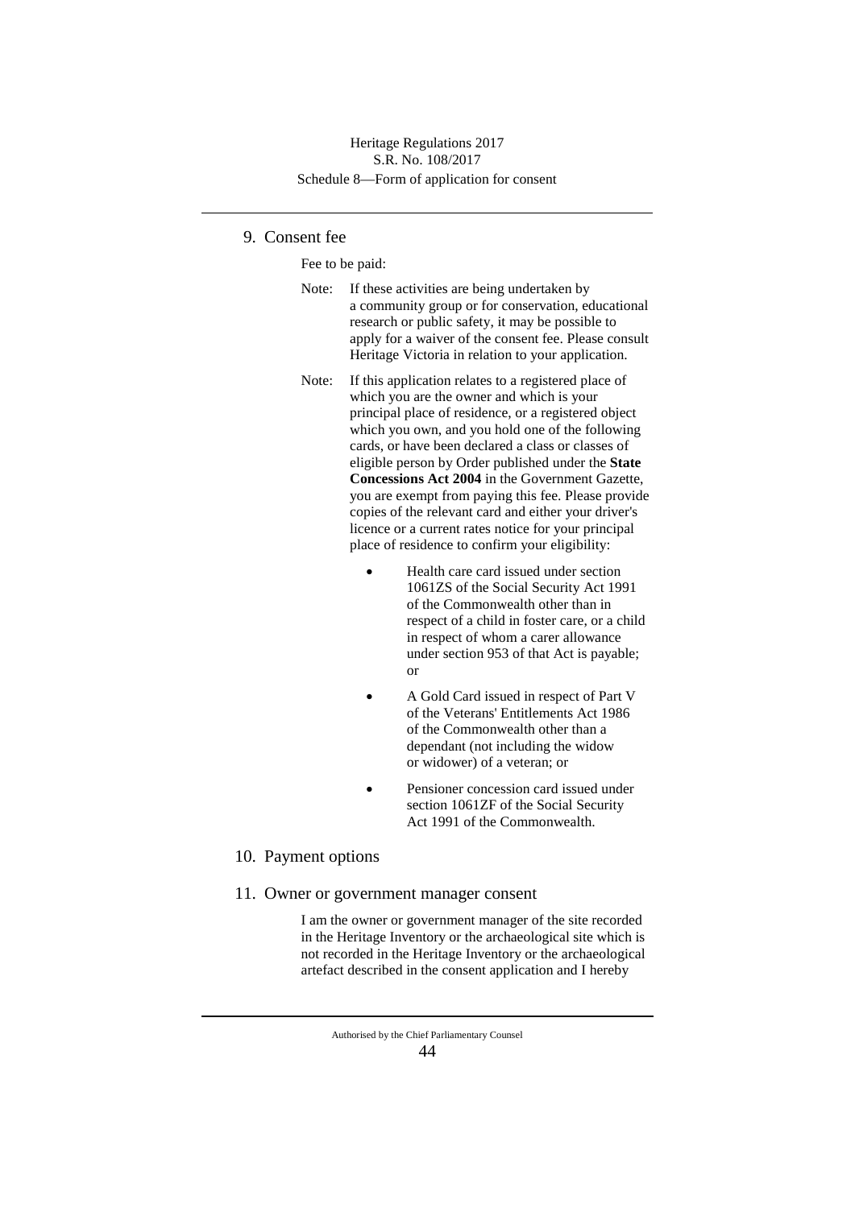### Schedule 8—Form of application for consent Heritage Regulations 2017 S.R. No. 108/2017

## 9. Consent fee

Fee to be paid:

- Note: If these activities are being undertaken by a community group or for conservation, educational research or public safety, it may be possible to apply for a waiver of the consent fee. Please consult Heritage Victoria in relation to your application.
- Note: If this application relates to a registered place of which you are the owner and which is your principal place of residence, or a registered object which you own, and you hold one of the following cards, or have been declared a class or classes of eligible person by Order published under the **State Concessions Act 2004** in the Government Gazette, you are exempt from paying this fee. Please provide copies of the relevant card and either your driver's licence or a current rates notice for your principal place of residence to confirm your eligibility:
	- Health care card issued under section 1061ZS of the Social Security Act 1991 of the Commonwealth other than in respect of a child in foster care, or a child in respect of whom a carer allowance under section 953 of that Act is payable; or
	- A Gold Card issued in respect of Part V of the Veterans' Entitlements Act 1986 of the Commonwealth other than a dependant (not including the widow or widower) of a veteran; or
	- Pensioner concession card issued under section 1061ZF of the Social Security Act 1991 of the Commonwealth.

#### 10. Payment options

11. Owner or government manager consent

I am the owner or government manager of the site recorded in the Heritage Inventory or the archaeological site which is not recorded in the Heritage Inventory or the archaeological artefact described in the consent application and I hereby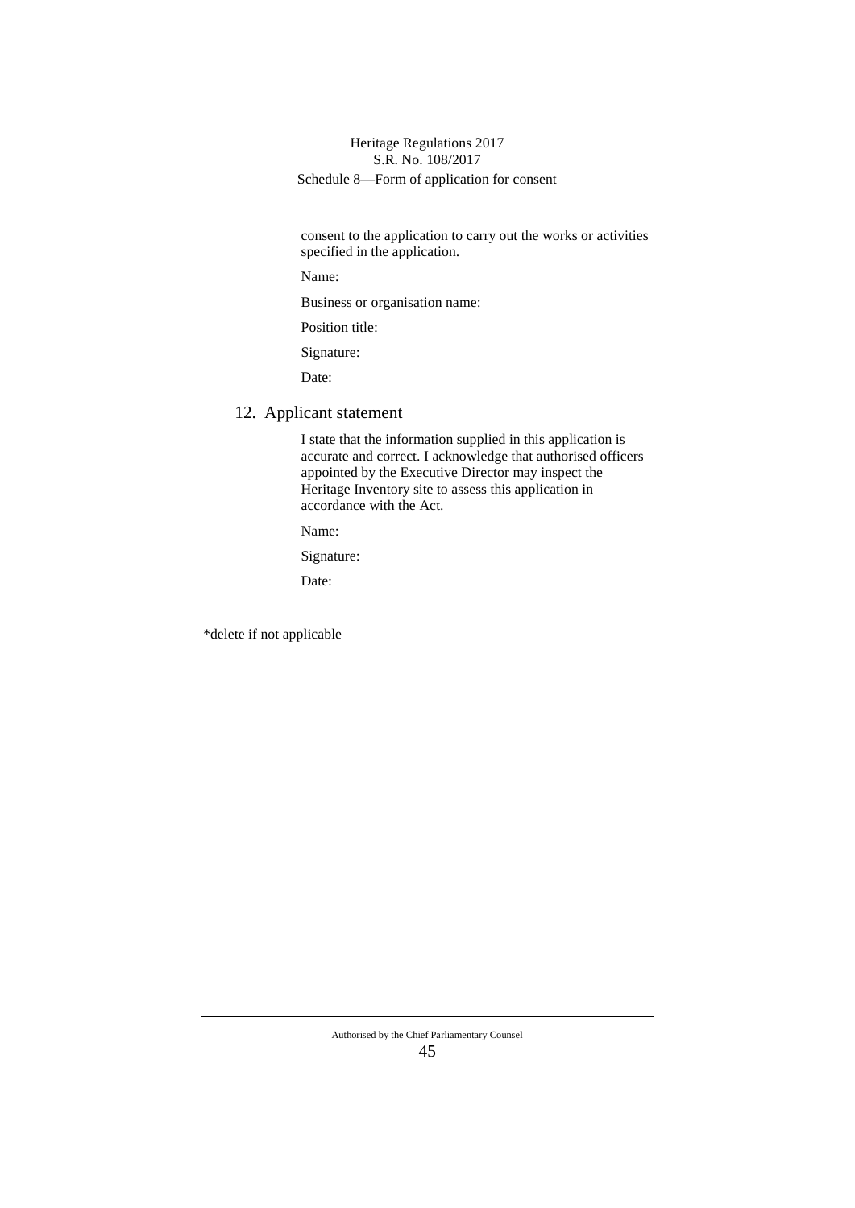## Schedule 8—Form of application for consent Heritage Regulations 2017 S.R. No. 108/2017

consent to the application to carry out the works or activities specified in the application.

Name:

Business or organisation name:

Position title:

Signature:

Date:

### 12. Applicant statement

I state that the information supplied in this application is accurate and correct. I acknowledge that authorised officers appointed by the Executive Director may inspect the Heritage Inventory site to assess this application in accordance with the Act.

Name:

Signature:

Date:

\*delete if not applicable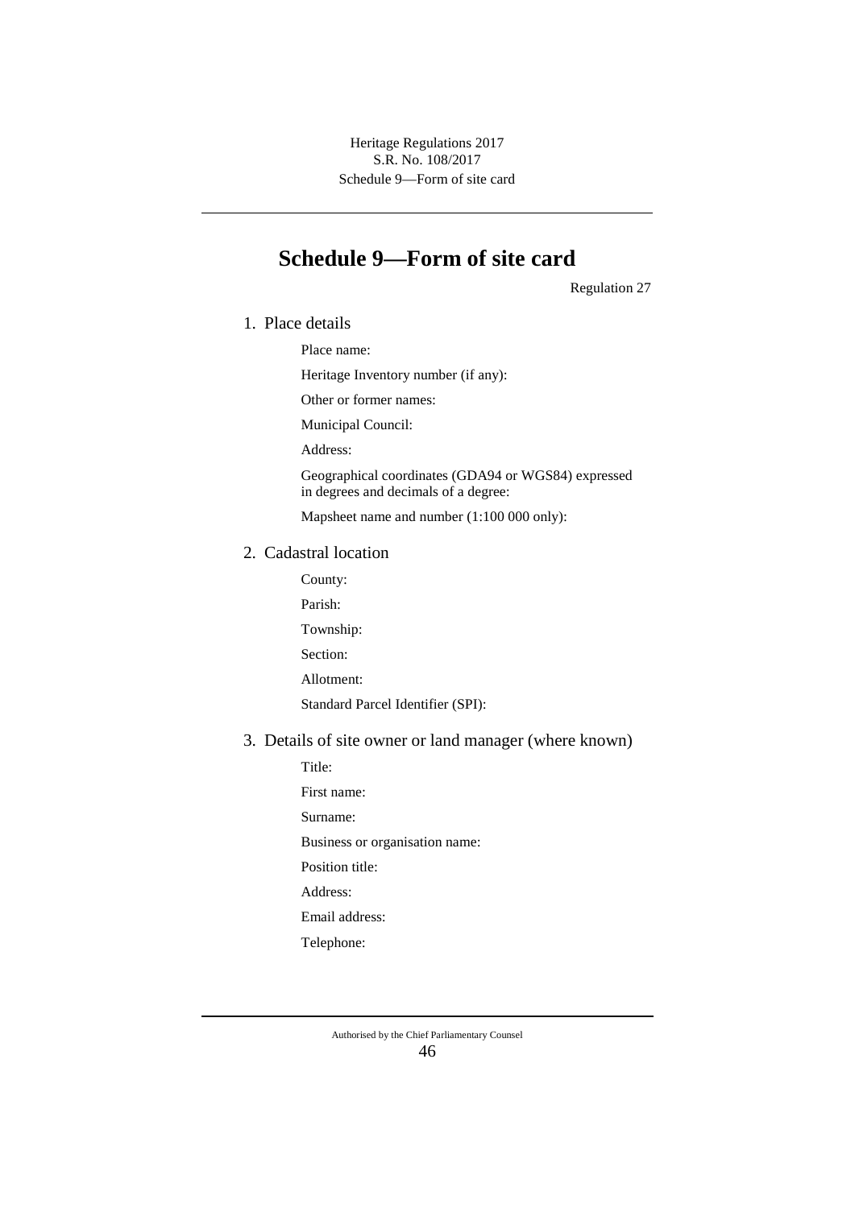Schedule 9—Form of site card Heritage Regulations 2017 S.R. No. 108/2017

# **Schedule 9—Form of site card**

Regulation 27

1. Place details

Place name:

Heritage Inventory number (if any):

Other or former names:

Municipal Council:

Address:

Geographical coordinates (GDA94 or WGS84) expressed in degrees and decimals of a degree:

Mapsheet name and number (1:100 000 only):

#### 2. Cadastral location

- County:
- Parish:

Township:

Section:

Allotment:

Standard Parcel Identifier (SPI):

## 3. Details of site owner or land manager (where known)

Title: First name: Surname: Business or organisation name: Position title: Address: Email address: Telephone: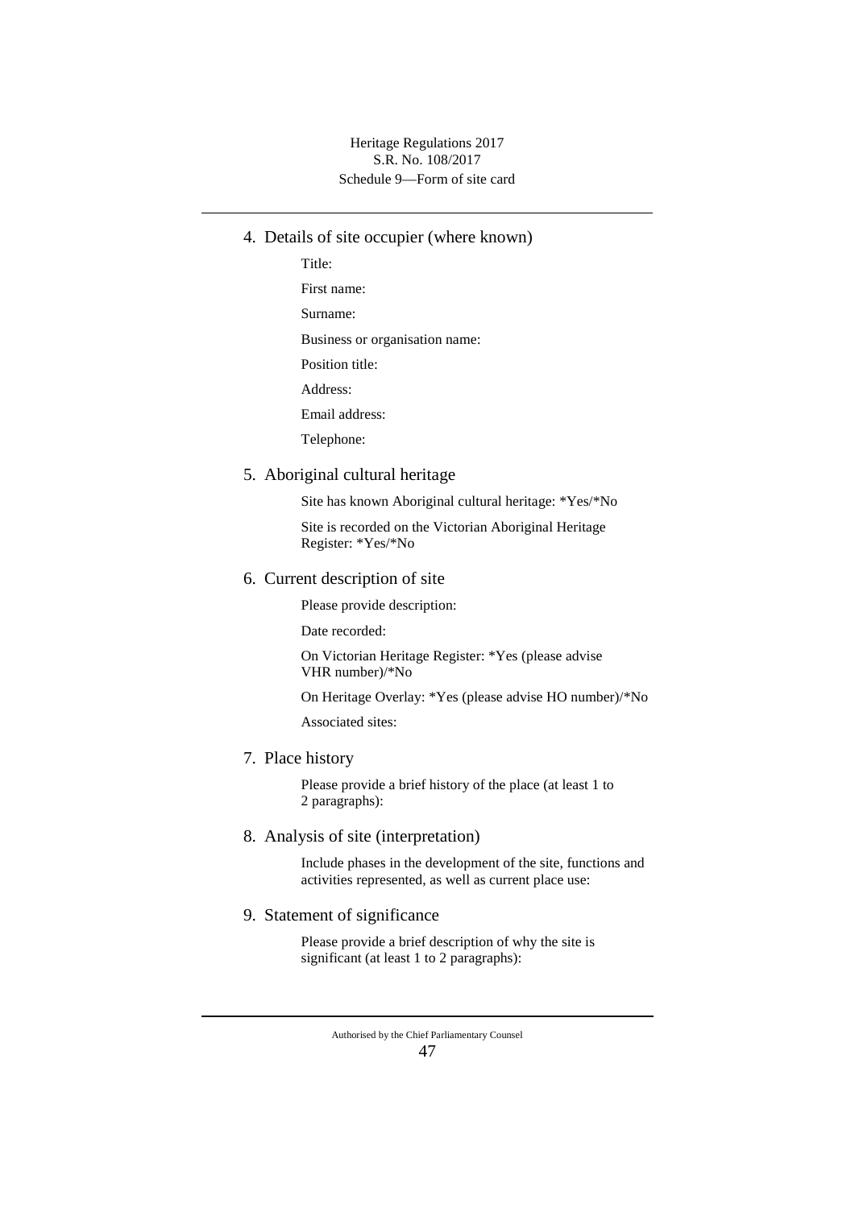Schedule 9—Form of site card Heritage Regulations 2017 S.R. No. 108/2017

- 4. Details of site occupier (where known)
	- Title: First name: Surname: Business or organisation name: Position title: Address: Email address: Telephone:

#### 5. Aboriginal cultural heritage

Site has known Aboriginal cultural heritage: \*Yes/\*No

Site is recorded on the Victorian Aboriginal Heritage Register: \*Yes/\*No

#### 6. Current description of site

Please provide description:

Date recorded:

On Victorian Heritage Register: \*Yes (please advise VHR number)/\*No

On Heritage Overlay: \*Yes (please advise HO number)/\*No

Associated sites:

7. Place history

Please provide a brief history of the place (at least 1 to 2 paragraphs):

8. Analysis of site (interpretation)

Include phases in the development of the site, functions and activities represented, as well as current place use:

## 9. Statement of significance

Please provide a brief description of why the site is significant (at least 1 to 2 paragraphs):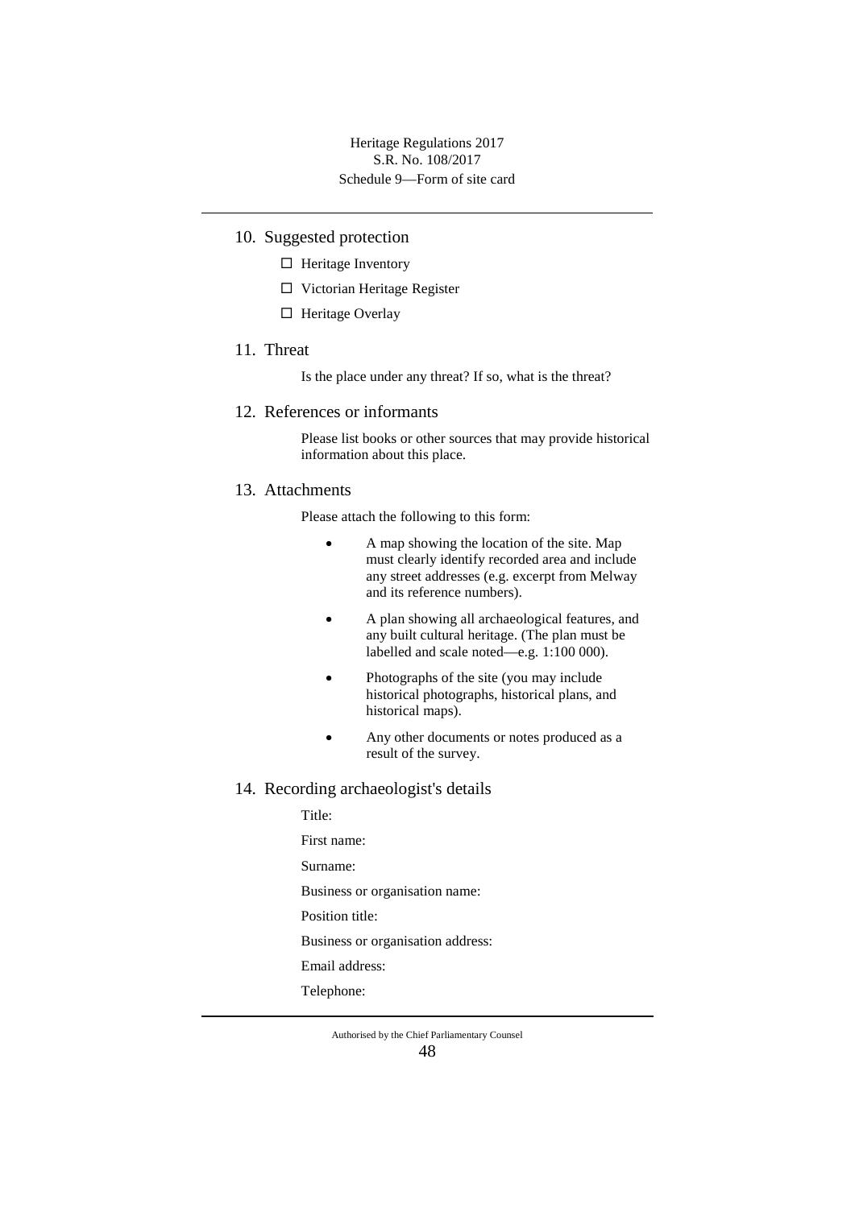- 10. Suggested protection
	- $\Box$  Heritage Inventory
	- □ Victorian Heritage Register
	- $\Box$  Heritage Overlay
- 11. Threat

Is the place under any threat? If so, what is the threat?

#### 12. References or informants

Please list books or other sources that may provide historical information about this place.

### 13. Attachments

Please attach the following to this form:

- A map showing the location of the site. Map must clearly identify recorded area and include any street addresses (e.g. excerpt from Melway and its reference numbers).
- A plan showing all archaeological features, and any built cultural heritage. (The plan must be labelled and scale noted—e.g. 1:100 000).
- Photographs of the site (you may include historical photographs, historical plans, and historical maps).
- Any other documents or notes produced as a result of the survey.

#### 14. Recording archaeologist's details

Title: First name: Surname: Business or organisation name: Position title: Business or organisation address: Email address: Telephone: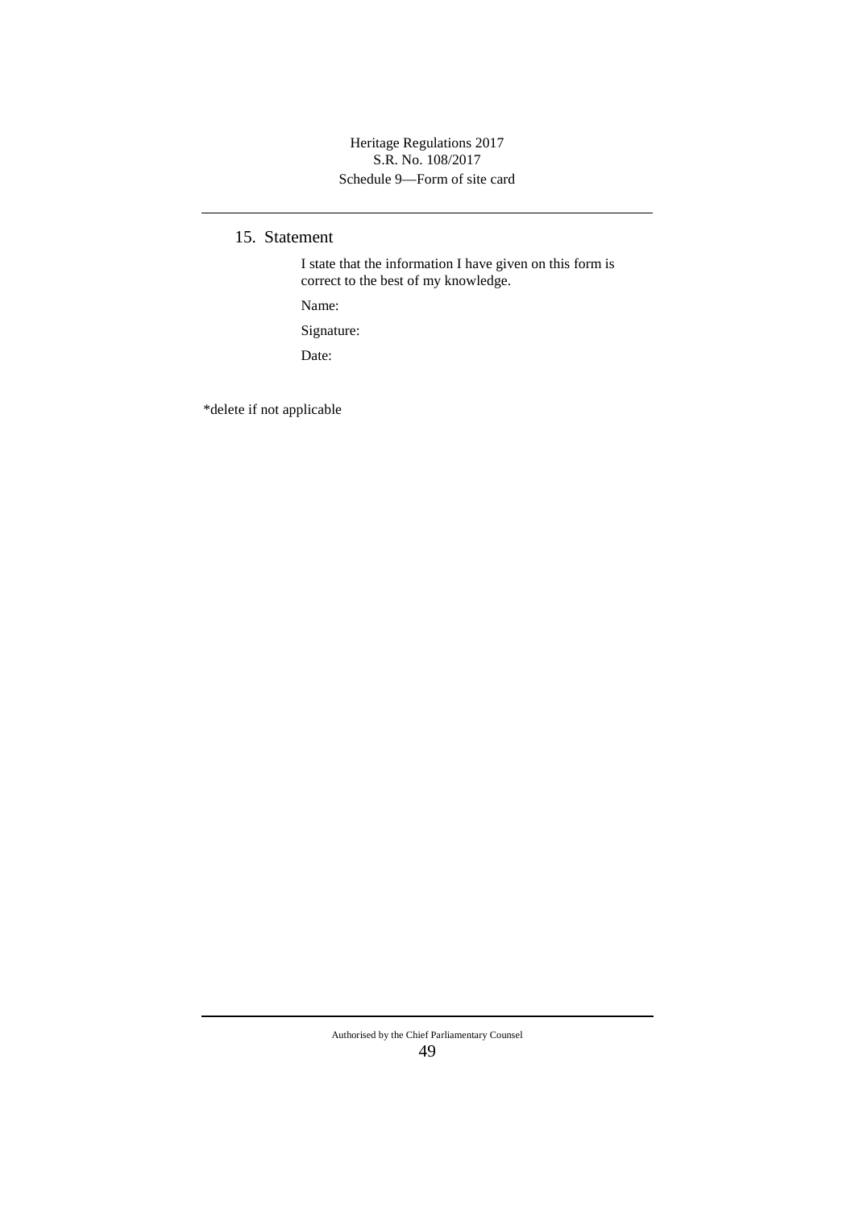Schedule 9—Form of site card Heritage Regulations 2017 S.R. No. 108/2017

15. Statement

I state that the information I have given on this form is correct to the best of my knowledge.

Name:

Signature:

Date:

\*delete if not applicable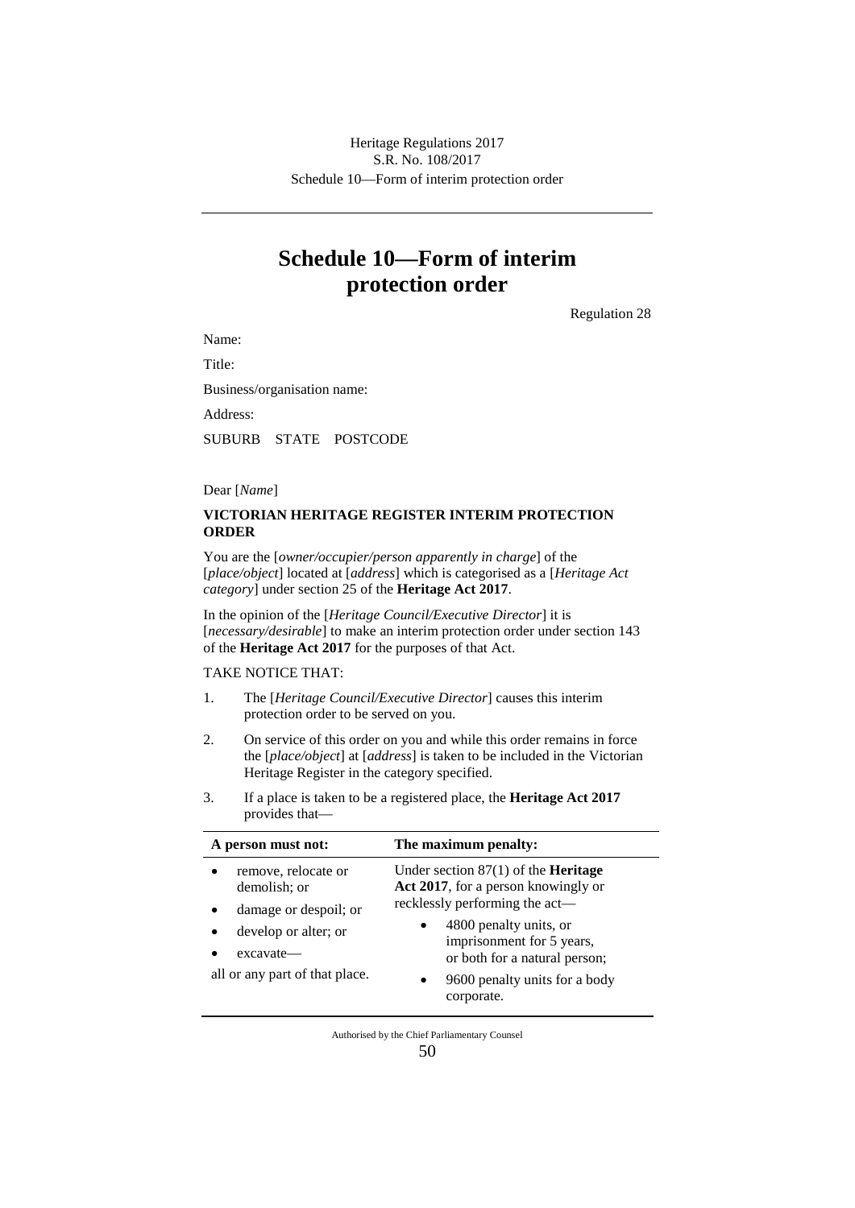# **Schedule 10—Form of interim protection order**

Regulation 28

Name:

Title:

Business/organisation name:

Address:

SUBURB STATE POSTCODE

#### Dear [*Name*]

#### **VICTORIAN HERITAGE REGISTER INTERIM PROTECTION ORDER**

You are the [*owner/occupier/person apparently in charge*] of the [*place/object*] located at [*address*] which is categorised as a [*Heritage Act category*] under section 25 of the **Heritage Act 2017**.

In the opinion of the [*Heritage Council/Executive Director*] it is [*necessary/desirable*] to make an interim protection order under section 143 of the **Heritage Act 2017** for the purposes of that Act.

TAKE NOTICE THAT:

- 1. The [*Heritage Council/Executive Director*] causes this interim protection order to be served on you.
- 2. On service of this order on you and while this order remains in force the [*place/object*] at [*address*] is taken to be included in the Victorian Heritage Register in the category specified.
- 3. If a place is taken to be a registered place, the **Heritage Act 2017** provides that—

| A person must not:                                                                           | The maximum penalty:                                                                                                                                                       |
|----------------------------------------------------------------------------------------------|----------------------------------------------------------------------------------------------------------------------------------------------------------------------------|
| remove, relocate or<br>demolish; or                                                          | Under section $87(1)$ of the <b>Heritage</b><br>Act 2017, for a person knowingly or                                                                                        |
| damage or despoil; or<br>develop or alter; or<br>excavate—<br>all or any part of that place. | recklessly performing the act—<br>4800 penalty units, or<br>imprisonment for 5 years,<br>or both for a natural person;<br>9600 penalty units for a body<br>٠<br>corporate. |

Authorised by the Chief Parliamentary Counsel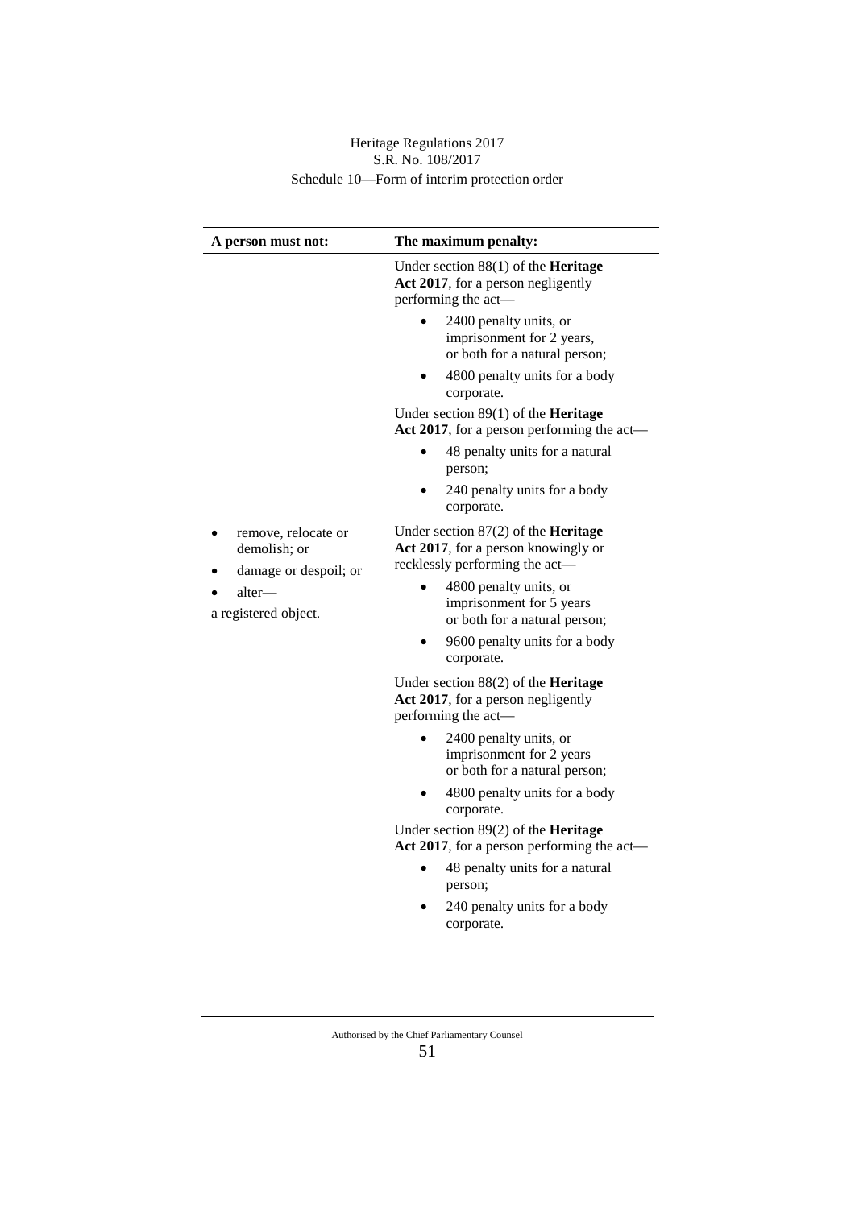| A person must not:                                                                             | The maximum penalty:                                                                                                                                                                                                                                        |
|------------------------------------------------------------------------------------------------|-------------------------------------------------------------------------------------------------------------------------------------------------------------------------------------------------------------------------------------------------------------|
|                                                                                                | Under section 88(1) of the Heritage<br>Act 2017, for a person negligently<br>performing the act-                                                                                                                                                            |
|                                                                                                | 2400 penalty units, or<br>imprisonment for 2 years,<br>or both for a natural person;                                                                                                                                                                        |
|                                                                                                | 4800 penalty units for a body<br>corporate.                                                                                                                                                                                                                 |
|                                                                                                | Under section $89(1)$ of the <b>Heritage</b><br>Act 2017, for a person performing the act—                                                                                                                                                                  |
|                                                                                                | 48 penalty units for a natural<br>person;                                                                                                                                                                                                                   |
|                                                                                                | 240 penalty units for a body<br>corporate.                                                                                                                                                                                                                  |
| remove, relocate or<br>demolish; or<br>damage or despoil; or<br>alter—<br>a registered object. | Under section $87(2)$ of the <b>Heritage</b><br>Act 2017, for a person knowingly or<br>recklessly performing the act-<br>4800 penalty units, or<br>imprisonment for 5 years<br>or both for a natural person;<br>9600 penalty units for a body<br>corporate. |
|                                                                                                | Under section $88(2)$ of the <b>Heritage</b><br>Act 2017, for a person negligently<br>performing the act-                                                                                                                                                   |
|                                                                                                | 2400 penalty units, or<br>imprisonment for 2 years<br>or both for a natural person;<br>4800 penalty units for a body<br>corporate.                                                                                                                          |
|                                                                                                | Under section 89(2) of the Heritage<br>Act 2017, for a person performing the act-                                                                                                                                                                           |
|                                                                                                | 48 penalty units for a natural<br>person;<br>240 penalty units for a body<br>corporate.                                                                                                                                                                     |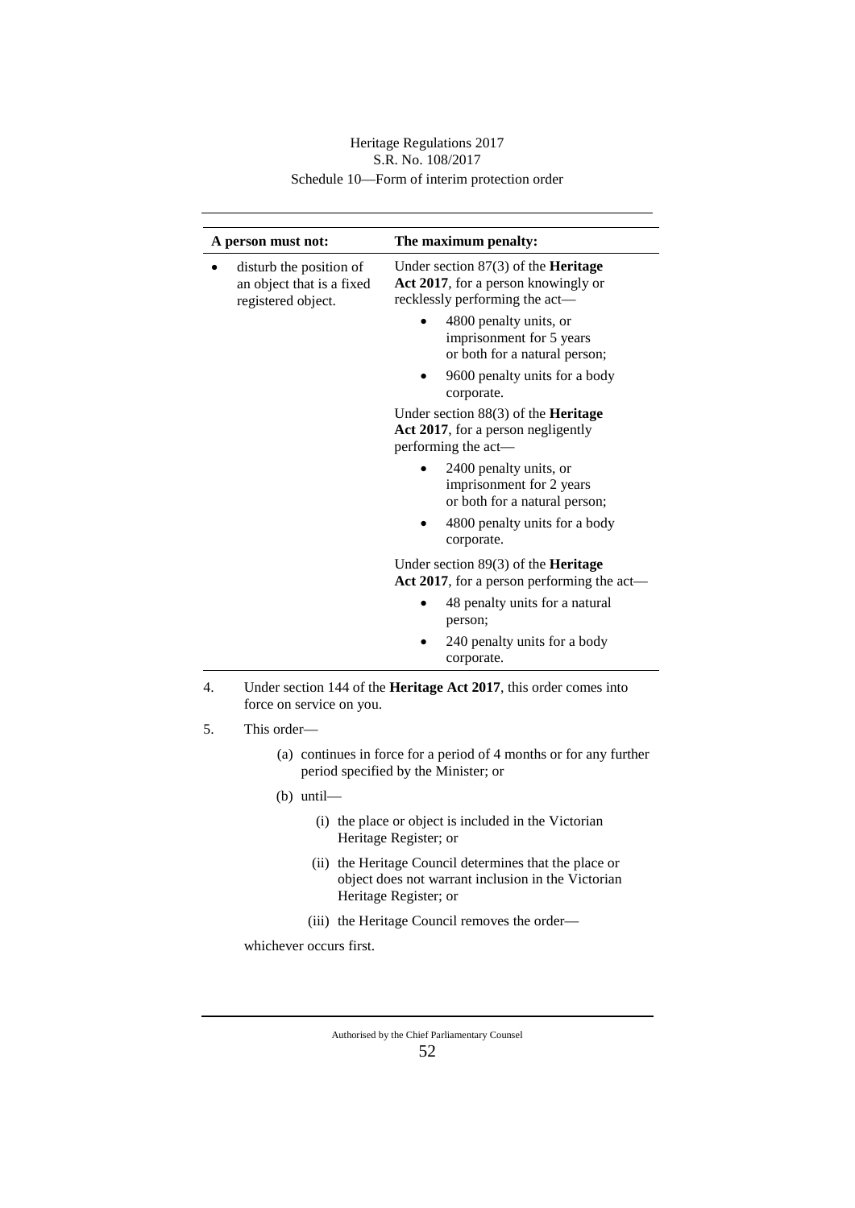| A person must not:                                                         | The maximum penalty:                                                                                                  |
|----------------------------------------------------------------------------|-----------------------------------------------------------------------------------------------------------------------|
| disturb the position of<br>an object that is a fixed<br>registered object. | Under section $87(3)$ of the <b>Heritage</b><br>Act 2017, for a person knowingly or<br>recklessly performing the act- |
|                                                                            | 4800 penalty units, or<br>imprisonment for 5 years<br>or both for a natural person;                                   |
|                                                                            | 9600 penalty units for a body<br>corporate.                                                                           |
|                                                                            | Under section $88(3)$ of the <b>Heritage</b><br>Act 2017, for a person negligently<br>performing the act-             |
|                                                                            | 2400 penalty units, or<br>imprisonment for 2 years<br>or both for a natural person;                                   |
|                                                                            | 4800 penalty units for a body<br>corporate.                                                                           |
|                                                                            | Under section $89(3)$ of the <b>Heritage</b><br>Act 2017, for a person performing the act—                            |
|                                                                            | 48 penalty units for a natural<br>person;                                                                             |
|                                                                            | 240 penalty units for a body<br>corporate.                                                                            |

- 4. Under section 144 of the **Heritage Act 2017**, this order comes into force on service on you.
- 5. This order—
	- (a) continues in force for a period of 4 months or for any further period specified by the Minister; or
	- (b) until—
		- (i) the place or object is included in the Victorian Heritage Register; or
		- (ii) the Heritage Council determines that the place or object does not warrant inclusion in the Victorian Heritage Register; or
		- (iii) the Heritage Council removes the order—

whichever occurs first.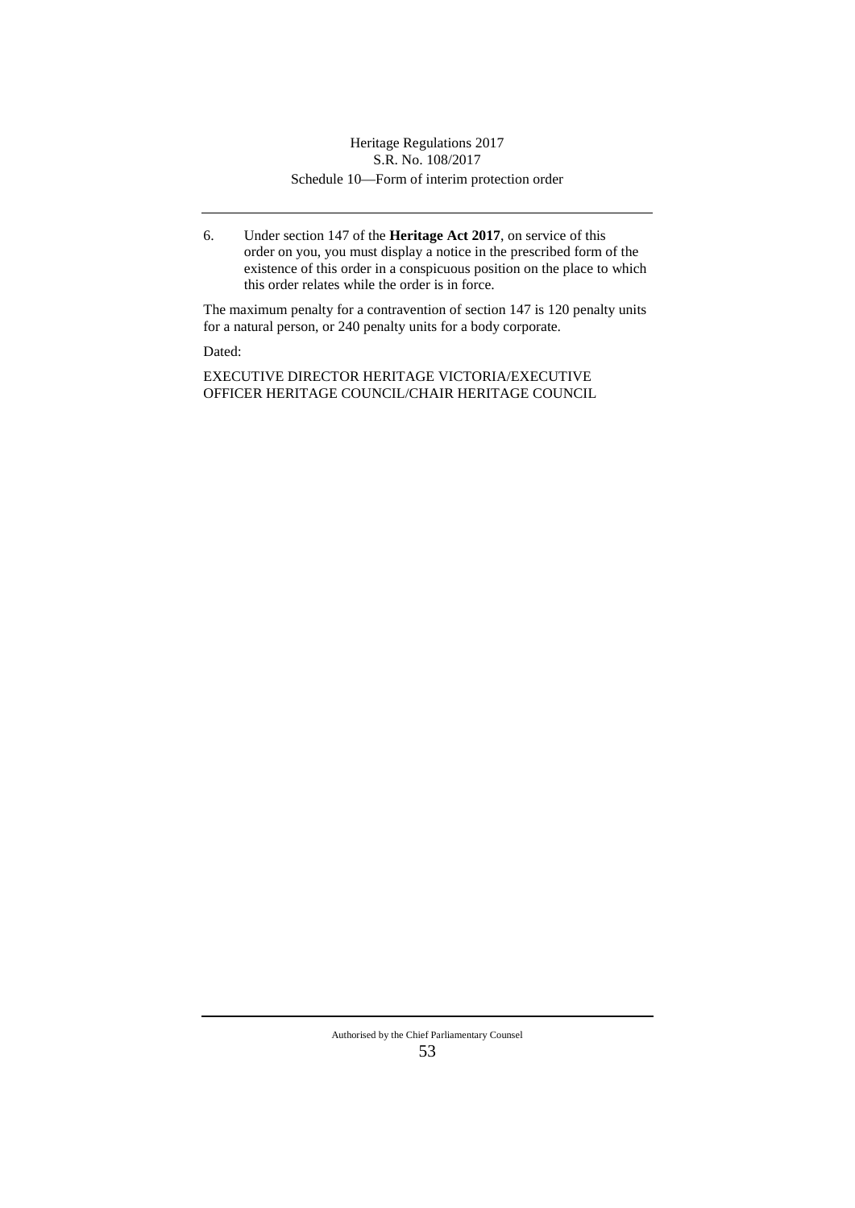6. Under section 147 of the **Heritage Act 2017**, on service of this order on you, you must display a notice in the prescribed form of the existence of this order in a conspicuous position on the place to which this order relates while the order is in force.

The maximum penalty for a contravention of section 147 is 120 penalty units for a natural person, or 240 penalty units for a body corporate.

Dated:

EXECUTIVE DIRECTOR HERITAGE VICTORIA/EXECUTIVE OFFICER HERITAGE COUNCIL/CHAIR HERITAGE COUNCIL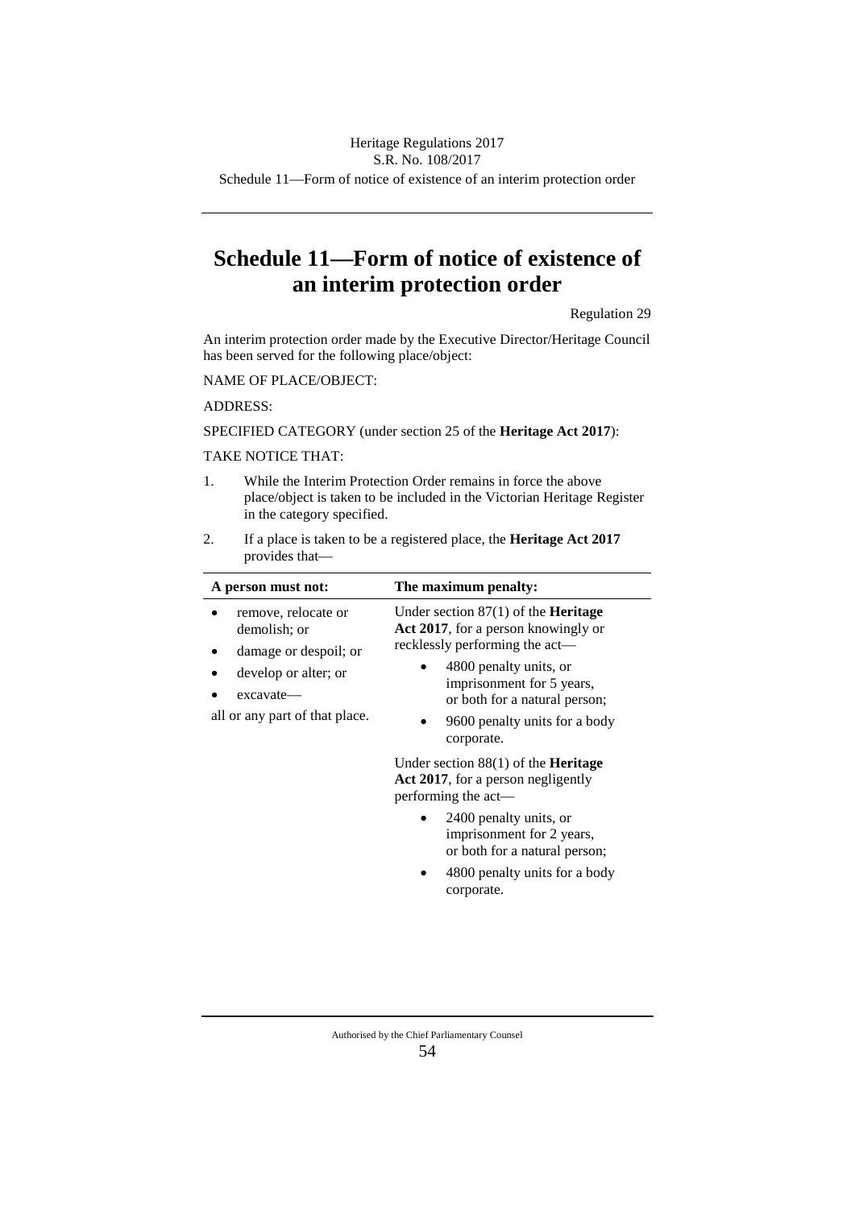S.R. No. 108/2017

Schedule 11—Form of notice of existence of an interim protection order

# **Schedule 11—Form of notice of existence of an interim protection order**

Regulation 29

An interim protection order made by the Executive Director/Heritage Council has been served for the following place/object:

NAME OF PLACE/OBJECT:

ADDRESS:

SPECIFIED CATEGORY (under section 25 of the **Heritage Act 2017**):

#### TAKE NOTICE THAT:

- 1. While the Interim Protection Order remains in force the above place/object is taken to be included in the Victorian Heritage Register in the category specified.
- 2. If a place is taken to be a registered place, the **Heritage Act 2017** provides that—

| A person must not: |                                                              | The maximum penalty:                                                                                                                |
|--------------------|--------------------------------------------------------------|-------------------------------------------------------------------------------------------------------------------------------------|
|                    | remove, relocate or<br>demolish; or<br>damage or despoil; or | Under section $87(1)$ of the <b>Heritage</b><br>Act 2017, for a person knowingly or<br>recklessly performing the act—               |
| excavate-          | develop or alter; or<br>all or any part of that place.       | 4800 penalty units, or<br>imprisonment for 5 years,<br>or both for a natural person;<br>9600 penalty units for a body<br>corporate. |
|                    |                                                              | Under section $88(1)$ of the <b>Heritage</b><br>Act 2017, for a person negligently<br>performing the act—                           |
|                    |                                                              | 2400 penalty units, or<br>imprisonment for 2 years,<br>or both for a natural person;<br>4800 penalty units for a body               |
|                    |                                                              | corporate.                                                                                                                          |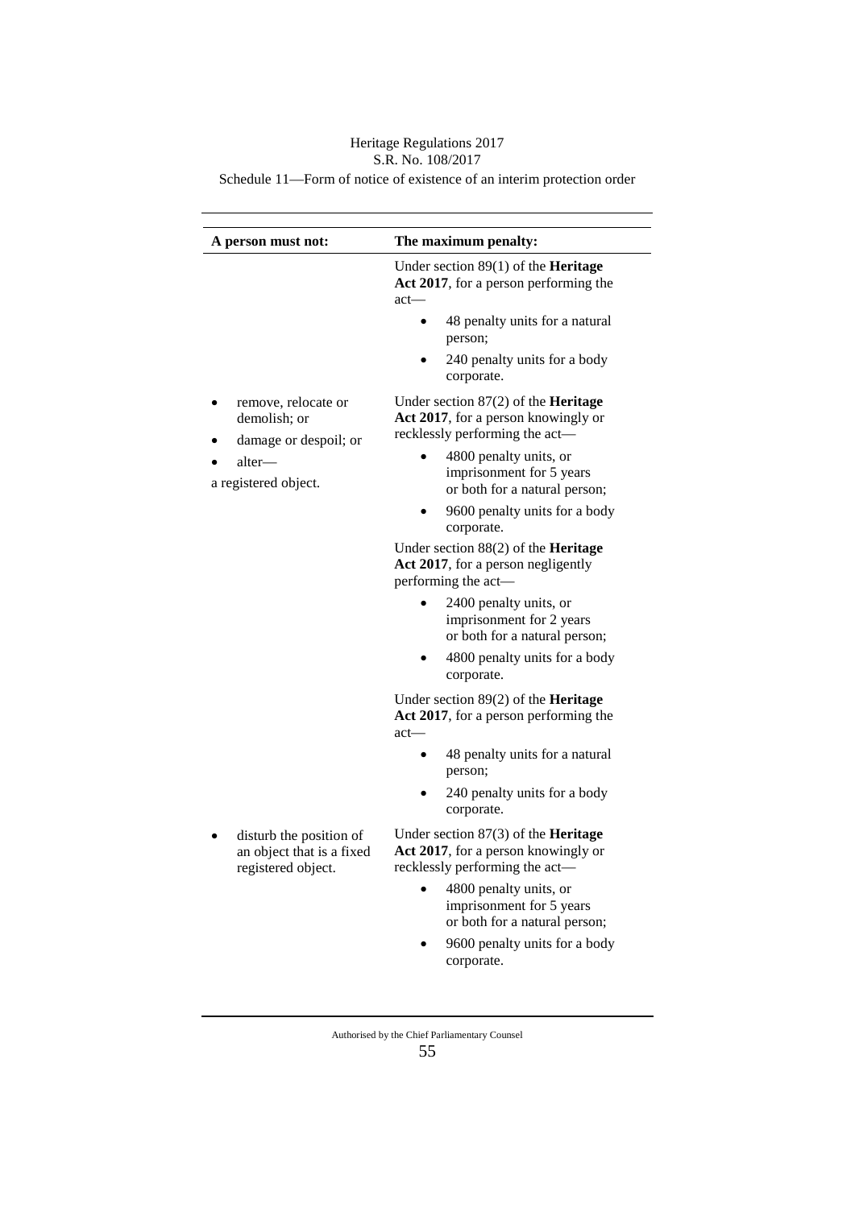# Heritage Regulations 2017

# S.R. No. 108/2017

Schedule 11—Form of notice of existence of an interim protection order

| A person must not:                                                         | The maximum penalty:                                                                                                  |
|----------------------------------------------------------------------------|-----------------------------------------------------------------------------------------------------------------------|
|                                                                            | Under section $89(1)$ of the <b>Heritage</b><br>Act 2017, for a person performing the<br>$act$ —                      |
|                                                                            | 48 penalty units for a natural<br>person;                                                                             |
|                                                                            | 240 penalty units for a body<br>corporate.                                                                            |
| remove, relocate or<br>demolish; or<br>damage or despoil; or               | Under section $87(2)$ of the <b>Heritage</b><br>Act 2017, for a person knowingly or<br>recklessly performing the act- |
| alter—<br>a registered object.                                             | 4800 penalty units, or<br>imprisonment for 5 years<br>or both for a natural person;                                   |
|                                                                            | 9600 penalty units for a body<br>corporate.                                                                           |
|                                                                            | Under section $88(2)$ of the <b>Heritage</b><br>Act 2017, for a person negligently<br>performing the act-             |
|                                                                            | 2400 penalty units, or<br>imprisonment for 2 years<br>or both for a natural person;                                   |
|                                                                            | 4800 penalty units for a body<br>corporate.                                                                           |
|                                                                            | Under section $89(2)$ of the <b>Heritage</b><br>Act 2017, for a person performing the<br>$act$ —                      |
|                                                                            | 48 penalty units for a natural<br>person;                                                                             |
|                                                                            | 240 penalty units for a body<br>corporate.                                                                            |
| disturb the position of<br>an object that is a fixed<br>registered object. | Under section $87(3)$ of the <b>Heritage</b><br>Act 2017, for a person knowingly or<br>recklessly performing the act- |
|                                                                            | 4800 penalty units, or<br>imprisonment for 5 years<br>or both for a natural person;                                   |
|                                                                            | 9600 penalty units for a body<br>corporate.                                                                           |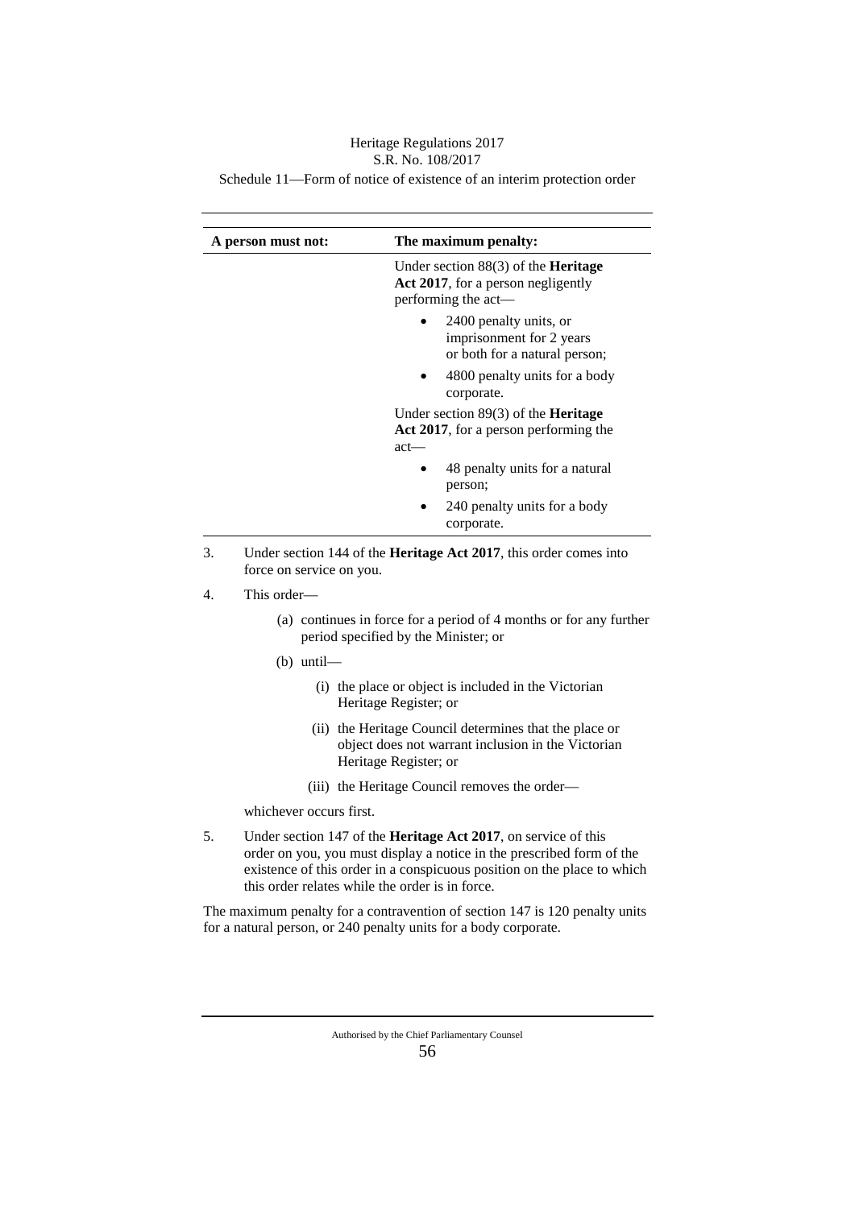# Heritage Regulations 2017

# S.R. No. 108/2017

Schedule 11—Form of notice of existence of an interim protection order

|    | A person must not:       | The maximum penalty:                                                                                      |
|----|--------------------------|-----------------------------------------------------------------------------------------------------------|
|    |                          | Under section $88(3)$ of the <b>Heritage</b><br>Act 2017, for a person negligently<br>performing the act- |
|    |                          | 2400 penalty units, or<br>imprisonment for 2 years<br>or both for a natural person;                       |
|    |                          | 4800 penalty units for a body<br>corporate.                                                               |
|    |                          | Under section $89(3)$ of the <b>Heritage</b><br>Act 2017, for a person performing the<br>$act$ —          |
|    |                          | 48 penalty units for a natural<br>person;                                                                 |
|    |                          | 240 penalty units for a body<br>corporate.                                                                |
| 3. | force on service on you. | Under section 144 of the <b>Heritage Act 2017</b> , this order comes into                                 |
| 4. | This order—              |                                                                                                           |
|    |                          | $\cdot$ 1 $\cdot$ 1 $\cdot$ 1 $\cdot$ $\cdot$                                                             |

- (a) continues in force for a period of 4 months or for any further period specified by the Minister; or
- (b) until—
	- (i) the place or object is included in the Victorian Heritage Register; or
	- (ii) the Heritage Council determines that the place or object does not warrant inclusion in the Victorian Heritage Register; or
	- (iii) the Heritage Council removes the order—

whichever occurs first.

5. Under section 147 of the **Heritage Act 2017**, on service of this order on you, you must display a notice in the prescribed form of the existence of this order in a conspicuous position on the place to which this order relates while the order is in force.

The maximum penalty for a contravention of section 147 is 120 penalty units for a natural person, or 240 penalty units for a body corporate.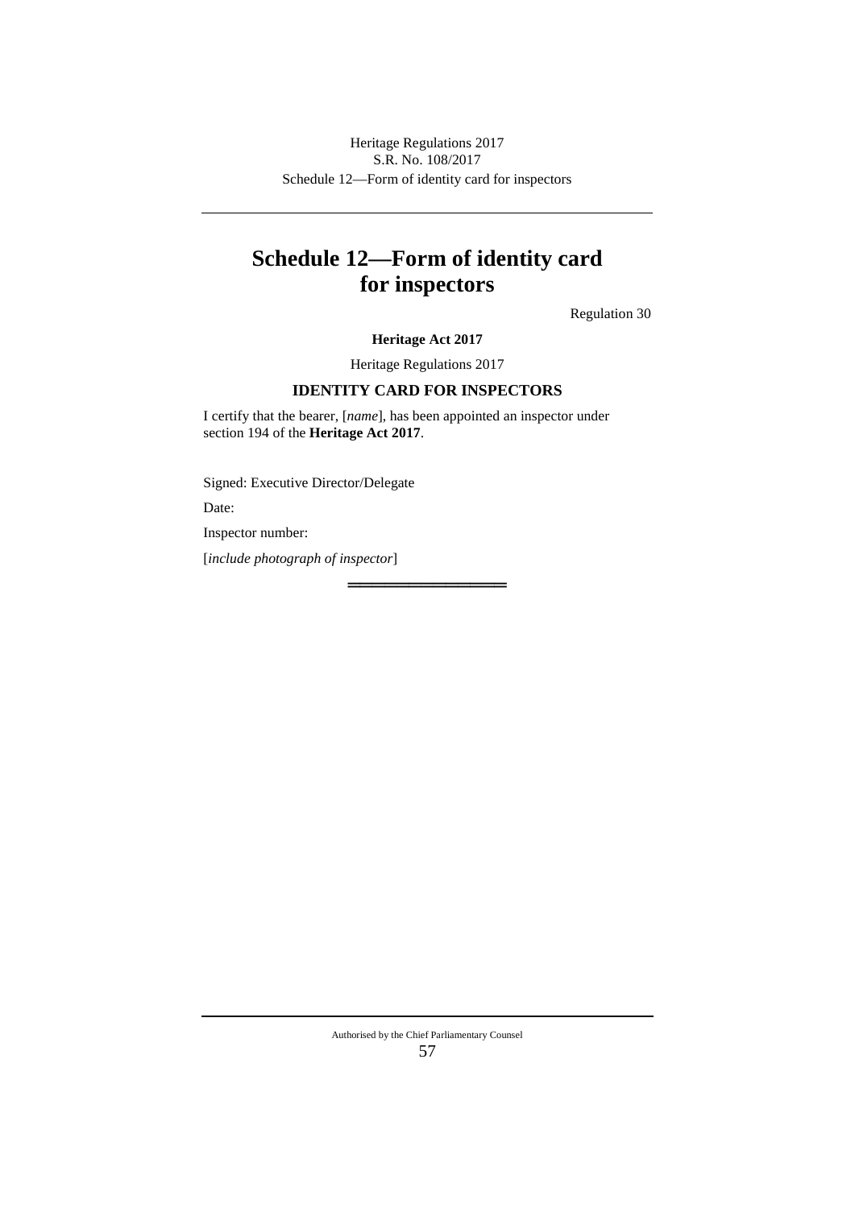Schedule 12—Form of identity card for inspectors Heritage Regulations 2017 S.R. No. 108/2017

# **Schedule 12—Form of identity card for inspectors**

Regulation 30

### **Heritage Act 2017**

Heritage Regulations 2017

## **IDENTITY CARD FOR INSPECTORS**

═════════════

I certify that the bearer, [*name*], has been appointed an inspector under section 194 of the **Heritage Act 2017**.

Signed: Executive Director/Delegate

Date:

Inspector number:

[*include photograph of inspector*]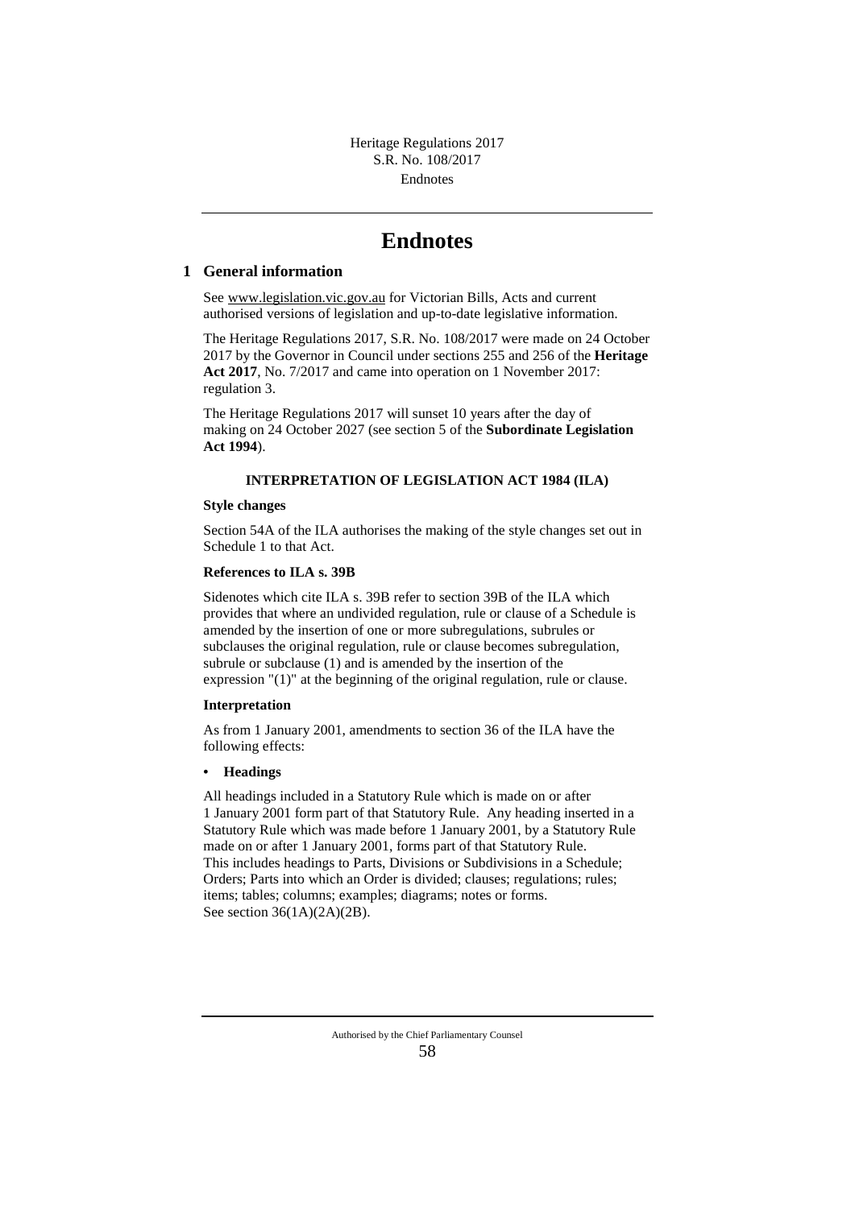# **Endnotes**

#### **1 General information**

See www.legislation.vic.gov.au for Victorian Bills, Acts and current authorised versions of legislation and up-to-date legislative information.

The Heritage Regulations 2017, S.R. No. 108/2017 were made on 24 October 2017 by the Governor in Council under sections 255 and 256 of the **Heritage Act 2017**, No. 7/2017 and came into operation on 1 November 2017: regulation 3.

The Heritage Regulations 2017 will sunset 10 years after the day of making on 24 October 2027 (see section 5 of the **Subordinate Legislation Act 1994**).

#### **INTERPRETATION OF LEGISLATION ACT 1984 (ILA)**

#### **Style changes**

Section 54A of the ILA authorises the making of the style changes set out in Schedule 1 to that Act.

#### **References to ILA s. 39B**

Sidenotes which cite ILA s. 39B refer to section 39B of the ILA which provides that where an undivided regulation, rule or clause of a Schedule is amended by the insertion of one or more subregulations, subrules or subclauses the original regulation, rule or clause becomes subregulation, subrule or subclause (1) and is amended by the insertion of the expression "(1)" at the beginning of the original regulation, rule or clause.

#### **Interpretation**

As from 1 January 2001, amendments to section 36 of the ILA have the following effects:

#### **• Headings**

All headings included in a Statutory Rule which is made on or after 1 January 2001 form part of that Statutory Rule. Any heading inserted in a Statutory Rule which was made before 1 January 2001, by a Statutory Rule made on or after 1 January 2001, forms part of that Statutory Rule. This includes headings to Parts, Divisions or Subdivisions in a Schedule; Orders; Parts into which an Order is divided; clauses; regulations; rules; items; tables; columns; examples; diagrams; notes or forms. See section 36(1A)(2A)(2B).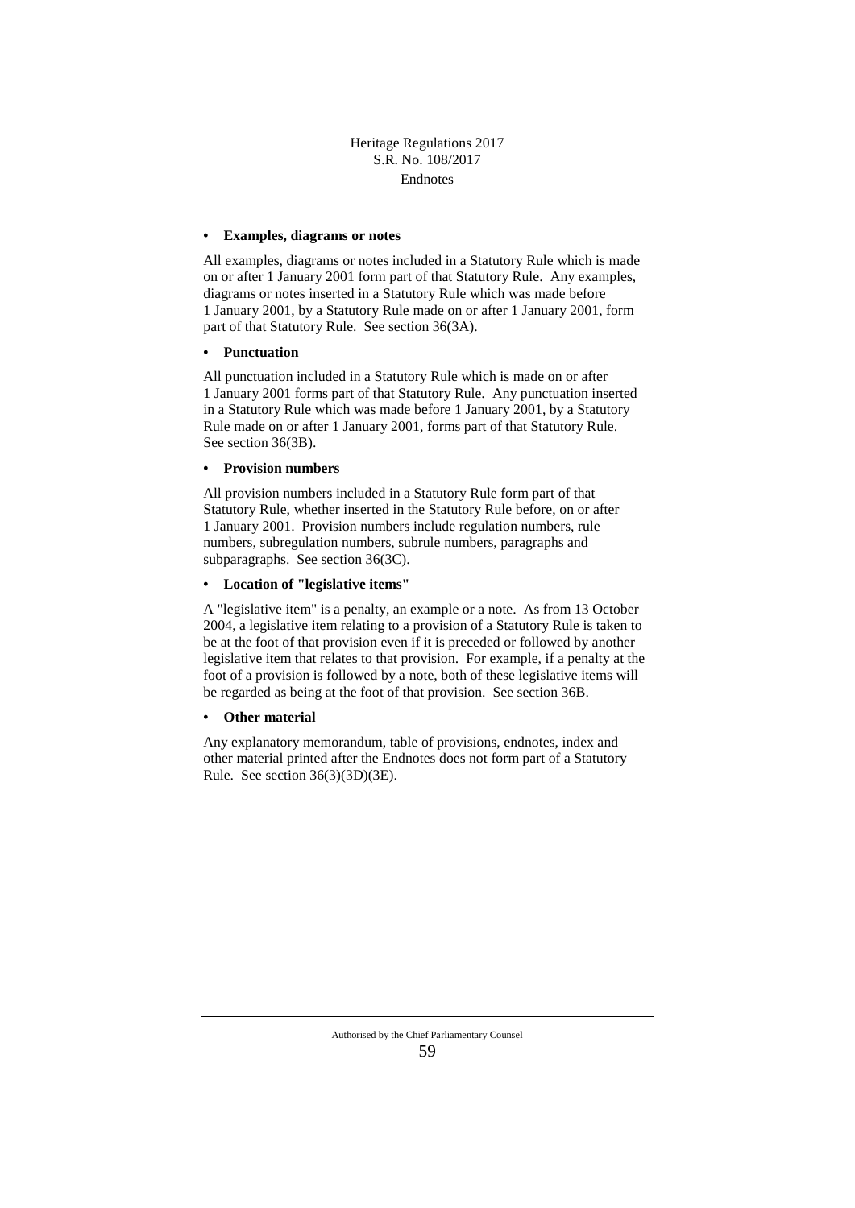#### **• Examples, diagrams or notes**

All examples, diagrams or notes included in a Statutory Rule which is made on or after 1 January 2001 form part of that Statutory Rule. Any examples, diagrams or notes inserted in a Statutory Rule which was made before 1 January 2001, by a Statutory Rule made on or after 1 January 2001, form part of that Statutory Rule. See section 36(3A).

#### **• Punctuation**

All punctuation included in a Statutory Rule which is made on or after 1 January 2001 forms part of that Statutory Rule. Any punctuation inserted in a Statutory Rule which was made before 1 January 2001, by a Statutory Rule made on or after 1 January 2001, forms part of that Statutory Rule. See section 36(3B).

#### **• Provision numbers**

All provision numbers included in a Statutory Rule form part of that Statutory Rule, whether inserted in the Statutory Rule before, on or after 1 January 2001. Provision numbers include regulation numbers, rule numbers, subregulation numbers, subrule numbers, paragraphs and subparagraphs. See section 36(3C).

#### **• Location of "legislative items"**

A "legislative item" is a penalty, an example or a note. As from 13 October 2004, a legislative item relating to a provision of a Statutory Rule is taken to be at the foot of that provision even if it is preceded or followed by another legislative item that relates to that provision. For example, if a penalty at the foot of a provision is followed by a note, both of these legislative items will be regarded as being at the foot of that provision. See section 36B.

#### **• Other material**

Any explanatory memorandum, table of provisions, endnotes, index and other material printed after the Endnotes does not form part of a Statutory Rule. See section 36(3)(3D)(3E).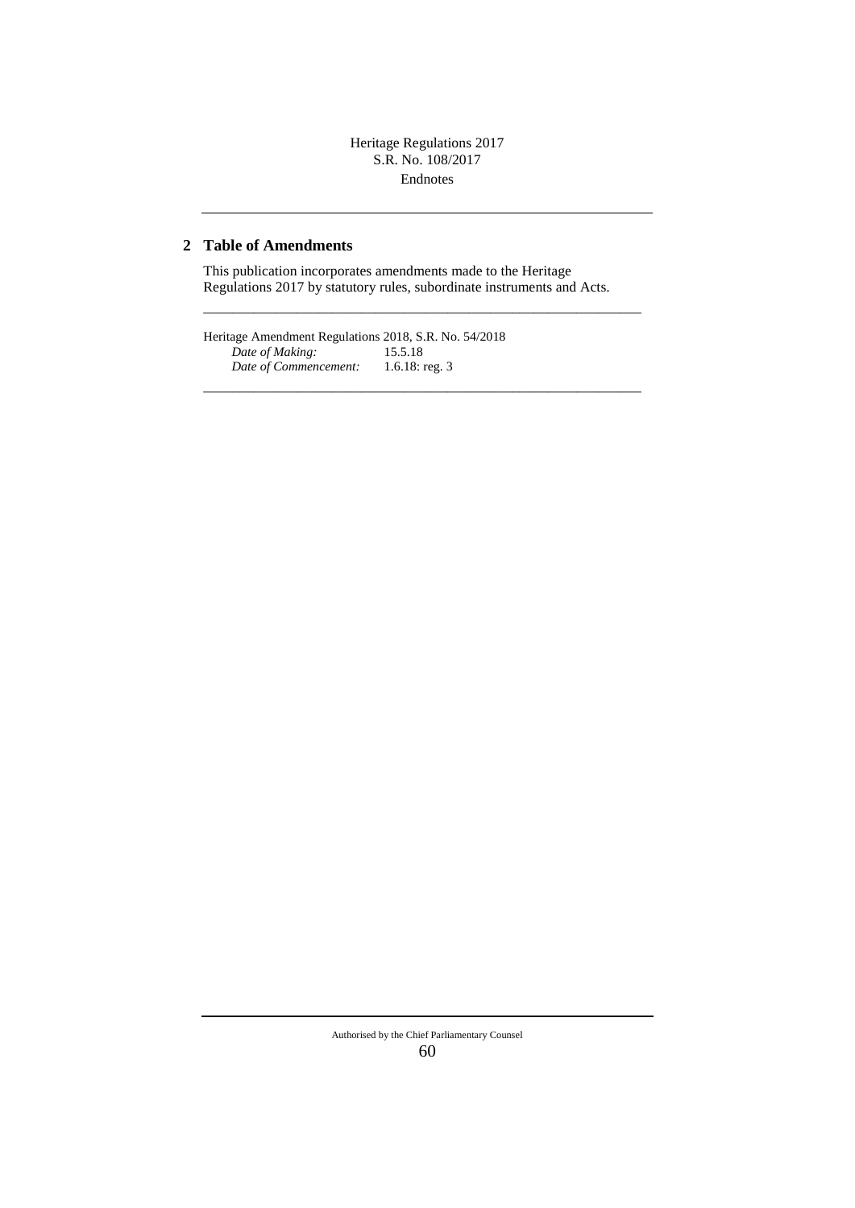## Endnotes Heritage Regulations 2017 S.R. No. 108/2017

## **2 Table of Amendments**

This publication incorporates amendments made to the Heritage Regulations 2017 by statutory rules, subordinate instruments and Acts.

–––––––––––––––––––––––––––––––––––––––––––––––––––––––––––––

–––––––––––––––––––––––––––––––––––––––––––––––––––––––––––––

Heritage Amendment Regulations 2018, S.R. No. 54/2018<br> *Date of Making*: 15.5.18 *Date of Making:* 15.5.18<br>*Date of Commencement:* 1.6.18: reg. 3 Date of Commencement:

#### Authorised by the Chief Parliamentary Counsel 60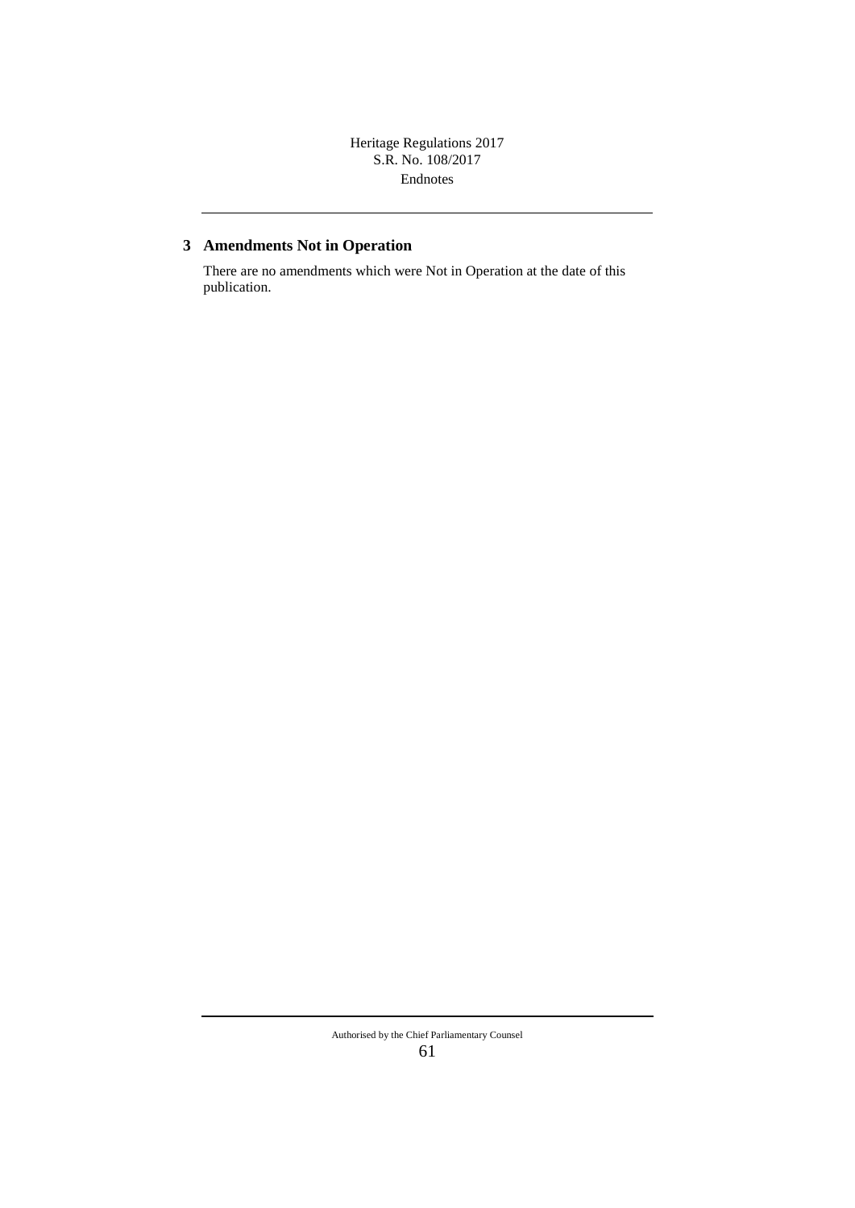Endnotes Heritage Regulations 2017 S.R. No. 108/2017

# **3 Amendments Not in Operation**

There are no amendments which were Not in Operation at the date of this publication.